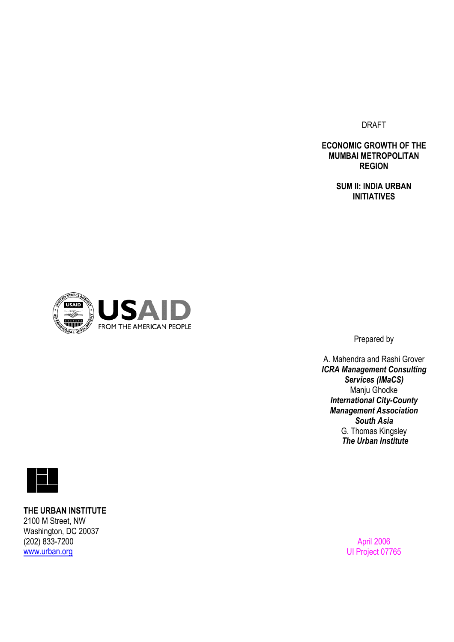DRAFT

# **ECONOMIC GROWTH OF THE MUMBAI METROPOLITAN REGION**

**SUM II: INDIA URBAN INITIATIVES** 



Prepared by

A. Mahendra and Rashi Grover *ICRA Management Consulting Services (IMaCS)* Manju Ghodke *International City-County Management Association South Asia*  G. Thomas Kingsley *The Urban Institute* 



**THE URBAN INSTITUTE** 2100 M Street, NW Washington, DC 20037 (202) 833-7200 www.urban.org

April 2006 UI Project 07765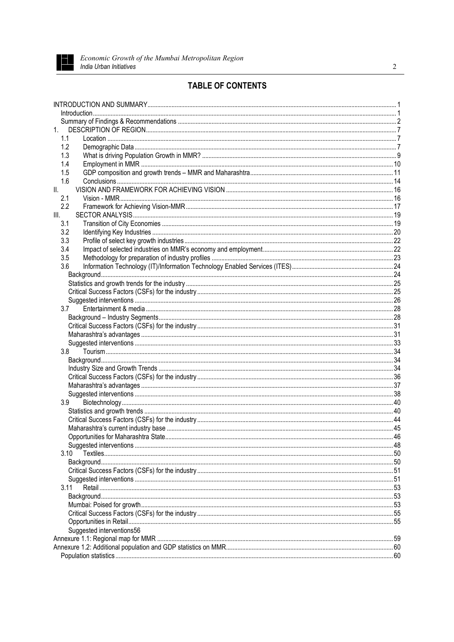

# **TABLE OF CONTENTS**

| 1.                        |  |
|---------------------------|--|
| 1.1                       |  |
| 1.2                       |  |
| 1.3                       |  |
| 1.4                       |  |
| 1.5                       |  |
| 1.6                       |  |
| Ш.                        |  |
| 2.1                       |  |
| 2.2                       |  |
| III.                      |  |
| 3.1                       |  |
| 3.2                       |  |
| 3.3                       |  |
| 3.4                       |  |
|                           |  |
| 3.5                       |  |
| 3.6                       |  |
|                           |  |
|                           |  |
|                           |  |
|                           |  |
| 3.7                       |  |
|                           |  |
|                           |  |
|                           |  |
|                           |  |
| 3.8                       |  |
|                           |  |
|                           |  |
|                           |  |
|                           |  |
|                           |  |
| 3.9                       |  |
|                           |  |
|                           |  |
|                           |  |
|                           |  |
|                           |  |
| 3.10                      |  |
|                           |  |
|                           |  |
|                           |  |
| 3.11                      |  |
|                           |  |
|                           |  |
|                           |  |
|                           |  |
| Suggested interventions56 |  |
|                           |  |
|                           |  |
|                           |  |
|                           |  |

 $\overline{2}$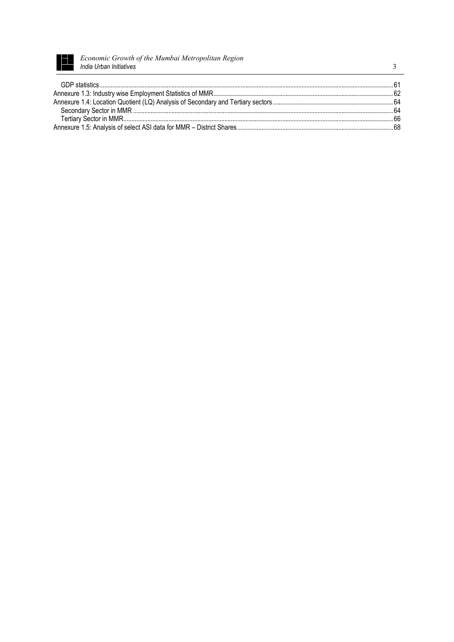

| <i>Economic</i> Growth definition<br>Economic Growth of the Bulliout Blett opothum Region |  |
|-------------------------------------------------------------------------------------------|--|
|                                                                                           |  |
|                                                                                           |  |
|                                                                                           |  |
|                                                                                           |  |
|                                                                                           |  |
|                                                                                           |  |
|                                                                                           |  |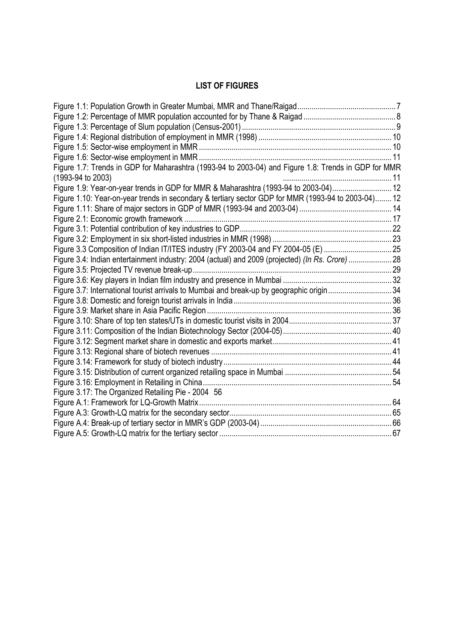# **LIST OF FIGURES**

| Figure 1.7: Trends in GDP for Maharashtra (1993-94 to 2003-04) and Figure 1.8: Trends in GDP for MMR |  |
|------------------------------------------------------------------------------------------------------|--|
| (1993-94 to 2003)                                                                                    |  |
| Figure 1.9: Year-on-year trends in GDP for MMR & Maharashtra (1993-94 to 2003-04) 12                 |  |
| Figure 1.10: Year-on-year trends in secondary & tertiary sector GDP for MMR (1993-94 to 2003-04) 12  |  |
|                                                                                                      |  |
|                                                                                                      |  |
|                                                                                                      |  |
|                                                                                                      |  |
|                                                                                                      |  |
| Figure 3.4: Indian entertainment industry: 2004 (actual) and 2009 (projected) (In Rs. Crore)  28     |  |
|                                                                                                      |  |
|                                                                                                      |  |
| Figure 3.7: International tourist arrivals to Mumbai and break-up by geographic origin34             |  |
|                                                                                                      |  |
|                                                                                                      |  |
|                                                                                                      |  |
|                                                                                                      |  |
|                                                                                                      |  |
|                                                                                                      |  |
|                                                                                                      |  |
|                                                                                                      |  |
|                                                                                                      |  |
| Figure 3.17: The Organized Retailing Pie - 2004 56                                                   |  |
|                                                                                                      |  |
|                                                                                                      |  |
|                                                                                                      |  |
|                                                                                                      |  |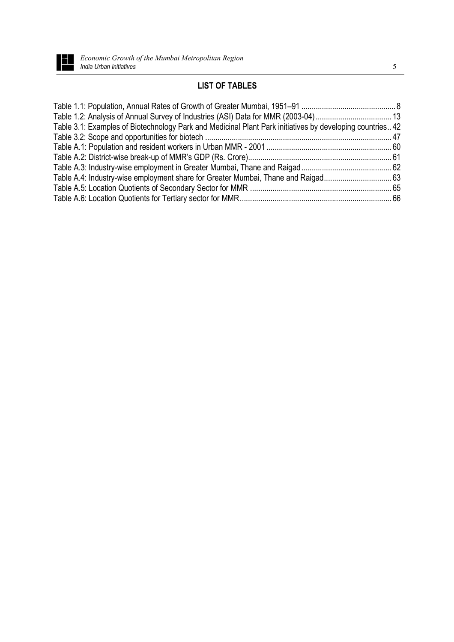

# **LIST OF TABLES**

| Table 3.1: Examples of Biotechnology Park and Medicinal Plant Park initiatives by developing countries 42 |  |
|-----------------------------------------------------------------------------------------------------------|--|
|                                                                                                           |  |
|                                                                                                           |  |
|                                                                                                           |  |
|                                                                                                           |  |
|                                                                                                           |  |
|                                                                                                           |  |
|                                                                                                           |  |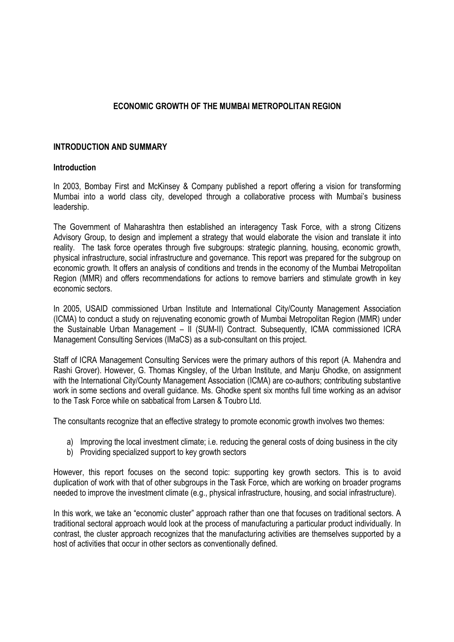# **ECONOMIC GROWTH OF THE MUMBAI METROPOLITAN REGION**

# **INTRODUCTION AND SUMMARY**

# **Introduction**

In 2003, Bombay First and McKinsey & Company published a report offering a vision for transforming Mumbai into a world class city, developed through a collaborative process with Mumbai's business leadership.

The Government of Maharashtra then established an interagency Task Force, with a strong Citizens Advisory Group, to design and implement a strategy that would elaborate the vision and translate it into reality. The task force operates through five subgroups: strategic planning, housing, economic growth, physical infrastructure, social infrastructure and governance. This report was prepared for the subgroup on economic growth. It offers an analysis of conditions and trends in the economy of the Mumbai Metropolitan Region (MMR) and offers recommendations for actions to remove barriers and stimulate growth in key economic sectors.

In 2005, USAID commissioned Urban Institute and International City/County Management Association (ICMA) to conduct a study on rejuvenating economic growth of Mumbai Metropolitan Region (MMR) under the Sustainable Urban Management – II (SUM-II) Contract. Subsequently, ICMA commissioned ICRA Management Consulting Services (IMaCS) as a sub-consultant on this project.

Staff of ICRA Management Consulting Services were the primary authors of this report (A. Mahendra and Rashi Grover). However, G. Thomas Kingsley, of the Urban Institute, and Manju Ghodke, on assignment with the International City/County Management Association (ICMA) are co-authors; contributing substantive work in some sections and overall guidance. Ms. Ghodke spent six months full time working as an advisor to the Task Force while on sabbatical from Larsen & Toubro Ltd.

The consultants recognize that an effective strategy to promote economic growth involves two themes:

- a) Improving the local investment climate; i.e. reducing the general costs of doing business in the city
- b) Providing specialized support to key growth sectors

However, this report focuses on the second topic: supporting key growth sectors. This is to avoid duplication of work with that of other subgroups in the Task Force, which are working on broader programs needed to improve the investment climate (e.g., physical infrastructure, housing, and social infrastructure).

In this work, we take an "economic cluster" approach rather than one that focuses on traditional sectors. A traditional sectoral approach would look at the process of manufacturing a particular product individually. In contrast, the cluster approach recognizes that the manufacturing activities are themselves supported by a host of activities that occur in other sectors as conventionally defined.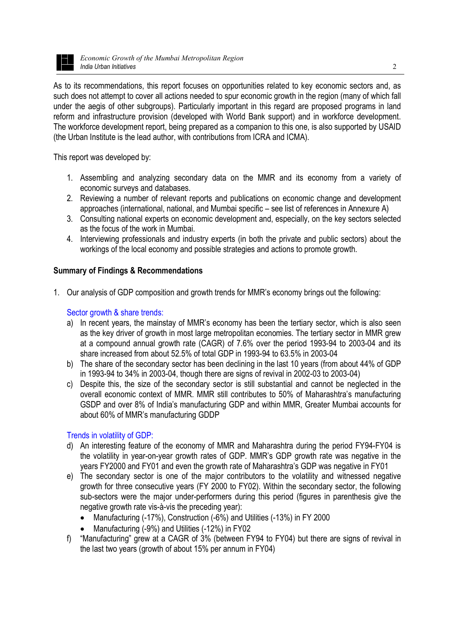

As to its recommendations, this report focuses on opportunities related to key economic sectors and, as such does not attempt to cover all actions needed to spur economic growth in the region (many of which fall under the aegis of other subgroups). Particularly important in this regard are proposed programs in land reform and infrastructure provision (developed with World Bank support) and in workforce development. The workforce development report, being prepared as a companion to this one, is also supported by USAID (the Urban Institute is the lead author, with contributions from ICRA and ICMA).

This report was developed by:

- 1. Assembling and analyzing secondary data on the MMR and its economy from a variety of economic surveys and databases.
- 2. Reviewing a number of relevant reports and publications on economic change and development approaches (international, national, and Mumbai specific – see list of references in Annexure A)
- 3. Consulting national experts on economic development and, especially, on the key sectors selected as the focus of the work in Mumbai.
- 4. Interviewing professionals and industry experts (in both the private and public sectors) about the workings of the local economy and possible strategies and actions to promote growth.

# **Summary of Findings & Recommendations**

1. Our analysis of GDP composition and growth trends for MMR's economy brings out the following:

# Sector growth & share trends:

- a) In recent years, the mainstay of MMR's economy has been the tertiary sector, which is also seen as the key driver of growth in most large metropolitan economies. The tertiary sector in MMR grew at a compound annual growth rate (CAGR) of 7.6% over the period 1993-94 to 2003-04 and its share increased from about 52.5% of total GDP in 1993-94 to 63.5% in 2003-04
- b) The share of the secondary sector has been declining in the last 10 years (from about 44% of GDP in 1993-94 to 34% in 2003-04, though there are signs of revival in 2002-03 to 2003-04)
- c) Despite this, the size of the secondary sector is still substantial and cannot be neglected in the overall economic context of MMR. MMR still contributes to 50% of Maharashtra's manufacturing GSDP and over 8% of India's manufacturing GDP and within MMR, Greater Mumbai accounts for about 60% of MMR's manufacturing GDDP

# Trends in volatility of GDP:

- d) An interesting feature of the economy of MMR and Maharashtra during the period FY94-FY04 is the volatility in year-on-year growth rates of GDP. MMR's GDP growth rate was negative in the years FY2000 and FY01 and even the growth rate of Maharashtra's GDP was negative in FY01
- e) The secondary sector is one of the major contributors to the volatility and witnessed negative growth for three consecutive years (FY 2000 to FY02). Within the secondary sector, the following sub-sectors were the major under-performers during this period (figures in parenthesis give the negative growth rate vis-à-vis the preceding year):
	- Manufacturing (-17%), Construction (-6%) and Utilities (-13%) in FY 2000
	- Manufacturing (-9%) and Utilities (-12%) in FY02
- f) "Manufacturing" grew at a CAGR of 3% (between FY94 to FY04) but there are signs of revival in the last two years (growth of about 15% per annum in FY04)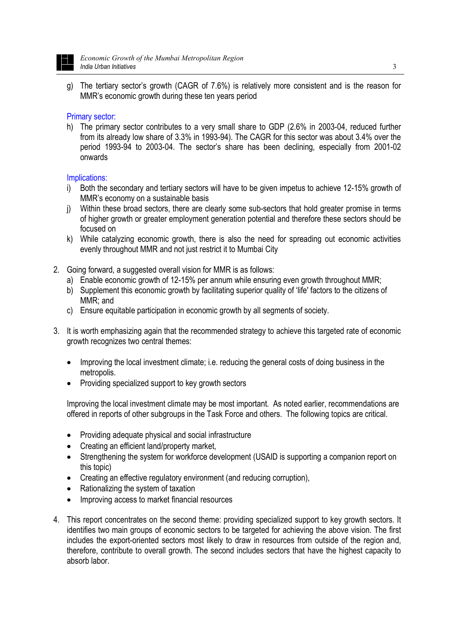

*Economic Growth of the Mumbai Metropolitan Region India Urban Initiatives* 3

g) The tertiary sector's growth (CAGR of 7.6%) is relatively more consistent and is the reason for MMR's economic growth during these ten years period

# Primary sector:

h) The primary sector contributes to a very small share to GDP (2.6% in 2003-04, reduced further from its already low share of 3.3% in 1993-94). The CAGR for this sector was about 3.4% over the period 1993-94 to 2003-04. The sector's share has been declining, especially from 2001-02 onwards

# Implications:

- i) Both the secondary and tertiary sectors will have to be given impetus to achieve 12-15% growth of MMR's economy on a sustainable basis
- j) Within these broad sectors, there are clearly some sub-sectors that hold greater promise in terms of higher growth or greater employment generation potential and therefore these sectors should be focused on
- k) While catalyzing economic growth, there is also the need for spreading out economic activities evenly throughout MMR and not just restrict it to Mumbai City
- 2. Going forward, a suggested overall vision for MMR is as follows:
	- a) Enable economic growth of 12-15% per annum while ensuring even growth throughout MMR;
	- b) Supplement this economic growth by facilitating superior quality of 'life' factors to the citizens of MMR; and
	- c) Ensure equitable participation in economic growth by all segments of society.
- 3. It is worth emphasizing again that the recommended strategy to achieve this targeted rate of economic growth recognizes two central themes:
	- Improving the local investment climate; i.e. reducing the general costs of doing business in the metropolis.
	- Providing specialized support to key growth sectors

Improving the local investment climate may be most important. As noted earlier, recommendations are offered in reports of other subgroups in the Task Force and others. The following topics are critical.

- Providing adequate physical and social infrastructure
- Creating an efficient land/property market,
- Strengthening the system for workforce development (USAID is supporting a companion report on this topic)
- Creating an effective regulatory environment (and reducing corruption),
- Rationalizing the system of taxation
- Improving access to market financial resources
- 4. This report concentrates on the second theme: providing specialized support to key growth sectors. It identifies two main groups of economic sectors to be targeted for achieving the above vision. The first includes the export-oriented sectors most likely to draw in resources from outside of the region and, therefore, contribute to overall growth. The second includes sectors that have the highest capacity to absorb labor.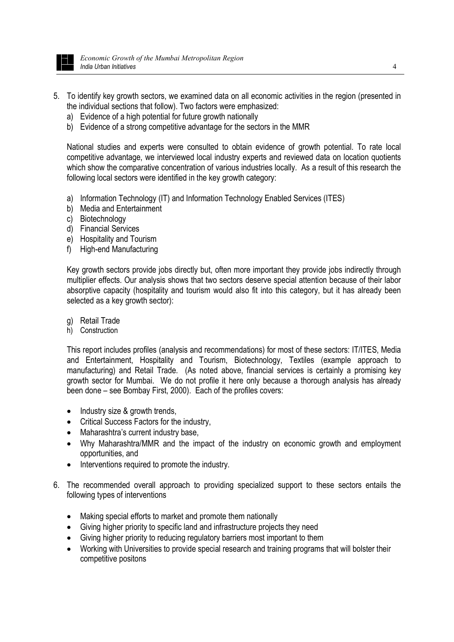

- 5. To identify key growth sectors, we examined data on all economic activities in the region (presented in the individual sections that follow). Two factors were emphasized:
	- a) Evidence of a high potential for future growth nationally
	- b) Evidence of a strong competitive advantage for the sectors in the MMR

National studies and experts were consulted to obtain evidence of growth potential. To rate local competitive advantage, we interviewed local industry experts and reviewed data on location quotients which show the comparative concentration of various industries locally. As a result of this research the following local sectors were identified in the key growth category:

- a) Information Technology (IT) and Information Technology Enabled Services (ITES)
- b) Media and Entertainment
- c) Biotechnology
- d) Financial Services
- e) Hospitality and Tourism
- f) High-end Manufacturing

Key growth sectors provide jobs directly but, often more important they provide jobs indirectly through multiplier effects. Our analysis shows that two sectors deserve special attention because of their labor absorptive capacity (hospitality and tourism would also fit into this category, but it has already been selected as a key growth sector):

- g) Retail Trade
- h) Construction

This report includes profiles (analysis and recommendations) for most of these sectors: IT/ITES, Media and Entertainment, Hospitality and Tourism, Biotechnology, Textiles (example approach to manufacturing) and Retail Trade. (As noted above, financial services is certainly a promising key growth sector for Mumbai. We do not profile it here only because a thorough analysis has already been done – see Bombay First, 2000). Each of the profiles covers:

- Industry size & growth trends,
- Critical Success Factors for the industry,
- Maharashtra's current industry base,
- Why Maharashtra/MMR and the impact of the industry on economic growth and employment opportunities, and
- Interventions required to promote the industry.
- 6. The recommended overall approach to providing specialized support to these sectors entails the following types of interventions
	- Making special efforts to market and promote them nationally
	- Giving higher priority to specific land and infrastructure projects they need
	- Giving higher priority to reducing regulatory barriers most important to them
	- Working with Universities to provide special research and training programs that will bolster their competitive positons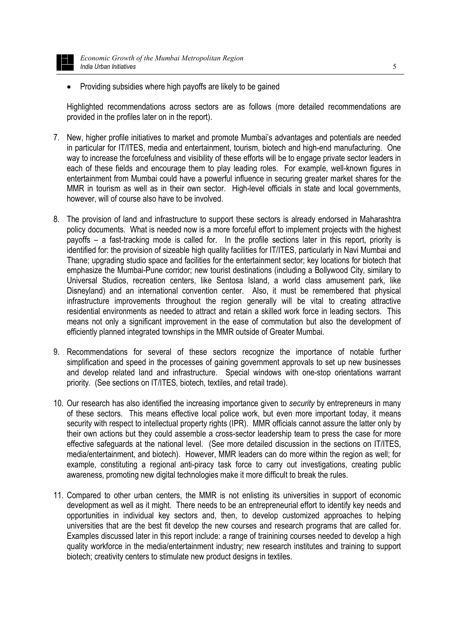

• Providing subsidies where high payoffs are likely to be gained

Highlighted recommendations across sectors are as follows (more detailed recommendations are provided in the profiles later on in the report).

- 7. New, higher profile initiatives to market and promote Mumbai's advantages and potentials are needed in particular for IT/ITES, media and entertainment, tourism, biotech and high-end manufacturing. One way to increase the forcefulness and visibility of these efforts will be to engage private sector leaders in each of these fields and encourage them to play leading roles. For example, well-known figures in entertainment from Mumbai could have a powerful influence in securing greater market shares for the MMR in tourism as well as in their own sector. High-level officials in state and local governments, however, will of course also have to be involved.
- 8. The provision of land and infrastructure to support these sectors is already endorsed in Maharashtra policy documents. What is needed now is a more forceful effort to implement projects with the highest payoffs – a fast-tracking mode is called for. In the profile sections later in this report, priority is identified for: the provision of sizeable high quality facilities for IT/ITES, particularly in Navi Mumbai and Thane; upgrading studio space and facilities for the entertainment sector; key locations for biotech that emphasize the Mumbai-Pune corridor; new tourist destinations (including a Bollywood City, similary to Universal Studios, recreation centers, like Sentosa Island, a world class amusement park, like Disneyland) and an international convention center. Also, it must be remembered that physical infrastructure improvements throughout the region generally will be vital to creating attractive residential environments as needed to attract and retain a skilled work force in leading sectors. This means not only a significant improvement in the ease of commutation but also the development of efficiently planned integrated townships in the MMR outside of Greater Mumbai.
- 9. Recommendations for several of these sectors recognize the importance of notable further simplification and speed in the processes of gaining government approvals to set up new businesses and develop related land and infrastructure. Special windows with one-stop orientations warrant priority. (See sections on IT/ITES, biotech, textiles, and retail trade).
- 10. Our research has also identified the increasing importance given to *security* by entrepreneurs in many of these sectors. This means effective local police work, but even more important today, it means security with respect to intellectual property rights (IPR). MMR officials cannot assure the latter only by their own actions but they could assemble a cross-sector leadership team to press the case for more effective safeguards at the national level. (See more detailed discussion in the sections on IT/ITES, media/entertainment, and biotech). However, MMR leaders can do more within the region as well; for example, constituting a regional anti-piracy task force to carry out investigations, creating public awareness, promoting new digital technologies make it more difficult to break the rules.
- 11. Compared to other urban centers, the MMR is not enlisting its universities in support of economic development as well as it might. There needs to be an entrepreneurial effort to identify key needs and opportunities in individual key sectors and, then, to develop customized approaches to helping universities that are the best fit develop the new courses and research programs that are called for. Examples discussed later in this report include: a range of trainining courses needed to develop a high quality workforce in the media/entertainment industry; new research institutes and training to support biotech; creativity centers to stimulate new product designs in textiles.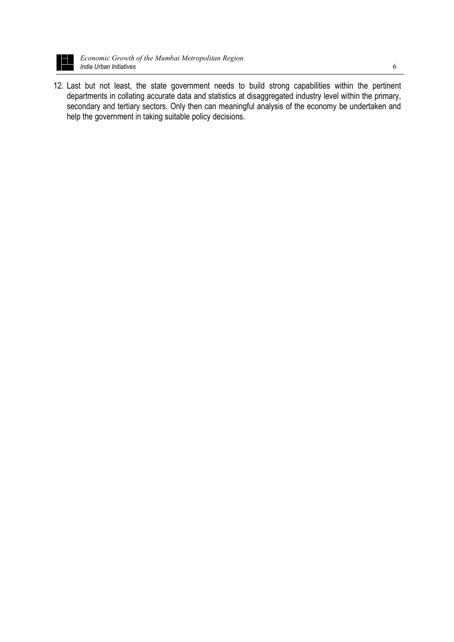

*Economic Growth of the Mumbai Metropolitan Region*  **India Urban Initiatives** 6 *India India India India Urban Initiatives* 6 *6* 

12. Last but not least, the state government needs to build strong capabilities within the pertinent departments in collating accurate data and statistics at disaggregated industry level within the primary, secondary and tertiary sectors. Only then can meaningful analysis of the economy be undertaken and help the government in taking suitable policy decisions.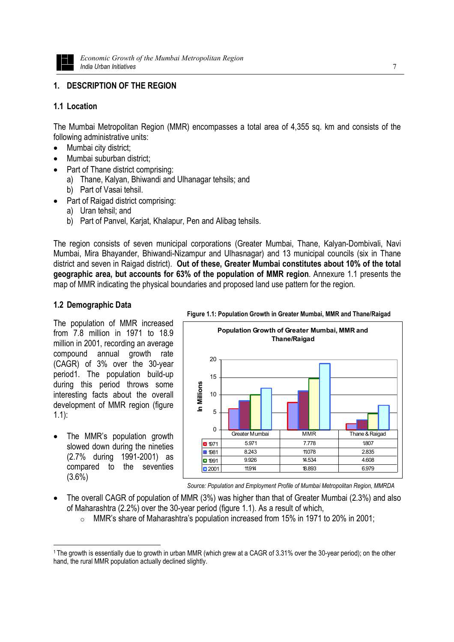

# **1. DESCRIPTION OF THE REGION**

# **1.1 Location**

The Mumbai Metropolitan Region (MMR) encompasses a total area of 4,355 sq. km and consists of the following administrative units:

- Mumbai city district:
- Mumbai suburban district:
- Part of Thane district comprising:
	- a) Thane, Kalyan, Bhiwandi and Ulhanagar tehsils; and
	- b) Part of Vasai tehsil.
- Part of Raigad district comprising:
	- a) Uran tehsil; and
	- b) Part of Panvel, Karjat, Khalapur, Pen and Alibag tehsils.

The region consists of seven municipal corporations (Greater Mumbai, Thane, Kalyan-Dombivali, Navi Mumbai, Mira Bhayander, Bhiwandi-Nizampur and Ulhasnagar) and 13 municipal councils (six in Thane district and seven in Raigad district). **Out of these, Greater Mumbai constitutes about 10% of the total geographic area, but accounts for 63% of the population of MMR region**. Annexure 1.1 presents the map of MMR indicating the physical boundaries and proposed land use pattern for the region.

The population of MMR increased from 7.8 million in 1971 to 18.9 million in 2001, recording an average compound annual growth rate (CAGR) of 3% over the 30-year period1. The population build-up during this period throws some interesting facts about the overall development of MMR region (figure 1.1):

The MMR's population growth slowed down during the nineties (2.7% during 1991-2001) as compared to the seventies (3.6%)

1





*Source: Population and Employment Profile of Mumbai Metropolitan Region, MMRDA*

- The overall CAGR of population of MMR (3%) was higher than that of Greater Mumbai (2.3%) and also of Maharashtra (2.2%) over the 30-year period (figure 1.1). As a result of which,
	- $\circ$  MMR's share of Maharashtra's population increased from 15% in 1971 to 20% in 2001;

<sup>1</sup> The growth is essentially due to growth in urban MMR (which grew at a CAGR of 3.31% over the 30-year period); on the other hand, the rural MMR population actually declined slightly.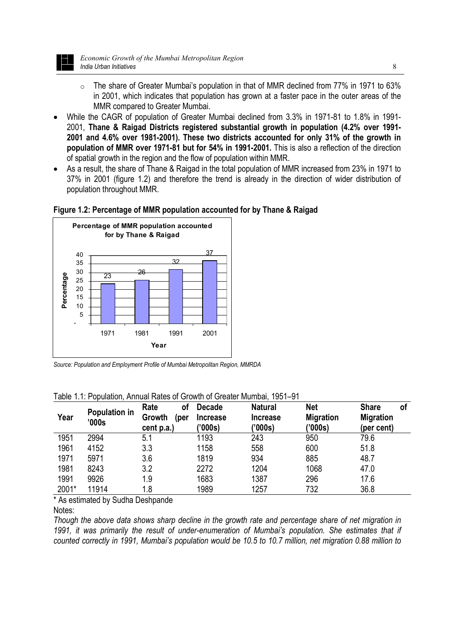

- $\circ$  The share of Greater Mumbai's population in that of MMR declined from 77% in 1971 to 63% in 2001, which indicates that population has grown at a faster pace in the outer areas of the MMR compared to Greater Mumbai.
- While the CAGR of population of Greater Mumbai declined from 3.3% in 1971-81 to 1.8% in 1991- 2001, **Thane & Raigad Districts registered substantial growth in population (4.2% over 1991- 2001 and 4.6% over 1981-2001). These two districts accounted for only 31% of the growth in population of MMR over 1971-81 but for 54% in 1991-2001.** This is also a reflection of the direction of spatial growth in the region and the flow of population within MMR.
- As a result, the share of Thane & Raigad in the total population of MMR increased from 23% in 1971 to 37% in 2001 (figure 1.2) and therefore the trend is already in the direction of wider distribution of population throughout MMR.





*Source: Population and Employment Profile of Mumbai Metropolitan Region, MMRDA*

| Year  | Population in<br>'000s | Rate<br>οf<br>Growth<br>(per<br>cent $p.a.$ ) | <b>Decade</b><br><b>Increase</b><br>('000s) | <b>Natural</b><br><b>Increase</b><br>('000s) | <b>Net</b><br><b>Migration</b><br>('000s) | <b>Share</b><br>οf<br><b>Migration</b><br>(per cent) |
|-------|------------------------|-----------------------------------------------|---------------------------------------------|----------------------------------------------|-------------------------------------------|------------------------------------------------------|
| 1951  | 2994                   | 5.1                                           | 1193                                        | 243                                          | 950                                       | 79.6                                                 |
| 1961  | 4152                   | 3.3                                           | 1158                                        | 558                                          | 600                                       | 51.8                                                 |
| 1971  | 5971                   | 3.6                                           | 1819                                        | 934                                          | 885                                       | 48.7                                                 |
| 1981  | 8243                   | 3.2                                           | 2272                                        | 1204                                         | 1068                                      | 47.0                                                 |
| 1991  | 9926                   | 1.9                                           | 1683                                        | 1387                                         | 296                                       | 17.6                                                 |
| 2001* | 11914                  | 1.8                                           | 1989                                        | 1257                                         | 732                                       | 36.8                                                 |

Table 1.1: Population, Annual Rates of Growth of Greater Mumbai, 1951–91

\* As estimated by Sudha Deshpande

Notes:

*Though the above data shows sharp decline in the growth rate and percentage share of net migration in*  1991, it was primarily the result of under-enumeration of Mumbai's population. She estimates that if *counted correctly in 1991, Mumbai's population would be 10.5 to 10.7 million, net migration 0.88 million to*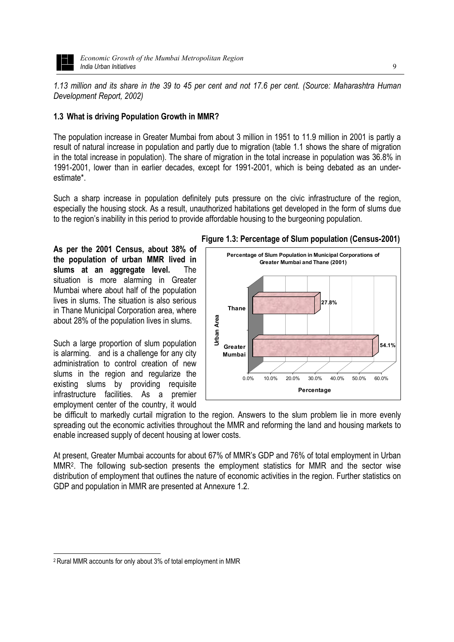

*1.13 million and its share in the 39 to 45 per cent and not 17.6 per cent. (Source: Maharashtra Human Development Report, 2002)* 

# **1.3 What is driving Population Growth in MMR?**

The population increase in Greater Mumbai from about 3 million in 1951 to 11.9 million in 2001 is partly a result of natural increase in population and partly due to migration (table 1.1 shows the share of migration in the total increase in population). The share of migration in the total increase in population was 36.8% in 1991-2001, lower than in earlier decades, except for 1991-2001, which is being debated as an underestimate\*.

Such a sharp increase in population definitely puts pressure on the civic infrastructure of the region, especially the housing stock. As a result, unauthorized habitations get developed in the form of slums due to the region's inability in this period to provide affordable housing to the burgeoning population.

**As per the 2001 Census, about 38% of the population of urban MMR lived in slums at an aggregate level.** The situation is more alarming in Greater Mumbai where about half of the population lives in slums. The situation is also serious in Thane Municipal Corporation area, where about 28% of the population lives in slums.

Such a large proportion of slum population is alarming. and is a challenge for any city administration to control creation of new slums in the region and regularize the existing slums by providing requisite infrastructure facilities. As a premier employment center of the country, it would





be difficult to markedly curtail migration to the region. Answers to the slum problem lie in more evenly spreading out the economic activities throughout the MMR and reforming the land and housing markets to enable increased supply of decent housing at lower costs.

At present, Greater Mumbai accounts for about 67% of MMR's GDP and 76% of total employment in Urban MMR2. The following sub-section presents the employment statistics for MMR and the sector wise distribution of employment that outlines the nature of economic activities in the region. Further statistics on GDP and population in MMR are presented at Annexure 1.2.

1

<sup>2</sup> Rural MMR accounts for only about 3% of total employment in MMR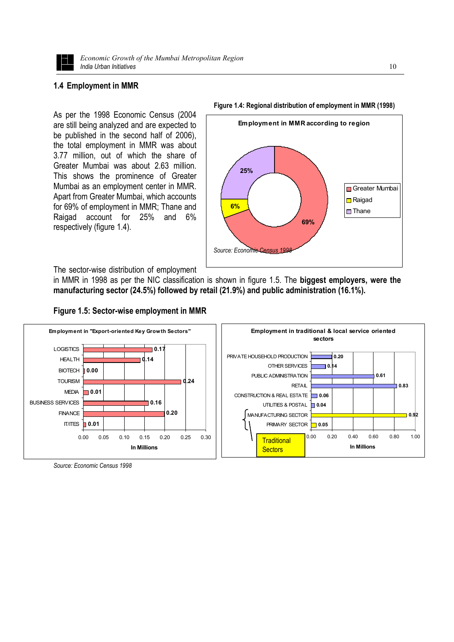

# **1.4 Employment in MMR**

As per the 1998 Economic Census (2004 are still being analyzed and are expected to be published in the second half of 2006), the total employment in MMR was about 3.77 million, out of which the share of Greater Mumbai was about 2.63 million. This shows the prominence of Greater Mumbai as an employment center in MMR. Apart from Greater Mumbai, which accounts for 69% of employment in MMR; Thane and Raigad account for 25% and 6% respectively (figure 1.4).



#### **Figure 1.4: Regional distribution of employment in MMR (1998)**

The sector-wise distribution of employment

in MMR in 1998 as per the NIC classification is shown in figure 1.5. The **biggest employers, were the manufacturing sector (24.5%) followed by retail (21.9%) and public administration (16.1%).** 



### **Figure 1.5: Sector-wise employment in MMR**

*Source: Economic Census 1998*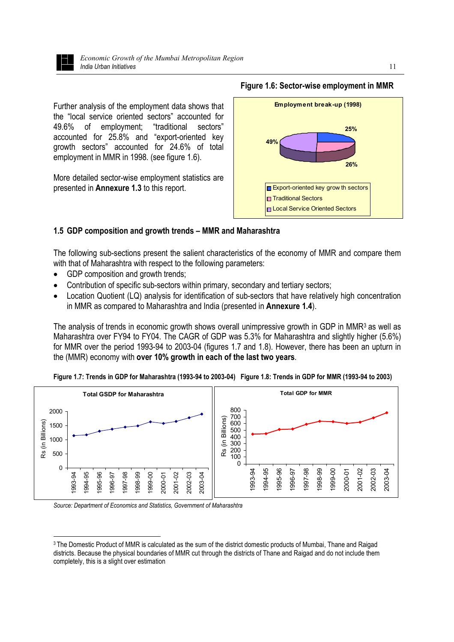

Further analysis of the employment data shows that the "local service oriented sectors" accounted for 49.6% of employment; "traditional sectors" accounted for 25.8% and "export-oriented key growth sectors" accounted for 24.6% of total employment in MMR in 1998. (see figure 1.6).

More detailed sector-wise employment statistics are presented in **Annexure 1.3** to this report.



# **Figure 1.6: Sector-wise employment in MMR**

# **1.5 GDP composition and growth trends – MMR and Maharashtra**

The following sub-sections present the salient characteristics of the economy of MMR and compare them with that of Maharashtra with respect to the following parameters:

- GDP composition and growth trends;
- Contribution of specific sub-sectors within primary, secondary and tertiary sectors;
- Location Quotient (LQ) analysis for identification of sub-sectors that have relatively high concentration in MMR as compared to Maharashtra and India (presented in **Annexure 1.4**).

The analysis of trends in economic growth shows overall unimpressive growth in GDP in MMR3 as well as Maharashtra over FY94 to FY04. The CAGR of GDP was 5.3% for Maharashtra and slightly higher (5.6%) for MMR over the period 1993-94 to 2003-04 (figures 1.7 and 1.8). However, there has been an upturn in the (MMR) economy with **over 10% growth in each of the last two years**.





*Source: Department of Economics and Statistics, Government of Maharashtra*

 $\overline{a}$ 

<sup>3</sup> The Domestic Product of MMR is calculated as the sum of the district domestic products of Mumbai, Thane and Raigad districts. Because the physical boundaries of MMR cut through the districts of Thane and Raigad and do not include them completely, this is a slight over estimation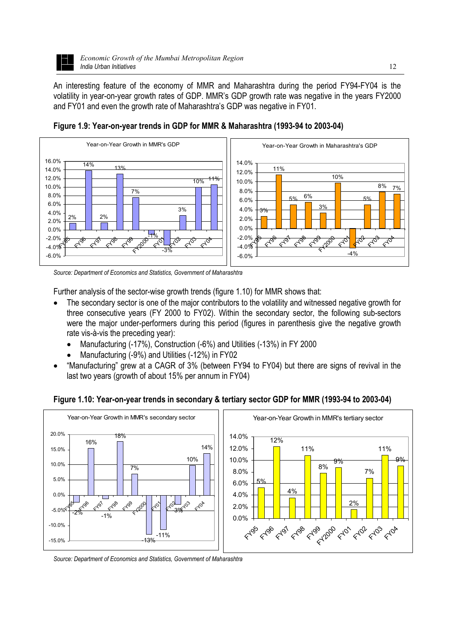

An interesting feature of the economy of MMR and Maharashtra during the period FY94-FY04 is the volatility in year-on-year growth rates of GDP. MMR's GDP growth rate was negative in the years FY2000 and FY01 and even the growth rate of Maharashtra's GDP was negative in FY01.



**Figure 1.9: Year-on-year trends in GDP for MMR & Maharashtra (1993-94 to 2003-04)** 

Further analysis of the sector-wise growth trends (figure 1.10) for MMR shows that:

- The secondary sector is one of the major contributors to the volatility and witnessed negative growth for three consecutive years (FY 2000 to FY02). Within the secondary sector, the following sub-sectors were the major under-performers during this period (figures in parenthesis give the negative growth rate vis-à-vis the preceding year):
	- Manufacturing (-17%), Construction (-6%) and Utilities (-13%) in FY 2000
	- Manufacturing (-9%) and Utilities (-12%) in FY02
- "Manufacturing" grew at a CAGR of 3% (between FY94 to FY04) but there are signs of revival in the last two years (growth of about 15% per annum in FY04)

# **Figure 1.10: Year-on-year trends in secondary & tertiary sector GDP for MMR (1993-94 to 2003-04)**



*Source: Department of Economics and Statistics, Government of Maharashtra*

*Source: Department of Economics and Statistics, Government of Maharashtra*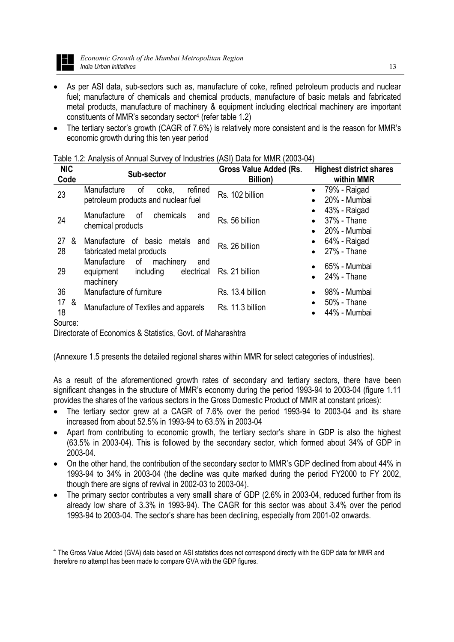

-

- As per ASI data, sub-sectors such as, manufacture of coke, refined petroleum products and nuclear fuel; manufacture of chemicals and chemical products, manufacture of basic metals and fabricated metal products, manufacture of machinery & equipment including electrical machinery are important constituents of MMR's secondary sector4 (refer table 1.2)
- The tertiary sector's growth (CAGR of 7.6%) is relatively more consistent and is the reason for MMR's economic growth during this ten year period

| <b>NIC</b><br>Code    | Sub-sector                                                                                 | Gross Value Added (Rs.<br><b>Billion)</b> | <b>Highest district shares</b><br>within MMR                                       |  |  |
|-----------------------|--------------------------------------------------------------------------------------------|-------------------------------------------|------------------------------------------------------------------------------------|--|--|
| 23                    | Manufacture<br>coke.<br>refined<br>οf<br>petroleum products and nuclear fuel               | Rs. 102 billion                           | 79% - Raigad<br>$\bullet$<br>20% - Mumbai<br>$\bullet$                             |  |  |
| 24                    | Manufacture<br>chemicals<br>οf<br>and<br>chemical products                                 | Rs. 56 billion                            | 43% - Raigad<br>$\bullet$<br>37% - Thane<br>$\bullet$<br>20% - Mumbai<br>$\bullet$ |  |  |
| 27<br>&<br>28         | Manufacture of basic metals<br>and<br>fabricated metal products                            | Rs. 26 billion                            | 64% - Raigad<br>$\bullet$<br>27% - Thane<br>$\bullet$                              |  |  |
| 29                    | οf<br>Manufacture<br>machinery<br>and<br>including<br>electrical<br>equipment<br>machinery | Rs. 21 billion                            | 65% - Mumbai<br>24% - Thane<br>$\bullet$                                           |  |  |
| 36                    | Manufacture of furniture                                                                   | Rs. 13.4 billion                          | 98% - Mumbai                                                                       |  |  |
| 17 <sub>8</sub><br>18 | Manufacture of Textiles and apparels                                                       | Rs. 11.3 billion                          | 50% - Thane<br>$\bullet$<br>44% - Mumbai<br>$\bullet$                              |  |  |
| Source:               |                                                                                            |                                           |                                                                                    |  |  |

|  |  |  |  |  | Table 1.2: Analysis of Annual Survey of Industries (ASI) Data for MMR (2003-04) |  |  |  |  |  |
|--|--|--|--|--|---------------------------------------------------------------------------------|--|--|--|--|--|
|--|--|--|--|--|---------------------------------------------------------------------------------|--|--|--|--|--|

Directorate of Economics & Statistics, Govt. of Maharashtra

(Annexure 1.5 presents the detailed regional shares within MMR for select categories of industries).

As a result of the aforementioned growth rates of secondary and tertiary sectors, there have been significant changes in the structure of MMR's economy during the period 1993-94 to 2003-04 (figure 1.11 provides the shares of the various sectors in the Gross Domestic Product of MMR at constant prices):

- The tertiary sector grew at a CAGR of 7.6% over the period 1993-94 to 2003-04 and its share increased from about 52.5% in 1993-94 to 63.5% in 2003-04
- Apart from contributing to economic growth, the tertiary sector's share in GDP is also the highest (63.5% in 2003-04). This is followed by the secondary sector, which formed about 34% of GDP in 2003-04.
- On the other hand, the contribution of the secondary sector to MMR's GDP declined from about 44% in 1993-94 to 34% in 2003-04 (the decline was quite marked during the period FY2000 to FY 2002, though there are signs of revival in 2002-03 to 2003-04).
- The primary sector contributes a very smalll share of GDP (2.6% in 2003-04, reduced further from its already low share of 3.3% in 1993-94). The CAGR for this sector was about 3.4% over the period 1993-94 to 2003-04. The sector's share has been declining, especially from 2001-02 onwards.

<sup>&</sup>lt;sup>4</sup> The Gross Value Added (GVA) data based on ASI statistics does not correspond directly with the GDP data for MMR and therefore no attempt has been made to compare GVA with the GDP figures.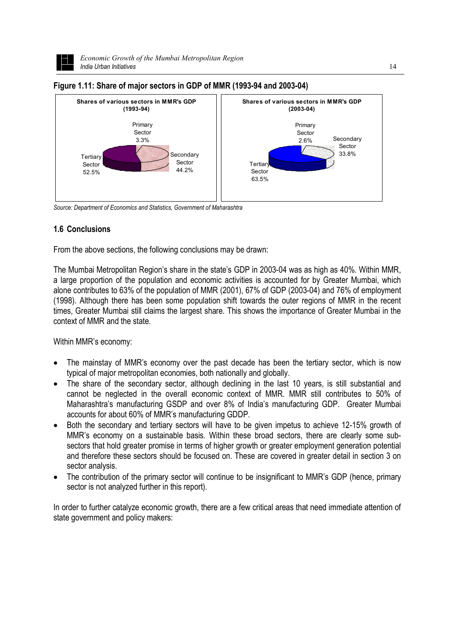





*Source: Department of Economics and Statistics, Government of Maharashtra* 

# **1.6 Conclusions**

From the above sections, the following conclusions may be drawn:

The Mumbai Metropolitan Region's share in the state's GDP in 2003-04 was as high as 40%. Within MMR, a large proportion of the population and economic activities is accounted for by Greater Mumbai, which alone contributes to 63% of the population of MMR (2001), 67% of GDP (2003-04) and 76% of employment (1998). Although there has been some population shift towards the outer regions of MMR in the recent times, Greater Mumbai still claims the largest share. This shows the importance of Greater Mumbai in the context of MMR and the state.

Within MMR's economy:

- The mainstay of MMR's economy over the past decade has been the tertiary sector, which is now typical of major metropolitan economies, both nationally and globally.
- The share of the secondary sector, although declining in the last 10 years, is still substantial and cannot be neglected in the overall economic context of MMR. MMR still contributes to 50% of Maharashtra's manufacturing GSDP and over 8% of India's manufacturing GDP. Greater Mumbai accounts for about 60% of MMR's manufacturing GDDP.
- Both the secondary and tertiary sectors will have to be given impetus to achieve 12-15% growth of MMR's economy on a sustainable basis. Within these broad sectors, there are clearly some subsectors that hold greater promise in terms of higher growth or greater employment generation potential and therefore these sectors should be focused on. These are covered in greater detail in section 3 on sector analysis.
- The contribution of the primary sector will continue to be insignificant to MMR's GDP (hence, primary sector is not analyzed further in this report).

In order to further catalyze economic growth, there are a few critical areas that need immediate attention of state government and policy makers: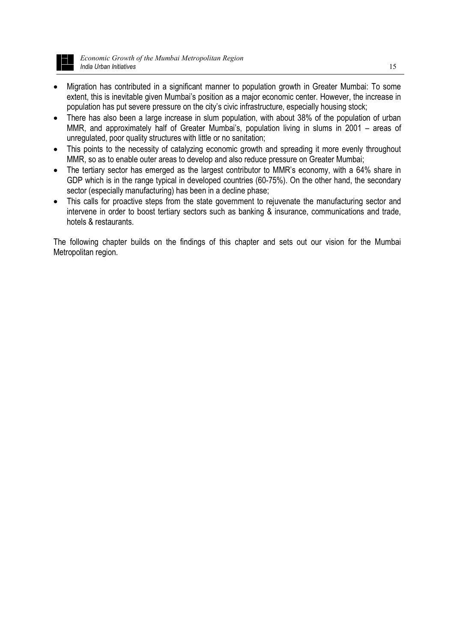

- Migration has contributed in a significant manner to population growth in Greater Mumbai: To some extent, this is inevitable given Mumbai's position as a major economic center. However, the increase in population has put severe pressure on the city's civic infrastructure, especially housing stock;
- There has also been a large increase in slum population, with about 38% of the population of urban MMR, and approximately half of Greater Mumbai's, population living in slums in 2001 – areas of unregulated, poor quality structures with little or no sanitation;
- This points to the necessity of catalyzing economic growth and spreading it more evenly throughout MMR, so as to enable outer areas to develop and also reduce pressure on Greater Mumbai;
- The tertiary sector has emerged as the largest contributor to MMR's economy, with a 64% share in GDP which is in the range typical in developed countries (60-75%). On the other hand, the secondary sector (especially manufacturing) has been in a decline phase;
- This calls for proactive steps from the state government to rejuvenate the manufacturing sector and intervene in order to boost tertiary sectors such as banking & insurance, communications and trade, hotels & restaurants.

The following chapter builds on the findings of this chapter and sets out our vision for the Mumbai Metropolitan region.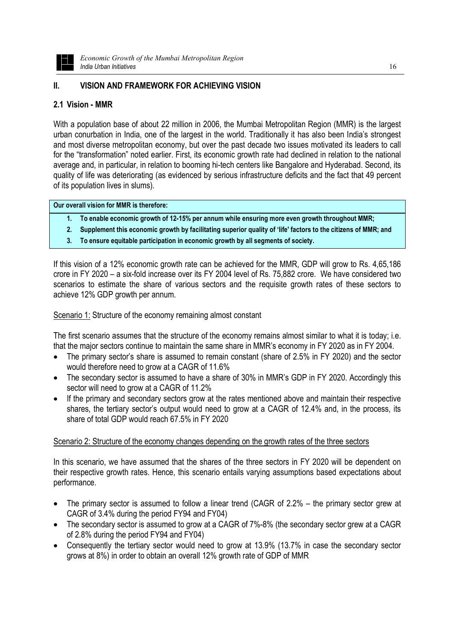

# **II. VISION AND FRAMEWORK FOR ACHIEVING VISION**

# **2.1 Vision - MMR**

With a population base of about 22 million in 2006, the Mumbai Metropolitan Region (MMR) is the largest urban conurbation in India, one of the largest in the world. Traditionally it has also been India's strongest and most diverse metropolitan economy, but over the past decade two issues motivated its leaders to call for the "transformation" noted earlier. First, its economic growth rate had declined in relation to the national average and, in particular, in relation to booming hi-tech centers like Bangalore and Hyderabad. Second, its quality of life was deteriorating (as evidenced by serious infrastructure deficits and the fact that 49 percent of its population lives in slums).

**Our overall vision for MMR is therefore:** 

- **1. To enable economic growth of 12-15% per annum while ensuring more even growth throughout MMR;**
- **2. Supplement this economic growth by facilitating superior quality of 'life' factors to the citizens of MMR; and**
- **3. To ensure equitable participation in economic growth by all segments of society.**

If this vision of a 12% economic growth rate can be achieved for the MMR, GDP will grow to Rs. 4,65,186 crore in FY 2020 – a six-fold increase over its FY 2004 level of Rs. 75,882 crore. We have considered two scenarios to estimate the share of various sectors and the requisite growth rates of these sectors to achieve 12% GDP growth per annum.

Scenario 1: Structure of the economy remaining almost constant

The first scenario assumes that the structure of the economy remains almost similar to what it is today; i.e. that the major sectors continue to maintain the same share in MMR's economy in FY 2020 as in FY 2004.

- The primary sector's share is assumed to remain constant (share of 2.5% in FY 2020) and the sector would therefore need to grow at a CAGR of 11.6%
- The secondary sector is assumed to have a share of 30% in MMR's GDP in FY 2020. Accordingly this sector will need to grow at a CAGR of 11.2%
- If the primary and secondary sectors grow at the rates mentioned above and maintain their respective shares, the tertiary sector's output would need to grow at a CAGR of 12.4% and, in the process, its share of total GDP would reach 67.5% in FY 2020

# Scenario 2: Structure of the economy changes depending on the growth rates of the three sectors

In this scenario, we have assumed that the shares of the three sectors in FY 2020 will be dependent on their respective growth rates. Hence, this scenario entails varying assumptions based expectations about performance.

- The primary sector is assumed to follow a linear trend (CAGR of 2.2% the primary sector grew at CAGR of 3.4% during the period FY94 and FY04)
- The secondary sector is assumed to grow at a CAGR of 7%-8% (the secondary sector grew at a CAGR of 2.8% during the period FY94 and FY04)
- Consequently the tertiary sector would need to grow at 13.9% (13.7% in case the secondary sector grows at 8%) in order to obtain an overall 12% growth rate of GDP of MMR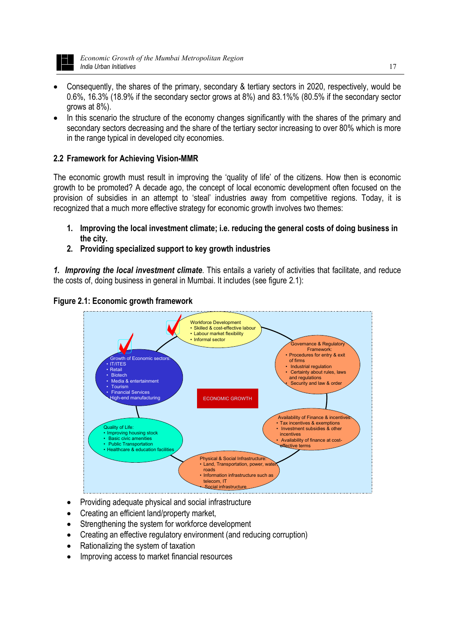

*Economic Growth of the Mumbai Metropolitan Region India Urban Initiatives* 17

- Consequently, the shares of the primary, secondary & tertiary sectors in 2020, respectively, would be 0.6%, 16.3% (18.9% if the secondary sector grows at 8%) and 83.1%% (80.5% if the secondary sector grows at 8%).
- In this scenario the structure of the economy changes significantly with the shares of the primary and secondary sectors decreasing and the share of the tertiary sector increasing to over 80% which is more in the range typical in developed city economies.

# **2.2 Framework for Achieving Vision-MMR**

The economic growth must result in improving the 'quality of life' of the citizens. How then is economic growth to be promoted? A decade ago, the concept of local economic development often focused on the provision of subsidies in an attempt to 'steal' industries away from competitive regions. Today, it is recognized that a much more effective strategy for economic growth involves two themes:

- **1. Improving the local investment climate; i.e. reducing the general costs of doing business in the city.**
- **2. Providing specialized support to key growth industries**

*1. Improving the local investment climate*. This entails a variety of activities that facilitate, and reduce the costs of, doing business in general in Mumbai. It includes (see figure 2.1):





- Providing adequate physical and social infrastructure
- Creating an efficient land/property market,
- Strengthening the system for workforce development
- Creating an effective regulatory environment (and reducing corruption)
- Rationalizing the system of taxation
- Improving access to market financial resources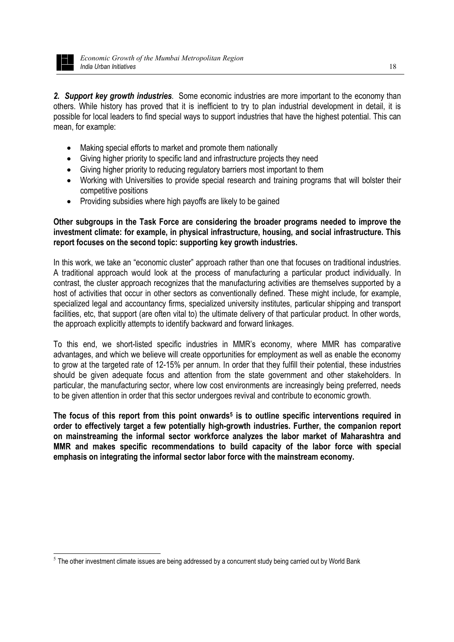

1

*2. Support key growth industries*. Some economic industries are more important to the economy than others. While history has proved that it is inefficient to try to plan industrial development in detail, it is possible for local leaders to find special ways to support industries that have the highest potential. This can mean, for example:

- Making special efforts to market and promote them nationally
- Giving higher priority to specific land and infrastructure projects they need
- Giving higher priority to reducing regulatory barriers most important to them
- Working with Universities to provide special research and training programs that will bolster their competitive positions
- Providing subsidies where high payoffs are likely to be gained

# **Other subgroups in the Task Force are considering the broader programs needed to improve the investment climate: for example, in physical infrastructure, housing, and social infrastructure. This report focuses on the second topic: supporting key growth industries.**

In this work, we take an "economic cluster" approach rather than one that focuses on traditional industries. A traditional approach would look at the process of manufacturing a particular product individually. In contrast, the cluster approach recognizes that the manufacturing activities are themselves supported by a host of activities that occur in other sectors as conventionally defined. These might include, for example, specialized legal and accountancy firms, specialized university institutes, particular shipping and transport facilities, etc, that support (are often vital to) the ultimate delivery of that particular product. In other words, the approach explicitly attempts to identify backward and forward linkages.

To this end, we short-listed specific industries in MMR's economy, where MMR has comparative advantages, and which we believe will create opportunities for employment as well as enable the economy to grow at the targeted rate of 12-15% per annum. In order that they fulfill their potential, these industries should be given adequate focus and attention from the state government and other stakeholders. In particular, the manufacturing sector, where low cost environments are increasingly being preferred, needs to be given attention in order that this sector undergoes revival and contribute to economic growth.

The focus of this report from this point onwards<sup>5</sup> is to outline specific interventions required in **order to effectively target a few potentially high-growth industries. Further, the companion report on mainstreaming the informal sector workforce analyzes the labor market of Maharashtra and MMR and makes specific recommendations to build capacity of the labor force with special emphasis on integrating the informal sector labor force with the mainstream economy.** 

<sup>&</sup>lt;sup>5</sup> The other investment climate issues are being addressed by a concurrent study being carried out by World Bank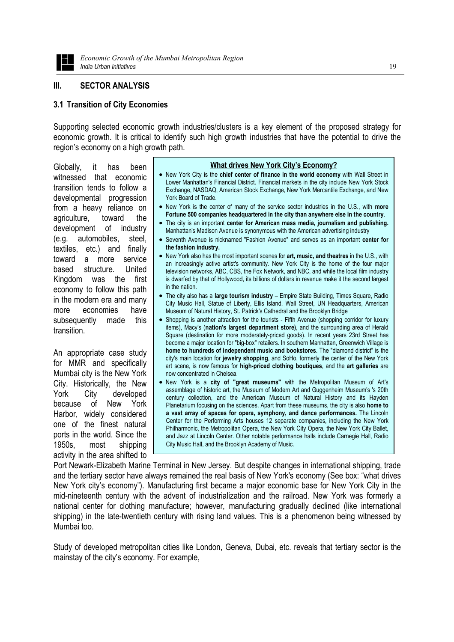

# **III. SECTOR ANALYSIS**

# **3.1 Transition of City Economies**

Supporting selected economic growth industries/clusters is a key element of the proposed strategy for economic growth. It is critical to identify such high growth industries that have the potential to drive the region's economy on a high growth path.

Globally, it has been witnessed that economic transition tends to follow a developmental progression from a heavy reliance on agriculture, toward the development of industry (e.g. automobiles, steel, textiles, etc.) and finally toward a more service based structure. United Kingdom was the first economy to follow this path in the modern era and many more economies have subsequently made this transition.

An appropriate case study for MMR and specifically Mumbai city is the New York City. Historically, the New York City developed because of New York Harbor, widely considered one of the finest natural ports in the world. Since the 1950s, most shipping activity in the area shifted to

#### **What drives New York City's Economy?**

- New York City is the **chief center of finance in the world economy** with Wall Street in Lower Manhattan's Financial District. Financial markets in the city include New York Stock Exchange, NASDAQ, American Stock Exchange, New York Mercantile Exchange, and New York Board of Trade.
- New York is the center of many of the service sector industries in the U.S., with **more Fortune 500 companies headquartered in the city than anywhere else in the country**.
- The city is an important **center for American mass media, journalism and publishing.** Manhattan's Madison Avenue is synonymous with the American advertising industry
- Seventh Avenue is nicknamed "Fashion Avenue" and serves as an important **center for the fashion industry.**
- New York also has the most important scenes for **art, music, and theatres** in the U.S., with an increasingly active artist's community. New York City is the home of the four major television networks, ABC, CBS, the Fox Network, and NBC, and while the local film industry is dwarfed by that of Hollywood, its billions of dollars in revenue make it the second largest in the nation.
- The city also has a **large tourism industry** Empire State Building, Times Square, Radio City Music Hall, Statue of Liberty, Ellis Island, Wall Street, UN Headquarters, American Museum of Natural History, St. Patrick's Cathedral and the Brooklyn Bridge
- Shopping is another attraction for the tourists Fifth Avenue (shopping corridor for luxury items), Macy's (**nation's largest department store)**, and the surrounding area of Herald Square (destination for more moderately-priced goods). In recent years 23rd Street has become a major location for "big-box" retailers. In southern Manhattan, Greenwich Village is **home to hundreds of independent music and bookstores**. The "diamond district" is the city's main location for **jewelry shopping**, and SoHo, formerly the center of the New York art scene, is now famous for **high-priced clothing boutiques**, and the **art galleries** are now concentrated in Chelsea.
- New York is a **city of "great museums"** with the Metropolitan Museum of Art's assemblage of historic art, the Museum of Modern Art and Guggenheim Museum's 's 20th century collection, and the American Museum of Natural History and its Hayden Planetarium focusing on the sciences. Apart from these museums, the city is also **home to a vast array of spaces for opera, symphony, and dance performances.** The Lincoln Center for the Performing Arts houses 12 separate companies, including the New York Philharmonic, the Metropolitan Opera, the New York City Opera, the New York City Ballet, and Jazz at Lincoln Center. Other notable performance halls include Carnegie Hall, Radio City Music Hall, and the Brooklyn Academy of Music.

Port Newark-Elizabeth Marine Terminal in New Jersey. But despite changes in international shipping, trade and the tertiary sector have always remained the real basis of New York's economy (See box: "what drives New York city's economy"). Manufacturing first became a major economic base for New York City in the mid-nineteenth century with the advent of industrialization and the railroad. New York was formerly a national center for clothing manufacture; however, manufacturing gradually declined (like international shipping) in the late-twentieth century with rising land values. This is a phenomenon being witnessed by Mumbai too.

Study of developed metropolitan cities like London, Geneva, Dubai, etc. reveals that tertiary sector is the mainstay of the city's economy. For example,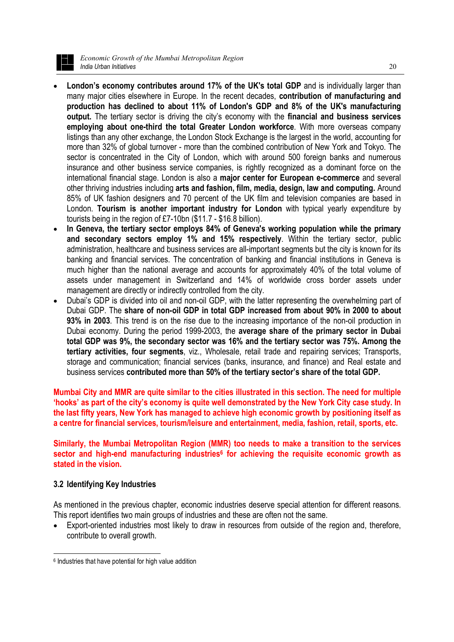

- **London's economy contributes around 17% of the UK's total GDP** and is individually larger than many major cities elsewhere in Europe. In the recent decades, **contribution of manufacturing and production has declined to about 11% of London's GDP and 8% of the UK's manufacturing output.** The tertiary sector is driving the city's economy with the **financial and business services employing about one-third the total Greater London workforce**. With more overseas company listings than any other exchange, the London Stock Exchange is the largest in the world, accounting for more than 32% of global turnover - more than the combined contribution of New York and Tokyo. The sector is concentrated in the City of London, which with around 500 foreign banks and numerous insurance and other business service companies, is rightly recognized as a dominant force on the international financial stage. London is also a **major center for European e-commerce** and several other thriving industries including **arts and fashion, film, media, design, law and computing.** Around 85% of UK fashion designers and 70 percent of the UK film and television companies are based in London. **Tourism is another important industry for London** with typical yearly expenditure by tourists being in the region of £7-10bn (\$11.7 - \$16.8 billion).
- **In Geneva, the tertiary sector employs 84% of Geneva's working population while the primary and secondary sectors employ 1% and 15% respectively**. Within the tertiary sector, public administration, healthcare and business services are all-important segments but the city is known for its banking and financial services. The concentration of banking and financial institutions in Geneva is much higher than the national average and accounts for approximately 40% of the total volume of assets under management in Switzerland and 14% of worldwide cross border assets under management are directly or indirectly controlled from the city.
- Dubai's GDP is divided into oil and non-oil GDP, with the latter representing the overwhelming part of Dubai GDP. The **share of non-oil GDP in total GDP increased from about 90% in 2000 to about 93% in 2003**. This trend is on the rise due to the increasing importance of the non-oil production in Dubai economy. During the period 1999-2003, the **average share of the primary sector in Dubai total GDP was 9%, the secondary sector was 16% and the tertiary sector was 75%. Among the tertiary activities, four segments**, viz., Wholesale, retail trade and repairing services; Transports, storage and communication; financial services (banks, insurance, and finance) and Real estate and business services **contributed more than 50% of the tertiary sector's share of the total GDP.**

**Mumbai City and MMR are quite similar to the cities illustrated in this section. The need for multiple 'hooks' as part of the city's economy is quite well demonstrated by the New York City case study. In the last fifty years, New York has managed to achieve high economic growth by positioning itself as a centre for financial services, tourism/leisure and entertainment, media, fashion, retail, sports, etc.** 

**Similarly, the Mumbai Metropolitan Region (MMR) too needs to make a transition to the services**  sector and high-end manufacturing industries<sup>6</sup> for achieving the requisite economic growth as **stated in the vision.** 

# **3.2 Identifying Key Industries**

1

As mentioned in the previous chapter, economic industries deserve special attention for different reasons. This report identifies two main groups of industries and these are often not the same.

• Export-oriented industries most likely to draw in resources from outside of the region and, therefore, contribute to overall growth.

<sup>6</sup> Industries that have potential for high value addition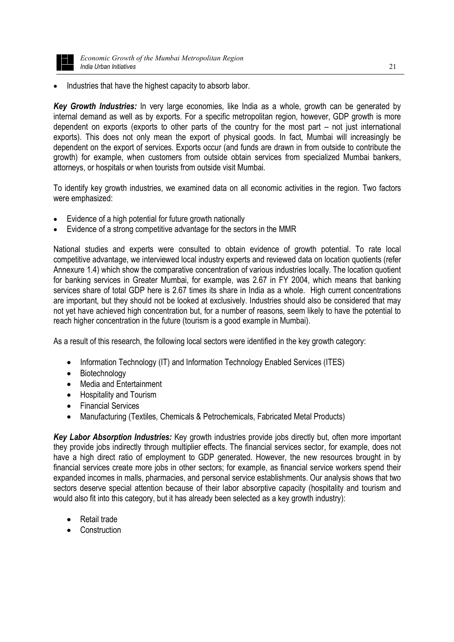

Industries that have the highest capacity to absorb labor.

*Key Growth Industries:* In very large economies, like India as a whole, growth can be generated by internal demand as well as by exports. For a specific metropolitan region, however, GDP growth is more dependent on exports (exports to other parts of the country for the most part – not just international exports). This does not only mean the export of physical goods. In fact, Mumbai will increasingly be dependent on the export of services. Exports occur (and funds are drawn in from outside to contribute the growth) for example, when customers from outside obtain services from specialized Mumbai bankers, attorneys, or hospitals or when tourists from outside visit Mumbai.

To identify key growth industries, we examined data on all economic activities in the region. Two factors were emphasized:

- Evidence of a high potential for future growth nationally
- Evidence of a strong competitive advantage for the sectors in the MMR

National studies and experts were consulted to obtain evidence of growth potential. To rate local competitive advantage, we interviewed local industry experts and reviewed data on location quotients (refer Annexure 1.4) which show the comparative concentration of various industries locally. The location quotient for banking services in Greater Mumbai, for example, was 2.67 in FY 2004, which means that banking services share of total GDP here is 2.67 times its share in India as a whole. High current concentrations are important, but they should not be looked at exclusively. Industries should also be considered that may not yet have achieved high concentration but, for a number of reasons, seem likely to have the potential to reach higher concentration in the future (tourism is a good example in Mumbai).

As a result of this research, the following local sectors were identified in the key growth category:

- Information Technology (IT) and Information Technology Enabled Services (ITES)
- Biotechnology
- Media and Entertainment
- Hospitality and Tourism
- Financial Services
- Manufacturing (Textiles, Chemicals & Petrochemicals, Fabricated Metal Products)

*Key Labor Absorption Industries:* Key growth industries provide jobs directly but, often more important they provide jobs indirectly through multiplier effects. The financial services sector, for example, does not have a high direct ratio of employment to GDP generated. However, the new resources brought in by financial services create more jobs in other sectors; for example, as financial service workers spend their expanded incomes in malls, pharmacies, and personal service establishments. Our analysis shows that two sectors deserve special attention because of their labor absorptive capacity (hospitality and tourism and would also fit into this category, but it has already been selected as a key growth industry):

- Retail trade
- **Construction**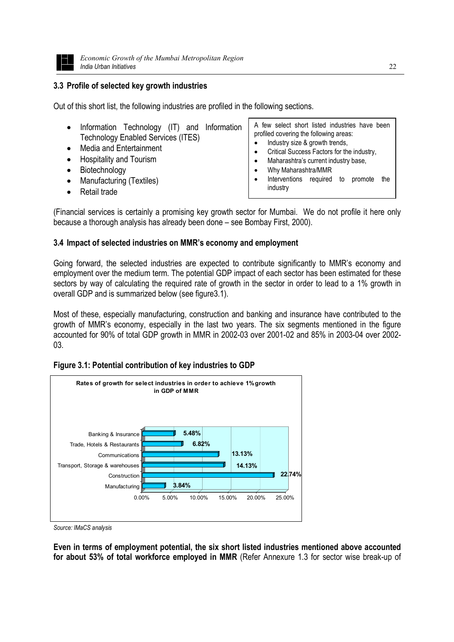

# **3.3 Profile of selected key growth industries**

Out of this short list, the following industries are profiled in the following sections.

|           | Information Technology (IT) and Information<br><b>Technology Enabled Services (ITES)</b> | A few select short listed industries have been<br>profiled covering the following areas: |  |  |
|-----------|------------------------------------------------------------------------------------------|------------------------------------------------------------------------------------------|--|--|
|           | Media and Entertainment                                                                  | Industry size & growth trends,                                                           |  |  |
| $\bullet$ | <b>Hospitality and Tourism</b>                                                           | Critical Success Factors for the industry,<br>Maharashtra's current industry base,       |  |  |
|           | Biotechnology                                                                            | Why Maharashtra/MMR                                                                      |  |  |
|           | Manufacturing (Textiles)                                                                 | Interventions required to promote<br>the                                                 |  |  |
|           | Retail trade                                                                             | industry                                                                                 |  |  |

(Financial services is certainly a promising key growth sector for Mumbai. We do not profile it here only because a thorough analysis has already been done – see Bombay First, 2000).

# **3.4 Impact of selected industries on MMR's economy and employment**

Going forward, the selected industries are expected to contribute significantly to MMR's economy and employment over the medium term. The potential GDP impact of each sector has been estimated for these sectors by way of calculating the required rate of growth in the sector in order to lead to a 1% growth in overall GDP and is summarized below (see figure3.1).

Most of these, especially manufacturing, construction and banking and insurance have contributed to the growth of MMR's economy, especially in the last two years. The six segments mentioned in the figure accounted for 90% of total GDP growth in MMR in 2002-03 over 2001-02 and 85% in 2003-04 over 2002- 03.





*Source: IMaCS analysis* 

**Even in terms of employment potential, the six short listed industries mentioned above accounted for about 53% of total workforce employed in MMR** (Refer Annexure 1.3 for sector wise break-up of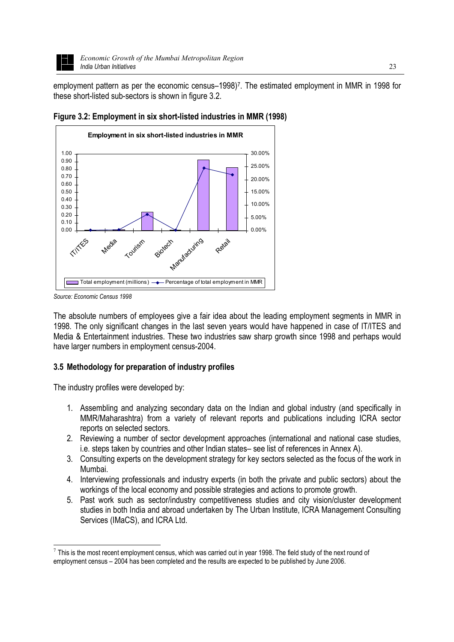

employment pattern as per the economic census–1998)<sup>7</sup>. The estimated employment in MMR in 1998 for these short-listed sub-sectors is shown in figure 3.2.





-

The absolute numbers of employees give a fair idea about the leading employment segments in MMR in 1998. The only significant changes in the last seven years would have happened in case of IT/ITES and Media & Entertainment industries. These two industries saw sharp growth since 1998 and perhaps would have larger numbers in employment census-2004.

# **3.5 Methodology for preparation of industry profiles**

The industry profiles were developed by:

- 1. Assembling and analyzing secondary data on the Indian and global industry (and specifically in MMR/Maharashtra) from a variety of relevant reports and publications including ICRA sector reports on selected sectors.
- 2. Reviewing a number of sector development approaches (international and national case studies, i.e. steps taken by countries and other Indian states– see list of references in Annex A).
- 3. Consulting experts on the development strategy for key sectors selected as the focus of the work in Mumbai.
- 4. Interviewing professionals and industry experts (in both the private and public sectors) about the workings of the local economy and possible strategies and actions to promote growth.
- 5. Past work such as sector/industry competitiveness studies and city vision/cluster development studies in both India and abroad undertaken by The Urban Institute, ICRA Management Consulting Services (IMaCS), and ICRA Ltd.

*Source: Economic Census 1998* 

 $7$  This is the most recent employment census, which was carried out in year 1998. The field study of the next round of employment census – 2004 has been completed and the results are expected to be published by June 2006.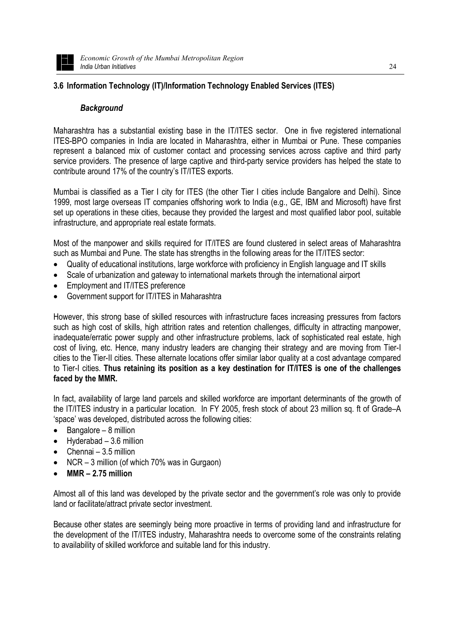

# **3.6 Information Technology (IT)/Information Technology Enabled Services (ITES)**

# *Background*

Maharashtra has a substantial existing base in the IT/ITES sector. One in five registered international ITES-BPO companies in India are located in Maharashtra, either in Mumbai or Pune. These companies represent a balanced mix of customer contact and processing services across captive and third party service providers. The presence of large captive and third-party service providers has helped the state to contribute around 17% of the country's IT/ITES exports.

Mumbai is classified as a Tier I city for ITES (the other Tier I cities include Bangalore and Delhi). Since 1999, most large overseas IT companies offshoring work to India (e.g., GE, IBM and Microsoft) have first set up operations in these cities, because they provided the largest and most qualified labor pool, suitable infrastructure, and appropriate real estate formats.

Most of the manpower and skills required for IT/ITES are found clustered in select areas of Maharashtra such as Mumbai and Pune. The state has strengths in the following areas for the IT/ITES sector:

- Quality of educational institutions, large workforce with proficiency in English language and IT skills
- Scale of urbanization and gateway to international markets through the international airport
- Employment and IT/ITES preference
- Government support for IT/ITES in Maharashtra

However, this strong base of skilled resources with infrastructure faces increasing pressures from factors such as high cost of skills, high attrition rates and retention challenges, difficulty in attracting manpower, inadequate/erratic power supply and other infrastructure problems, lack of sophisticated real estate, high cost of living, etc. Hence, many industry leaders are changing their strategy and are moving from Tier-I cities to the Tier-II cities. These alternate locations offer similar labor quality at a cost advantage compared to Tier-I cities. **Thus retaining its position as a key destination for IT/ITES is one of the challenges faced by the MMR.** 

In fact, availability of large land parcels and skilled workforce are important determinants of the growth of the IT/ITES industry in a particular location. In FY 2005, fresh stock of about 23 million sq. ft of Grade–A 'space' was developed, distributed across the following cities:

- Bangalore 8 million
- $\bullet$  Hyderabad  $-3.6$  million
- Chennai 3.5 million
- NCR 3 million (of which 70% was in Gurgaon)
- **MMR 2.75 million**

Almost all of this land was developed by the private sector and the government's role was only to provide land or facilitate/attract private sector investment.

Because other states are seemingly being more proactive in terms of providing land and infrastructure for the development of the IT/ITES industry, Maharashtra needs to overcome some of the constraints relating to availability of skilled workforce and suitable land for this industry.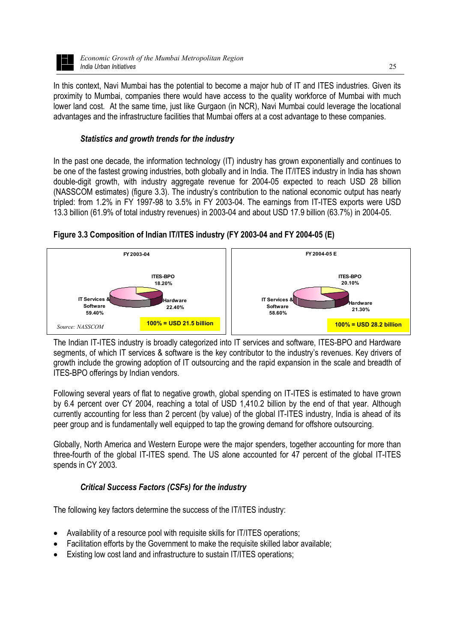

In this context, Navi Mumbai has the potential to become a major hub of IT and ITES industries. Given its proximity to Mumbai, companies there would have access to the quality workforce of Mumbai with much lower land cost. At the same time, just like Gurgaon (in NCR), Navi Mumbai could leverage the locational advantages and the infrastructure facilities that Mumbai offers at a cost advantage to these companies.

# *Statistics and growth trends for the industry*

In the past one decade, the information technology (IT) industry has grown exponentially and continues to be one of the fastest growing industries, both globally and in India. The IT/ITES industry in India has shown double-digit growth, with industry aggregate revenue for 2004-05 expected to reach USD 28 billion (NASSCOM estimates) (figure 3.3). The industry's contribution to the national economic output has nearly tripled: from 1.2% in FY 1997-98 to 3.5% in FY 2003-04. The earnings from IT-ITES exports were USD 13.3 billion (61.9% of total industry revenues) in 2003-04 and about USD 17.9 billion (63.7%) in 2004-05.



**Figure 3.3 Composition of Indian IT/ITES industry (FY 2003-04 and FY 2004-05 (E)** 

The Indian IT-ITES industry is broadly categorized into IT services and software, ITES-BPO and Hardware segments, of which IT services & software is the key contributor to the industry's revenues. Key drivers of growth include the growing adoption of IT outsourcing and the rapid expansion in the scale and breadth of ITES-BPO offerings by Indian vendors.

Following several years of flat to negative growth, global spending on IT-ITES is estimated to have grown by 6.4 percent over CY 2004, reaching a total of USD 1,410.2 billion by the end of that year. Although currently accounting for less than 2 percent (by value) of the global IT-ITES industry, India is ahead of its peer group and is fundamentally well equipped to tap the growing demand for offshore outsourcing.

Globally, North America and Western Europe were the major spenders, together accounting for more than three-fourth of the global IT-ITES spend. The US alone accounted for 47 percent of the global IT-ITES spends in CY 2003.

# *Critical Success Factors (CSFs) for the industry*

The following key factors determine the success of the IT/ITES industry:

- Availability of a resource pool with requisite skills for IT/ITES operations:
- Facilitation efforts by the Government to make the requisite skilled labor available;
- Existing low cost land and infrastructure to sustain IT/ITES operations;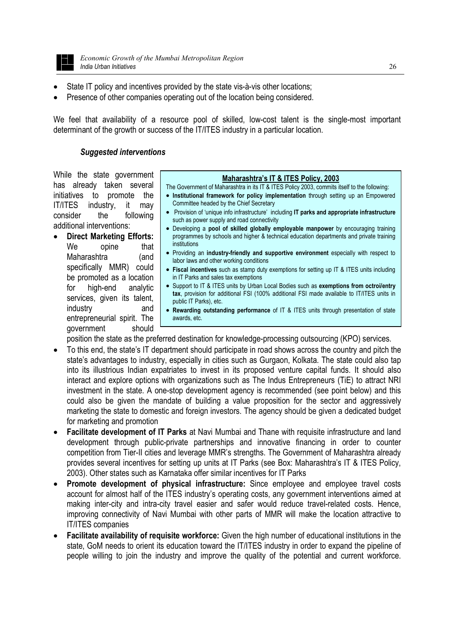

- State IT policy and incentives provided by the state vis-à-vis other locations;
- Presence of other companies operating out of the location being considered.

We feel that availability of a resource pool of skilled, low-cost talent is the single-most important determinant of the growth or success of the IT/ITES industry in a particular location.

# *Suggested interventions*

While the state government has already taken several initiatives to promote the IT/ITES industry, it may consider the following additional interventions:

• **Direct Marketing Efforts:** We opine that Maharashtra (and specifically MMR) could be promoted as a location for high-end analytic services, given its talent, industry and entrepreneurial spirit. The government should

### **Maharashtra's IT & ITES Policy, 2003**

The Government of Maharashtra in its IT & ITES Policy 2003, commits itself to the following:

- **Institutional framework for policy implementation** through setting up an Empowered Committee headed by the Chief Secretary
- Provision of 'unique info infrastructure' including **IT parks and appropriate infrastructure**  such as power supply and road connectivity
- Developing a **pool of skilled globally employable manpower** by encouraging training programmes by schools and higher & technical education departments and private training institutions
- Providing an **industry-friendly and supportive environment** especially with respect to labor laws and other working conditions
- **Fiscal incentives** such as stamp duty exemptions for setting up IT & ITES units including in IT Parks and sales tax exemptions
- Support to IT & ITES units by Urban Local Bodies such as **exemptions from octroi/entry tax**, provision for additional FSI (100% additional FSI made available to IT/ITES units in public IT Parks), etc.
- **Rewarding outstanding performance** of IT & ITES units through presentation of state awards, etc.

position the state as the preferred destination for knowledge-processing outsourcing (KPO) services.

- To this end, the state's IT department should participate in road shows across the country and pitch the state's advantages to industry, especially in cities such as Gurgaon, Kolkata. The state could also tap into its illustrious Indian expatriates to invest in its proposed venture capital funds. It should also interact and explore options with organizations such as The Indus Entrepreneurs (TiE) to attract NRI investment in the state. A one-stop development agency is recommended (see point below) and this could also be given the mandate of building a value proposition for the sector and aggressively marketing the state to domestic and foreign investors. The agency should be given a dedicated budget for marketing and promotion
- **Facilitate development of IT Parks** at Navi Mumbai and Thane with requisite infrastructure and land development through public-private partnerships and innovative financing in order to counter competition from Tier-II cities and leverage MMR's strengths. The Government of Maharashtra already provides several incentives for setting up units at IT Parks (see Box: Maharashtra's IT & ITES Policy, 2003). Other states such as Karnataka offer similar incentives for IT Parks
- **Promote development of physical infrastructure:** Since employee and employee travel costs account for almost half of the ITES industry's operating costs, any government interventions aimed at making inter-city and intra-city travel easier and safer would reduce travel-related costs. Hence, improving connectivity of Navi Mumbai with other parts of MMR will make the location attractive to IT/ITES companies
- **Facilitate availability of requisite workforce:** Given the high number of educational institutions in the state, GoM needs to orient its education toward the IT/ITES industry in order to expand the pipeline of people willing to join the industry and improve the quality of the potential and current workforce.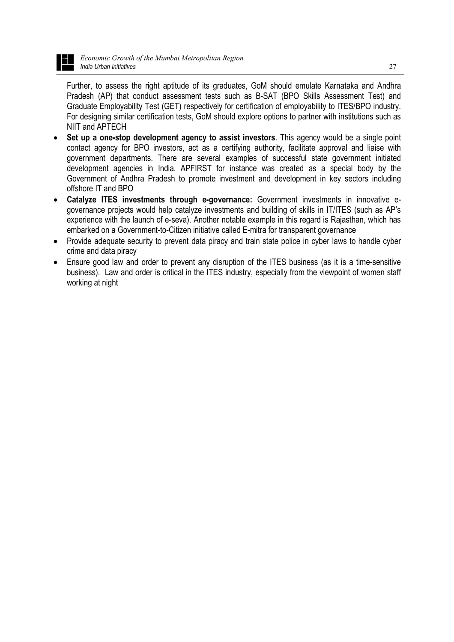

Further, to assess the right aptitude of its graduates, GoM should emulate Karnataka and Andhra Pradesh (AP) that conduct assessment tests such as B-SAT (BPO Skills Assessment Test) and Graduate Employability Test (GET) respectively for certification of employability to ITES/BPO industry. For designing similar certification tests, GoM should explore options to partner with institutions such as NIIT and APTECH

- **Set up a one-stop development agency to assist investors**. This agency would be a single point contact agency for BPO investors, act as a certifying authority, facilitate approval and liaise with government departments. There are several examples of successful state government initiated development agencies in India. APFIRST for instance was created as a special body by the Government of Andhra Pradesh to promote investment and development in key sectors including offshore IT and BPO
- **Catalyze ITES investments through e-governance:** Government investments in innovative egovernance projects would help catalyze investments and building of skills in IT/ITES (such as AP's experience with the launch of e-seva). Another notable example in this regard is Rajasthan, which has embarked on a Government-to-Citizen initiative called E-mitra for transparent governance
- Provide adequate security to prevent data piracy and train state police in cyber laws to handle cyber crime and data piracy
- Ensure good law and order to prevent any disruption of the ITES business (as it is a time-sensitive business). Law and order is critical in the ITES industry, especially from the viewpoint of women staff working at night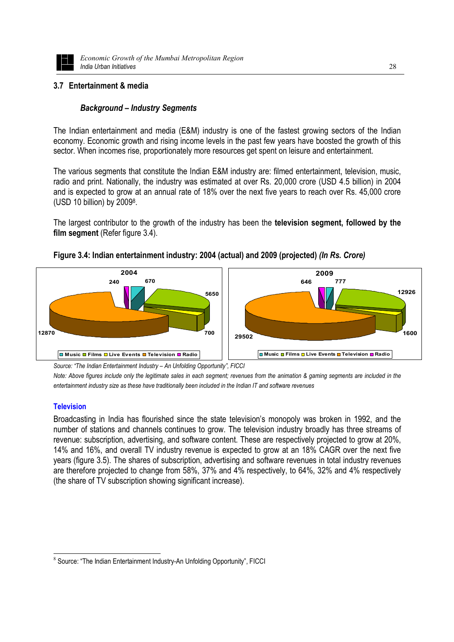

*Economic Growth of the Mumbai Metropolitan Region India Urban Initiatives* 28

# **3.7 Entertainment & media**

# *Background – Industry Segments*

The Indian entertainment and media (E&M) industry is one of the fastest growing sectors of the Indian economy. Economic growth and rising income levels in the past few years have boosted the growth of this sector. When incomes rise, proportionately more resources get spent on leisure and entertainment.

The various segments that constitute the Indian E&M industry are: filmed entertainment, television, music, radio and print. Nationally, the industry was estimated at over Rs. 20,000 crore (USD 4.5 billion) in 2004 and is expected to grow at an annual rate of 18% over the next five years to reach over Rs. 45,000 crore (USD 10 billion) by 20098.

The largest contributor to the growth of the industry has been the **television segment, followed by the film segment** (Refer figure 3.4).





*Source: "The Indian Entertainment Industry – An Unfolding Opportunity", FICCI* 

*Note: Above figures include only the legitimate sales in each segment; revenues from the animation & gaming segments are included in the entertainment industry size as these have traditionally been included in the Indian IT and software revenues* 

# **Television**

1

Broadcasting in India has flourished since the state television's monopoly was broken in 1992, and the number of stations and channels continues to grow. The television industry broadly has three streams of revenue: subscription, advertising, and software content. These are respectively projected to grow at 20%, 14% and 16%, and overall TV industry revenue is expected to grow at an 18% CAGR over the next five years (figure 3.5). The shares of subscription, advertising and software revenues in total industry revenues are therefore projected to change from 58%, 37% and 4% respectively, to 64%, 32% and 4% respectively (the share of TV subscription showing significant increase).

<sup>&</sup>lt;sup>8</sup> Source: "The Indian Entertainment Industry-An Unfolding Opportunity", FICCI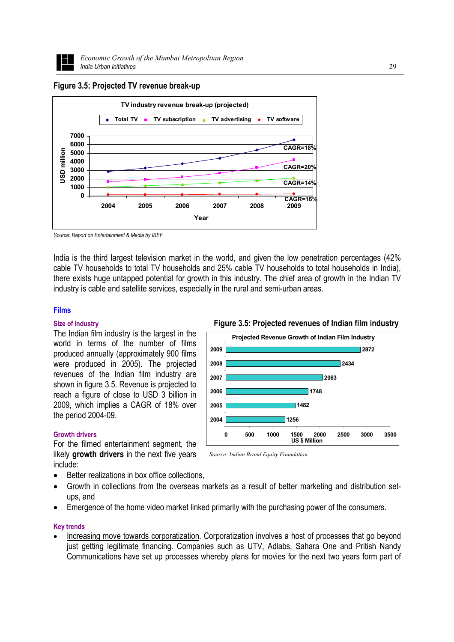

# **Figure 3.5: Projected TV revenue break-up**



*Source: Report on Entertainment & Media by IBEF* 

India is the third largest television market in the world, and given the low penetration percentages (42% cable TV households to total TV households and 25% cable TV households to total households in India), there exists huge untapped potential for growth in this industry. The chief area of growth in the Indian TV industry is cable and satellite services, especially in the rural and semi-urban areas.

# **Films**

The Indian film industry is the largest in the world in terms of the number of films produced annually (approximately 900 films were produced in 2005). The projected revenues of the Indian film industry are shown in figure 3.5. Revenue is projected to reach a figure of close to USD 3 billion in 2009, which implies a CAGR of 18% over the period 2004-09.

# **Growth drivers**

For the filmed entertainment segment, the likely **growth drivers** in the next five years include:

• Better realizations in box office collections,

# **Size of industry Figure 3.5: Projected revenues of Indian film industry**



*Source: Indian Brand Equity Foundation* 

- Growth in collections from the overseas markets as a result of better marketing and distribution setups, and
- Emergence of the home video market linked primarily with the purchasing power of the consumers.

# **Key trends**

• Increasing move towards corporatization. Corporatization involves a host of processes that go beyond just getting legitimate financing. Companies such as UTV, Adlabs, Sahara One and Pritish Nandy Communications have set up processes whereby plans for movies for the next two years form part of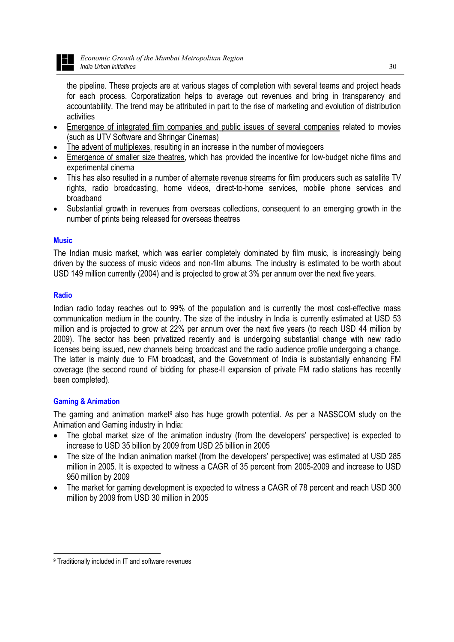

the pipeline. These projects are at various stages of completion with several teams and project heads for each process. Corporatization helps to average out revenues and bring in transparency and accountability. The trend may be attributed in part to the rise of marketing and evolution of distribution activities

- Emergence of integrated film companies and public issues of several companies related to movies (such as UTV Software and Shringar Cinemas)
- The advent of multiplexes, resulting in an increase in the number of moviegoers
- Emergence of smaller size theatres, which has provided the incentive for low-budget niche films and experimental cinema
- This has also resulted in a number of alternate revenue streams for film producers such as satellite TV rights, radio broadcasting, home videos, direct-to-home services, mobile phone services and broadband
- Substantial growth in revenues from overseas collections, consequent to an emerging growth in the number of prints being released for overseas theatres

# **Music**

The Indian music market, which was earlier completely dominated by film music, is increasingly being driven by the success of music videos and non-film albums. The industry is estimated to be worth about USD 149 million currently (2004) and is projected to grow at 3% per annum over the next five years.

# **Radio**

Indian radio today reaches out to 99% of the population and is currently the most cost-effective mass communication medium in the country. The size of the industry in India is currently estimated at USD 53 million and is projected to grow at 22% per annum over the next five years (to reach USD 44 million by 2009). The sector has been privatized recently and is undergoing substantial change with new radio licenses being issued, new channels being broadcast and the radio audience profile undergoing a change. The latter is mainly due to FM broadcast, and the Government of India is substantially enhancing FM coverage (the second round of bidding for phase-II expansion of private FM radio stations has recently been completed).

# **Gaming & Animation**

The gaming and animation market<sup>9</sup> also has huge growth potential. As per a NASSCOM study on the Animation and Gaming industry in India:

- The global market size of the animation industry (from the developers' perspective) is expected to increase to USD 35 billion by 2009 from USD 25 billion in 2005
- The size of the Indian animation market (from the developers' perspective) was estimated at USD 285 million in 2005. It is expected to witness a CAGR of 35 percent from 2005-2009 and increase to USD 950 million by 2009
- The market for gaming development is expected to witness a CAGR of 78 percent and reach USD 300 million by 2009 from USD 30 million in 2005

<sup>1</sup> 9 Traditionally included in IT and software revenues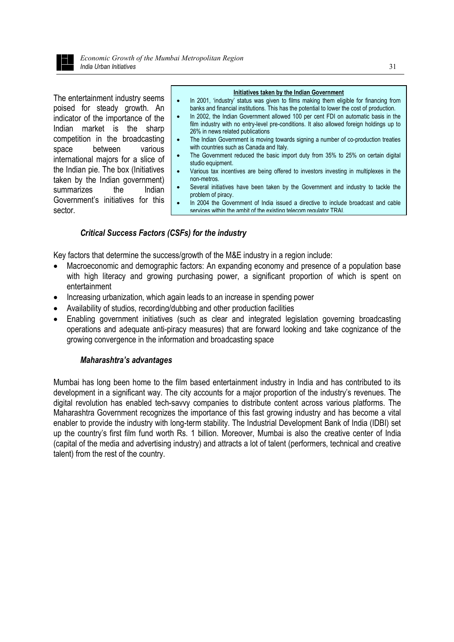

The entertainment industry seems poised for steady growth. An indicator of the importance of the Indian market is the sharp competition in the broadcasting space between various international majors for a slice of the Indian pie. The box (Initiatives taken by the Indian government) summarizes the Indian Government's initiatives for this sector.

#### **Initiatives taken by the Indian Government**

- In 2001, 'industry' status was given to films making them eligible for financing from banks and financial institutions. This has the potential to lower the cost of production.
- In 2002, the Indian Government allowed 100 per cent FDI on automatic basis in the film industry with no entry-level pre-conditions. It also allowed foreign holdings up to 26% in news related publications
- The Indian Government is moving towards signing a number of co-production treaties with countries such as Canada and Italy.
- The Government reduced the basic import duty from 35% to 25% on certain digital studio equipment.
- Various tax incentives are being offered to investors investing in multiplexes in the non-metros.
- Several initiatives have been taken by the Government and industry to tackle the problem of piracy.
- In 2004 the Government of India issued a directive to include broadcast and cable services within the ambit of the existing telecom regulator TRAI.

# *Critical Success Factors (CSFs) for the industry*

Key factors that determine the success/growth of the M&E industry in a region include:

- Macroeconomic and demographic factors: An expanding economy and presence of a population base with high literacy and growing purchasing power, a significant proportion of which is spent on entertainment
- Increasing urbanization, which again leads to an increase in spending power
- Availability of studios, recording/dubbing and other production facilities
- Enabling government initiatives (such as clear and integrated legislation governing broadcasting operations and adequate anti-piracy measures) that are forward looking and take cognizance of the growing convergence in the information and broadcasting space

#### *Maharashtra's advantages*

Mumbai has long been home to the film based entertainment industry in India and has contributed to its development in a significant way. The city accounts for a major proportion of the industry's revenues. The digital revolution has enabled tech-savvy companies to distribute content across various platforms. The Maharashtra Government recognizes the importance of this fast growing industry and has become a vital enabler to provide the industry with long-term stability. The Industrial Development Bank of India (IDBI) set up the country's first film fund worth Rs. 1 billion. Moreover, Mumbai is also the creative center of India (capital of the media and advertising industry) and attracts a lot of talent (performers, technical and creative talent) from the rest of the country.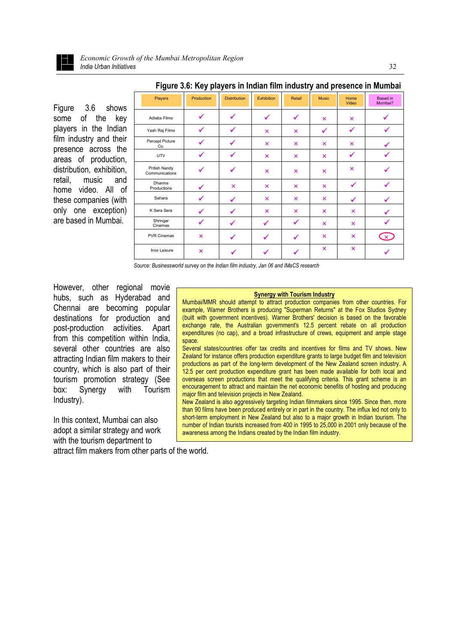

Figure 3.6 shows some of the key players in the Indian film industry and their presence across the areas of production, distribution, exhibition, retail, music and home video. All of these companies (with only one exception) are based in Mumbai.

|                                 |                           |                           |                           |        |                           |                           | i iyult J.V. Key piayers in mulan min muusu y anu presence in mumbar |
|---------------------------------|---------------------------|---------------------------|---------------------------|--------|---------------------------|---------------------------|----------------------------------------------------------------------|
| Players                         | Production                | <b>Distribution</b>       | Exhibition                | Retail | <b>Music</b>              | Home<br>Video             | <b>Based</b> in<br>Mumbai?                                           |
| <b>Adlabs Films</b>             |                           |                           | ✔                         | ✓      | ×                         | ×                         |                                                                      |
| Yash Raj Films                  |                           |                           | $\boldsymbol{\mathsf{x}}$ | ×      | ✓                         | ✔                         |                                                                      |
| Percept Picture<br>Co.          |                           | ✔                         | $\boldsymbol{\mathsf{x}}$ | ×      | $\boldsymbol{\mathsf{x}}$ | ×                         |                                                                      |
| UTV                             |                           |                           | $\boldsymbol{\mathsf{x}}$ | ×      | ×                         | ✓                         |                                                                      |
| Pritish Nandy<br>Communications |                           |                           | $\boldsymbol{\mathsf{x}}$ | ×      | $\boldsymbol{\mathsf{x}}$ | ×                         |                                                                      |
| Dharma<br>Productions           |                           | $\boldsymbol{\mathsf{x}}$ | $\boldsymbol{\mathsf{x}}$ | ×      | $\overline{\mathsf{x}}$   | ✔                         |                                                                      |
| Sahara                          |                           |                           | $\boldsymbol{\mathsf{x}}$ | ×      | $\boldsymbol{\mathsf{x}}$ | ✔                         |                                                                      |
| K Sera Sera                     |                           | ✔                         | $\boldsymbol{\mathsf{x}}$ | ×      | ×                         | $\boldsymbol{\mathsf{x}}$ |                                                                      |
| Shringar<br>Cinemas             |                           |                           | ✔                         | ✔      | ×                         | $\boldsymbol{\mathsf{x}}$ |                                                                      |
| PVR Cinemas                     | $\boldsymbol{\mathsf{x}}$ |                           |                           | ✔      | $\boldsymbol{\mathsf{x}}$ | $\boldsymbol{\mathsf{x}}$ | ×                                                                    |
| Inox Leisure                    | $\boldsymbol{\mathsf{x}}$ |                           |                           |        | $\boldsymbol{\mathsf{x}}$ | $\boldsymbol{\mathsf{x}}$ |                                                                      |
|                                 |                           |                           |                           |        |                           |                           |                                                                      |

# **Figure 3.6: Key players in Indian film industry and presence in Mumbai**

*Source: Businessworld survey on the Indian film industry, Jan 06 and IMaCS research* 

However, other regional movie hubs, such as Hyderabad and Chennai are becoming popular destinations for production and post-production activities. Apart from this competition within India, several other countries are also attracting Indian film makers to their country, which is also part of their tourism promotion strategy (See box: Synergy with Tourism Industry).

In this context, Mumbai can also adopt a similar strategy and work with the tourism department to

#### **Synergy with Tourism Industry**

Mumbai/MMR should attempt to attract production companies from other countries. For example, Warner Brothers is producing "Superman Returns" at the Fox Studios Sydney (built with government incentives). Warner Brothers' decision is based on the favorable exchange rate, the Australian government's 12.5 percent rebate on all production expenditures (no cap), and a broad infrastructure of crews, equipment and ample stage space.

Several states/countries offer tax credits and incentives for films and TV shows. New Zealand for instance offers production expenditure grants to large budget film and television productions as part of the long-term development of the New Zealand screen industry. A 12.5 per cent production expenditure grant has been made available for both local and overseas screen productions that meet the qualifying criteria. This grant scheme is an encouragement to attract and maintain the net economic benefits of hosting and producing major film and television projects in New Zealand.

New Zealand is also aggressively targeting Indian filmmakers since 1995. Since then, more than 90 films have been produced entirely or in part in the country. The influx led not only to short-term employment in New Zealand but also to a major growth in Indian tourism. The number of Indian tourists increased from 400 in 1995 to 25,000 in 2001 only because of the awareness among the Indians created by the Indian film industry.

attract film makers from other parts of the world.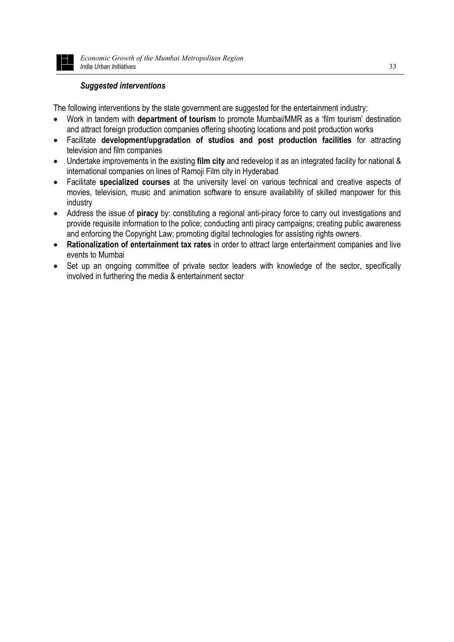

# *Suggested interventions*

The following interventions by the state government are suggested for the entertainment industry:

- Work in tandem with **department of tourism** to promote Mumbai/MMR as a 'film tourism' destination and attract foreign production companies offering shooting locations and post production works
- Facilitate **development/upgradation of studios and post production facilities** for attracting television and film companies
- Undertake improvements in the existing **film city** and redevelop it as an integrated facility for national & international companies on lines of Ramoji Film city in Hyderabad
- Facilitate **specialized courses** at the university level on various technical and creative aspects of movies, television, music and animation software to ensure availability of skilled manpower for this industry
- Address the issue of **piracy** by: constituting a regional anti-piracy force to carry out investigations and provide requisite information to the police; conducting anti piracy campaigns; creating public awareness and enforcing the Copyright Law; promoting digital technologies for assisting rights owners.
- **Rationalization of entertainment tax rates** in order to attract large entertainment companies and live events to Mumbai
- Set up an ongoing committee of private sector leaders with knowledge of the sector, specifically involved in furthering the media & entertainment sector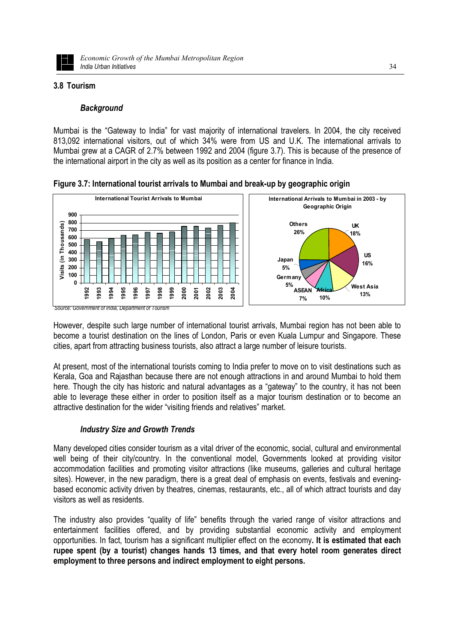

## **3.8 Tourism**

#### *Background*

Mumbai is the "Gateway to India" for vast majority of international travelers. In 2004, the city received 813,092 international visitors, out of which 34% were from US and U.K. The international arrivals to Mumbai grew at a CAGR of 2.7% between 1992 and 2004 (figure 3.7). This is because of the presence of the international airport in the city as well as its position as a center for finance in India.





However, despite such large number of international tourist arrivals, Mumbai region has not been able to become a tourist destination on the lines of London, Paris or even Kuala Lumpur and Singapore. These cities, apart from attracting business tourists, also attract a large number of leisure tourists.

At present, most of the international tourists coming to India prefer to move on to visit destinations such as Kerala, Goa and Rajasthan because there are not enough attractions in and around Mumbai to hold them here. Though the city has historic and natural advantages as a "gateway" to the country, it has not been able to leverage these either in order to position itself as a major tourism destination or to become an attractive destination for the wider "visiting friends and relatives" market.

#### *Industry Size and Growth Trends*

Many developed cities consider tourism as a vital driver of the economic, social, cultural and environmental well being of their city/country. In the conventional model, Governments looked at providing visitor accommodation facilities and promoting visitor attractions (like museums, galleries and cultural heritage sites). However, in the new paradigm, there is a great deal of emphasis on events, festivals and eveningbased economic activity driven by theatres, cinemas, restaurants, etc., all of which attract tourists and day visitors as well as residents.

The industry also provides "quality of life" benefits through the varied range of visitor attractions and entertainment facilities offered, and by providing substantial economic activity and employment opportunities. In fact, tourism has a significant multiplier effect on the economy**. It is estimated that each rupee spent (by a tourist) changes hands 13 times, and that every hotel room generates direct employment to three persons and indirect employment to eight persons.**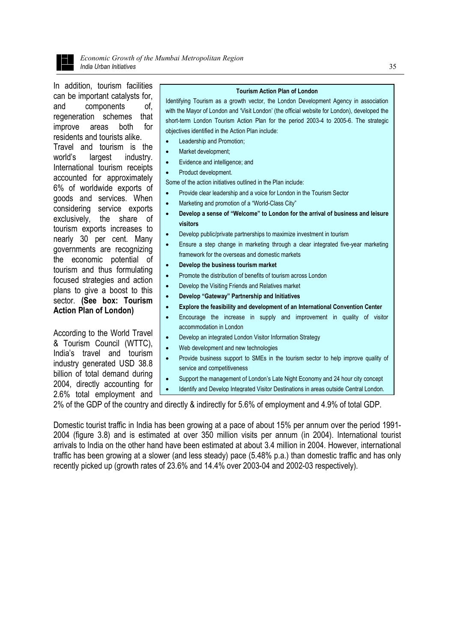

In addition, tourism facilities can be important catalysts for, and components of, regeneration schemes that improve areas both for residents and tourists alike. Travel and tourism is the world's largest industry. International tourism receipts accounted for approximately 6% of worldwide exports of goods and services. When considering service exports exclusively, the share of tourism exports increases to nearly 30 per cent. Many governments are recognizing the economic potential of tourism and thus formulating focused strategies and action plans to give a boost to this sector. **(See box: Tourism Action Plan of London)**

According to the World Travel & Tourism Council (WTTC), India's travel and tourism industry generated USD 38.8 billion of total demand during 2004, directly accounting for 2.6% total employment and

#### **Tourism Action Plan of London**

Identifying Tourism as a growth vector, the London Development Agency in association with the Mayor of London and 'Visit London' (the official website for London), developed the short-term London Tourism Action Plan for the period 2003-4 to 2005-6. The strategic objectives identified in the Action Plan include:

- Leadership and Promotion:
- Market development;
- Evidence and intelligence; and

Product development.

Some of the action initiatives outlined in the Plan include:

- Provide clear leadership and a voice for London in the Tourism Sector
- Marketing and promotion of a "World-Class City"
- **Develop a sense of "Welcome" to London for the arrival of business and leisure visitors**
- Develop public/private partnerships to maximize investment in tourism
- Ensure a step change in marketing through a clear integrated five-year marketing framework for the overseas and domestic markets
- **Develop the business tourism market**
- Promote the distribution of benefits of tourism across London
- Develop the Visiting Friends and Relatives market
- **Develop "Gateway" Partnership and Initiatives**
- **Explore the feasibility and development of an International Convention Center**
- Encourage the increase in supply and improvement in quality of visitor accommodation in London
- Develop an integrated London Visitor Information Strategy
- Web development and new technologies
- Provide business support to SMEs in the tourism sector to help improve quality of service and competitiveness
- Support the management of London's Late Night Economy and 24 hour city concept
- Identify and Develop Integrated Visitor Destinations in areas outside Central London.

2% of the GDP of the country and directly & indirectly for 5.6% of employment and 4.9% of total GDP.

Domestic tourist traffic in India has been growing at a pace of about 15% per annum over the period 1991- 2004 (figure 3.8) and is estimated at over 350 million visits per annum (in 2004). International tourist arrivals to India on the other hand have been estimated at about 3.4 million in 2004. However, international traffic has been growing at a slower (and less steady) pace (5.48% p.a.) than domestic traffic and has only recently picked up (growth rates of 23.6% and 14.4% over 2003-04 and 2002-03 respectively).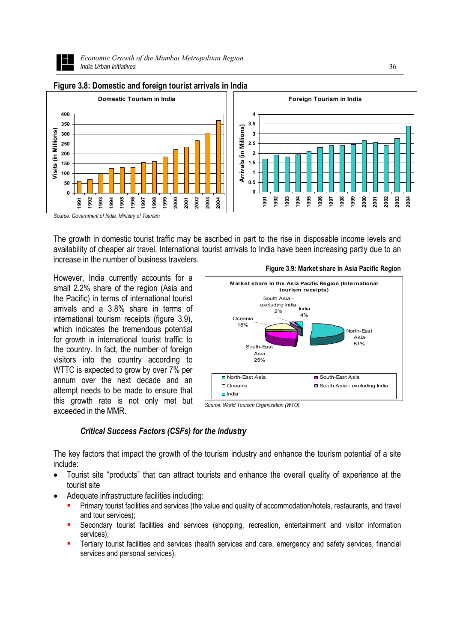

**Visits (in Millions)**

Visits (in Millions)



#### **Figure 3.8: Domestic and foreign tourist arrivals in India**

The growth in domestic tourist traffic may be ascribed in part to the rise in disposable income levels and availability of cheaper air travel. International tourist arrivals to India have been increasing partly due to an increase in the number of business travelers.

However, India currently accounts for a small 2.2% share of the region (Asia and the Pacific) in terms of international tourist arrivals and a 3.8% share in terms of international tourism receipts (figure 3.9), which indicates the tremendous potential for growth in international tourist traffic to the country. In fact, the number of foreign visitors into the country according to WTTC is expected to grow by over 7% per annum over the next decade and an attempt needs to be made to ensure that this growth rate is not only met but exceeded in the MMR.





*Source: World Tourism Organization (WTO)* 

#### *Critical Success Factors (CSFs) for the industry*

The key factors that impact the growth of the tourism industry and enhance the tourism potential of a site include:

- Tourist site "products" that can attract tourists and enhance the overall quality of experience at the tourist site
- Adequate infrastructure facilities including:
	- Primary tourist facilities and services (the value and quality of accommodation/hotels, restaurants, and travel and tour services);
	- Secondary tourist facilities and services (shopping, recreation, entertainment and visitor information services);
	- Tertiary tourist facilities and services (health services and care, emergency and safety services, financial services and personal services).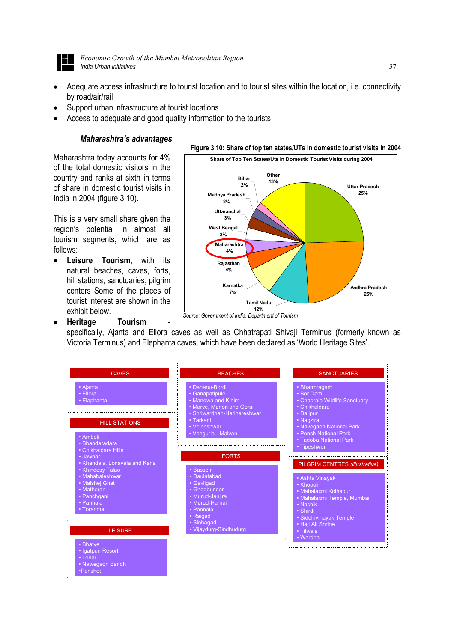

- Adequate access infrastructure to tourist location and to tourist sites within the location, i.e. connectivity by road/air/rail
- Support urban infrastructure at tourist locations
- Access to adequate and good quality information to the tourists

#### *Maharashtra's advantages*

Maharashtra today accounts for 4% of the total domestic visitors in the country and ranks at sixth in terms of share in domestic tourist visits in India in 2004 (figure 3.10).

This is a very small share given the region's potential in almost all tourism segments, which are as follows:

**Leisure Tourism**, with its natural beaches, caves, forts, hill stations, sanctuaries, pilgrim centers Some of the places of tourist interest are shown in the exhibit below.



• **Heritage Tourism** -

*Source: Government of India, Department of Tourism* 

specifically, Ajanta and Ellora caves as well as Chhatrapati Shivaji Terminus (formerly known as Victoria Terminus) and Elephanta caves, which have been declared as 'World Heritage Sites'.

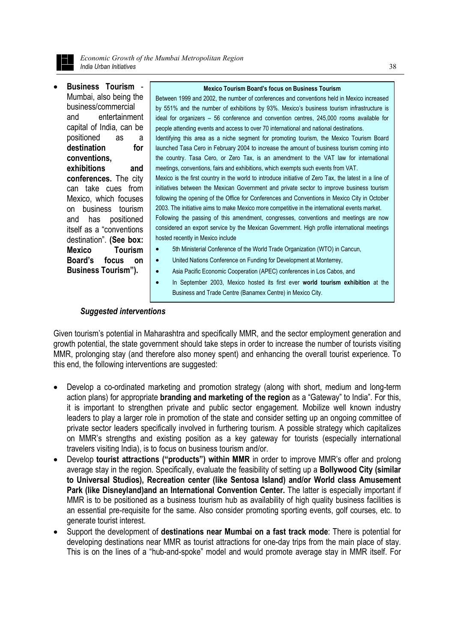

| $\bullet$ | <b>Business Tourism -</b>     | <b>Mexico Tourism Board's focus on Business Tourism</b>                                               |
|-----------|-------------------------------|-------------------------------------------------------------------------------------------------------|
|           | Mumbai, also being the        | Between 1999 and 2002, the number of conferences and conventions held in Mexico increased             |
|           | business/commercial           | by 551% and the number of exhibitions by 93%. Mexico's business tourism infrastructure is             |
|           | entertainment<br>and          | ideal for organizers - 56 conference and convention centres, 245,000 rooms available for              |
|           | capital of India, can be      | people attending events and access to over 70 international and national destinations.                |
|           | positioned<br>as<br>a         | Identifying this area as a niche segment for promoting tourism, the Mexico Tourism Board              |
|           | destination<br>for            | launched Tasa Cero in February 2004 to increase the amount of business tourism coming into            |
|           | conventions,                  | the country. Tasa Cero, or Zero Tax, is an amendment to the VAT law for international                 |
|           | exhibitions<br>and            | meetings, conventions, fairs and exhibitions, which exempts such events from VAT.                     |
|           | conferences. The city         | Mexico is the first country in the world to introduce initiative of Zero Tax, the latest in a line of |
|           | can take cues from            | initiatives between the Mexican Government and private sector to improve business tourism             |
|           | Mexico, which focuses         | following the opening of the Office for Conferences and Conventions in Mexico City in October         |
|           | business tourism<br>on        | 2003. The initiative aims to make Mexico more competitive in the international events market.         |
|           | positioned<br>has<br>and      | Following the passing of this amendment, congresses, conventions and meetings are now                 |
|           | itself as a "conventions"     | considered an export service by the Mexican Government. High profile international meetings           |
|           | destination". (See box:       | hosted recently in Mexico include                                                                     |
|           | <b>Tourism</b><br>Mexico      | 5th Ministerial Conference of the World Trade Organization (WTO) in Cancun,<br>$\bullet$              |
|           | <b>Board's</b><br>focus<br>on | United Nations Conference on Funding for Development at Monterrey,<br>$\bullet$                       |
|           | <b>Business Tourism").</b>    | Asia Pacific Economic Cooperation (APEC) conferences in Los Cabos, and<br>$\bullet$                   |
|           |                               | In September 2003, Mexico hosted its first ever world tourism exhibition at the<br>$\bullet$          |
|           |                               | Business and Trade Centre (Banamex Centre) in Mexico City.                                            |

#### *Suggested interventions*

Given tourism's potential in Maharashtra and specifically MMR, and the sector employment generation and growth potential, the state government should take steps in order to increase the number of tourists visiting MMR, prolonging stay (and therefore also money spent) and enhancing the overall tourist experience. To this end, the following interventions are suggested:

- Develop a co-ordinated marketing and promotion strategy (along with short, medium and long-term action plans) for appropriate **branding and marketing of the region** as a "Gateway" to India". For this, it is important to strengthen private and public sector engagement. Mobilize well known industry leaders to play a larger role in promotion of the state and consider setting up an ongoing committee of private sector leaders specifically involved in furthering tourism. A possible strategy which capitalizes on MMR's strengths and existing position as a key gateway for tourists (especially international travelers visiting India), is to focus on business tourism and/or.
- Develop **tourist attractions ("products") within MMR** in order to improve MMR's offer and prolong average stay in the region. Specifically, evaluate the feasibility of setting up a **Bollywood City (similar to Universal Studios), Recreation center (like Sentosa Island) and/or World class Amusement Park (like Disneyland)and an International Convention Center.** The latter is especially important if MMR is to be positioned as a business tourism hub as availability of high quality business facilities is an essential pre-requisite for the same. Also consider promoting sporting events, golf courses, etc. to generate tourist interest.
- Support the development of **destinations near Mumbai on a fast track mode**: There is potential for developing destinations near MMR as tourist attractions for one-day trips from the main place of stay. This is on the lines of a "hub-and-spoke" model and would promote average stay in MMR itself. For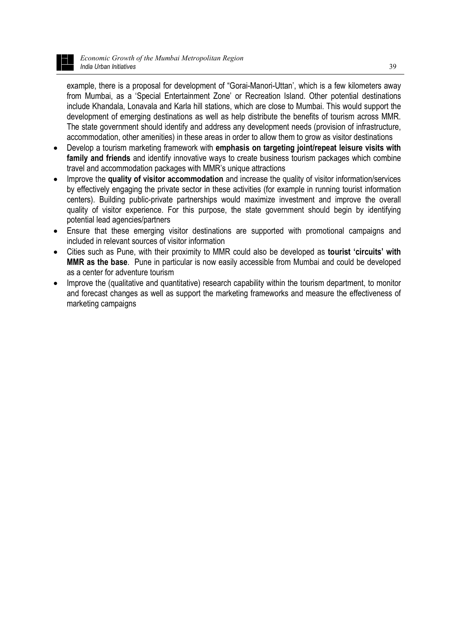

example, there is a proposal for development of "Gorai-Manori-Uttan', which is a few kilometers away from Mumbai, as a 'Special Entertainment Zone' or Recreation Island. Other potential destinations include Khandala, Lonavala and Karla hill stations, which are close to Mumbai. This would support the development of emerging destinations as well as help distribute the benefits of tourism across MMR. The state government should identify and address any development needs (provision of infrastructure, accommodation, other amenities) in these areas in order to allow them to grow as visitor destinations

- Develop a tourism marketing framework with **emphasis on targeting joint/repeat leisure visits with family and friends** and identify innovative ways to create business tourism packages which combine travel and accommodation packages with MMR's unique attractions
- Improve the **quality of visitor accommodation** and increase the quality of visitor information/services by effectively engaging the private sector in these activities (for example in running tourist information centers). Building public-private partnerships would maximize investment and improve the overall quality of visitor experience. For this purpose, the state government should begin by identifying potential lead agencies/partners
- Ensure that these emerging visitor destinations are supported with promotional campaigns and included in relevant sources of visitor information
- Cities such as Pune, with their proximity to MMR could also be developed as **tourist 'circuits' with MMR as the base**. Pune in particular is now easily accessible from Mumbai and could be developed as a center for adventure tourism
- Improve the (qualitative and quantitative) research capability within the tourism department, to monitor and forecast changes as well as support the marketing frameworks and measure the effectiveness of marketing campaigns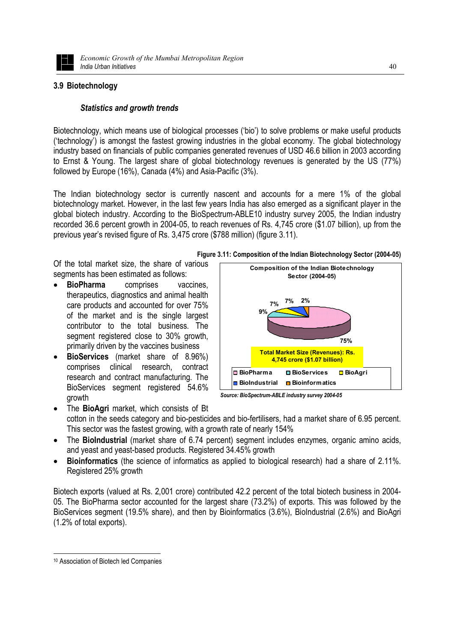

# **3.9 Biotechnology**

# *Statistics and growth trends*

Biotechnology, which means use of biological processes ('bio') to solve problems or make useful products ('technology') is amongst the fastest growing industries in the global economy. The global biotechnology industry based on financials of public companies generated revenues of USD 46.6 billion in 2003 according to Ernst & Young. The largest share of global biotechnology revenues is generated by the US (77%) followed by Europe (16%), Canada (4%) and Asia-Pacific (3%).

The Indian biotechnology sector is currently nascent and accounts for a mere 1% of the global biotechnology market. However, in the last few years India has also emerged as a significant player in the global biotech industry. According to the BioSpectrum-ABLE10 industry survey 2005, the Indian industry recorded 36.6 percent growth in 2004-05, to reach revenues of Rs. 4,745 crore (\$1.07 billion), up from the previous year's revised figure of Rs. 3,475 crore (\$788 million) (figure 3.11).

**Figure 3.11: Composition of the Indian Biotechnology Sector (2004-05)** 

Of the total market size, the share of various segments has been estimated as follows:

- **BioPharma** comprises vaccines, therapeutics, diagnostics and animal health care products and accounted for over 75% of the market and is the single largest contributor to the total business. The segment registered close to 30% growth, primarily driven by the vaccines business
- **BioServices** (market share of 8.96%) comprises clinical research, contract research and contract manufacturing. The BioServices segment registered 54.6% growth



*Source: BioSpectrum-ABLE industry survey 2004-05*

- The **BioAgri** market, which consists of Bt cotton in the seeds category and bio-pesticides and bio-fertilisers, had a market share of 6.95 percent. This sector was the fastest growing, with a growth rate of nearly 154%
- The **BioIndustrial** (market share of 6.74 percent) segment includes enzymes, organic amino acids, and yeast and yeast-based products. Registered 34.45% growth
- **Bioinformatics** (the science of informatics as applied to biological research) had a share of 2.11%. Registered 25% growth

Biotech exports (valued at Rs. 2,001 crore) contributed 42.2 percent of the total biotech business in 2004- 05. The BioPharma sector accounted for the largest share (73.2%) of exports. This was followed by the BioServices segment (19.5% share), and then by Bioinformatics (3.6%), BioIndustrial (2.6%) and BioAgri (1.2% of total exports).

1

<sup>10</sup> Association of Biotech led Companies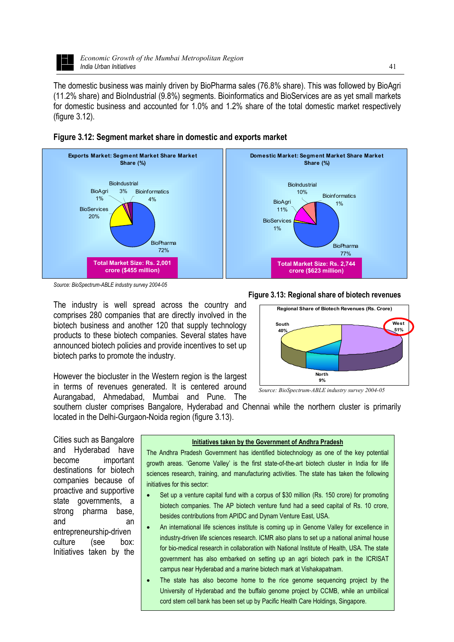

The domestic business was mainly driven by BioPharma sales (76.8% share). This was followed by BioAgri (11.2% share) and BioIndustrial (9.8%) segments. Bioinformatics and BioServices are as yet small markets for domestic business and accounted for 1.0% and 1.2% share of the total domestic market respectively (figure 3.12).





*Source: BioSpectrum-ABLE industry survey 2004-05*

The industry is well spread across the country and comprises 280 companies that are directly involved in the biotech business and another 120 that supply technology products to these biotech companies. Several states have announced biotech policies and provide incentives to set up biotech parks to promote the industry.

However the biocluster in the Western region is the largest in terms of revenues generated. It is centered around





*Source: BioSpectrum-ABLE industry survey 2004-05*

Aurangabad, Ahmedabad, Mumbai and Pune. The southern cluster comprises Bangalore, Hyderabad and Chennai while the northern cluster is primarily located in the Delhi-Gurgaon-Noida region (figure 3.13).

Cities such as Bangalore and Hyderabad have become important destinations for biotech companies because of proactive and supportive state governments, a strong pharma base, and an entrepreneurship-driven culture (see box: Initiatives taken by the

#### **Initiatives taken by the Government of Andhra Pradesh**

The Andhra Pradesh Government has identified biotechnology as one of the key potential growth areas. 'Genome Valley' is the first state-of-the-art biotech cluster in India for life sciences research, training, and manufacturing activities. The state has taken the following initiatives for this sector:

- Set up a venture capital fund with a corpus of \$30 million (Rs. 150 crore) for promoting biotech companies. The AP biotech venture fund had a seed capital of Rs. 10 crore, besides contributions from APIDC and Dynam Venture East, USA.
- An international life sciences institute is coming up in Genome Valley for excellence in industry-driven life sciences research. ICMR also plans to set up a national animal house for bio-medical research in collaboration with National Institute of Health, USA. The state government has also embarked on setting up an agri biotech park in the ICRISAT campus near Hyderabad and a marine biotech mark at Vishakapatnam.
- The state has also become home to the rice genome sequencing project by the University of Hyderabad and the buffalo genome project by CCMB, while an umbilical cord stem cell bank has been set up by Pacific Health Care Holdings, Singapore.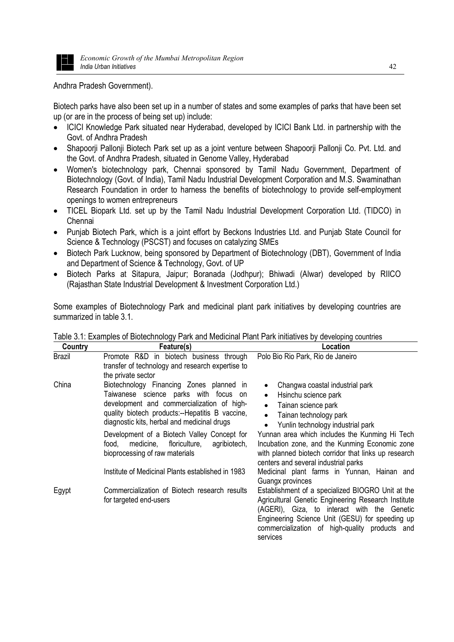

# Andhra Pradesh Government).

Biotech parks have also been set up in a number of states and some examples of parks that have been set up (or are in the process of being set up) include:

- ICICI Knowledge Park situated near Hyderabad, developed by ICICI Bank Ltd. in partnership with the Govt. of Andhra Pradesh
- Shapoorji Pallonji Biotech Park set up as a joint venture between Shapoorji Pallonji Co. Pvt. Ltd. and the Govt. of Andhra Pradesh, situated in Genome Valley, Hyderabad
- Women's biotechnology park, Chennai sponsored by Tamil Nadu Government, Department of Biotechnology (Govt. of India), Tamil Nadu Industrial Development Corporation and M.S. Swaminathan Research Foundation in order to harness the benefits of biotechnology to provide self-employment openings to women entrepreneurs
- TICEL Biopark Ltd. set up by the Tamil Nadu Industrial Development Corporation Ltd. (TIDCO) in Chennai
- Punjab Biotech Park, which is a joint effort by Beckons Industries Ltd. and Punjab State Council for Science & Technology (PSCST) and focuses on catalyzing SMEs
- Biotech Park Lucknow, being sponsored by Department of Biotechnology (DBT), Government of India and Department of Science & Technology, Govt. of UP
- Biotech Parks at Sitapura, Jaipur; Boranada (Jodhpur); Bhiwadi (Alwar) developed by RIICO (Rajasthan State Industrial Development & Investment Corporation Ltd.)

Some examples of Biotechnology Park and medicinal plant park initiatives by developing countries are summarized in table 3.1.

| Country | Feature(s)                                                                                                                                                                                                                                                                                                                                                                                                                     | Location                                                                                                                                                                                                                                                                                                                                                                                                                                                                      |
|---------|--------------------------------------------------------------------------------------------------------------------------------------------------------------------------------------------------------------------------------------------------------------------------------------------------------------------------------------------------------------------------------------------------------------------------------|-------------------------------------------------------------------------------------------------------------------------------------------------------------------------------------------------------------------------------------------------------------------------------------------------------------------------------------------------------------------------------------------------------------------------------------------------------------------------------|
| Brazil  | Promote R&D in biotech business through<br>transfer of technology and research expertise to<br>the private sector                                                                                                                                                                                                                                                                                                              | Polo Bio Rio Park, Rio de Janeiro                                                                                                                                                                                                                                                                                                                                                                                                                                             |
| China   | Biotechnology Financing Zones planned in<br>Taiwanese science parks with focus on<br>development and commercialization of high-<br>quality biotech products:--Hepatitis B vaccine,<br>diagnostic kits, herbal and medicinal drugs<br>Development of a Biotech Valley Concept for<br>floriculture,<br>medicine,<br>agribiotech,<br>food,<br>bioprocessing of raw materials<br>Institute of Medicinal Plants established in 1983 | Changwa coastal industrial park<br>٠<br>Hsinchu science park<br>$\bullet$<br>Tainan science park<br>$\bullet$<br>Tainan technology park<br>$\bullet$<br>Yunlin technology industrial park<br>$\bullet$<br>Yunnan area which includes the Kunming Hi Tech<br>Incubation zone, and the Kunming Economic zone<br>with planned biotech corridor that links up research<br>centers and several industrial parks<br>Medicinal plant farms in Yunnan, Hainan and<br>Guangx provinces |
| Egypt   | Commercialization of Biotech research results<br>for targeted end-users                                                                                                                                                                                                                                                                                                                                                        | Establishment of a specialized BIOGRO Unit at the<br>Agricultural Genetic Engineering Research Institute<br>(AGERI), Giza, to interact with the Genetic<br>Engineering Science Unit (GESU) for speeding up<br>commercialization of high-quality products and<br>services                                                                                                                                                                                                      |

Table 3.1: Examples of Biotechnology Park and Medicinal Plant Park initiatives by developing countries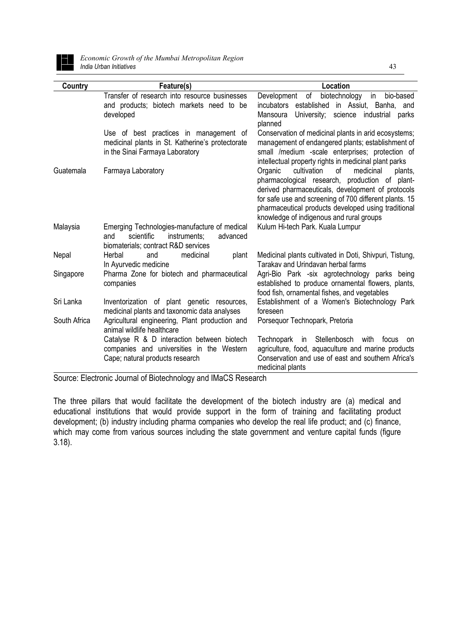

| Country      | Feature(s)                                                                                                                           | Location                                                                                                                                                                                                                                                                                                                 |
|--------------|--------------------------------------------------------------------------------------------------------------------------------------|--------------------------------------------------------------------------------------------------------------------------------------------------------------------------------------------------------------------------------------------------------------------------------------------------------------------------|
|              | Transfer of research into resource businesses<br>and products; biotech markets need to be<br>developed                               | biotechnology<br>Development of<br>in<br>bio-based<br>established<br>in Assiut, Banha, and<br>incubators<br>science industrial<br>Mansoura<br>University;<br>parks<br>planned                                                                                                                                            |
|              | Use of best practices in management of<br>medicinal plants in St. Katherine's protectorate<br>in the Sinai Farmaya Laboratory        | Conservation of medicinal plants in arid ecosystems;<br>management of endangered plants; establishment of<br>small /medium -scale enterprises; protection of<br>intellectual property rights in medicinal plant parks                                                                                                    |
| Guatemala    | Farmaya Laboratory                                                                                                                   | cultivation<br>of<br>medicinal<br>Organic<br>plants,<br>pharmacological research, production of plant-<br>derived pharmaceuticals, development of protocols<br>for safe use and screening of 700 different plants. 15<br>pharmaceutical products developed using traditional<br>knowledge of indigenous and rural groups |
| Malaysia     | Emerging Technologies-manufacture of medical<br>scientific<br>instruments;<br>advanced<br>and<br>biomaterials; contract R&D services | Kulum Hi-tech Park. Kuala Lumpur                                                                                                                                                                                                                                                                                         |
| Nepal        | Herbal<br>medicinal<br>and<br>plant<br>In Ayurvedic medicine                                                                         | Medicinal plants cultivated in Doti, Shivpuri, Tistung,<br>Tarakav and Urindavan herbal farms                                                                                                                                                                                                                            |
| Singapore    | Pharma Zone for biotech and pharmaceutical<br>companies                                                                              | Agri-Bio Park -six agrotechnology parks being<br>established to produce ornamental flowers, plants,<br>food fish, ornamental fishes, and vegetables                                                                                                                                                                      |
| Sri Lanka    | Inventorization of plant genetic resources,<br>medicinal plants and taxonomic data analyses                                          | Establishment of a Women's Biotechnology Park<br>foreseen                                                                                                                                                                                                                                                                |
| South Africa | Agricultural engineering, Plant production and<br>animal wildlife healthcare                                                         | Porsequor Technopark, Pretoria                                                                                                                                                                                                                                                                                           |
|              | Catalyse R & D interaction between biotech<br>companies and universities in the Western<br>Cape; natural products research           | Stellenbosch<br>with<br>Technopark<br>in<br>focus<br><b>on</b><br>agriculture, food, aquaculture and marine products<br>Conservation and use of east and southern Africa's<br>medicinal plants                                                                                                                           |

Source: Electronic Journal of Biotechnology and IMaCS Research

The three pillars that would facilitate the development of the biotech industry are (a) medical and educational institutions that would provide support in the form of training and facilitating product development; (b) industry including pharma companies who develop the real life product; and (c) finance, which may come from various sources including the state government and venture capital funds (figure 3.18).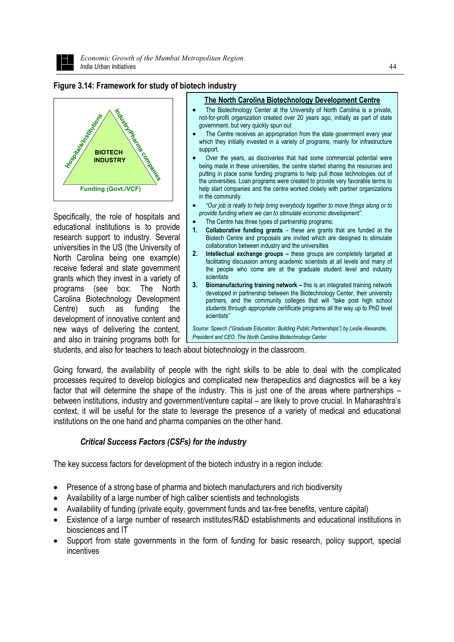

# **Figure 3.14: Framework for study of biotech industry**



Specifically, the role of hospitals and educational institutions is to provide research support to industry. Several universities in the US (the University of North Carolina being one example) receive federal and state government grants which they invest in a variety of programs (see box: The North Carolina Biotechnology Development Centre) such as funding the development of innovative content and new ways of delivering the content, and also in training programs both for

#### **The North Carolina Biotechnology Development Centre**

- The Biotechnology Center at the University of North Carolina is a private, not-for-profit organization created over 20 years ago, initially as part of state government, but very quickly spun out
- The Centre receives an appropriation from the state government every year which they initially invested in a variety of programs, mainly for infrastructure support.
- Over the years, as discoveries that had some commercial potential were being made in these universities, the centre started sharing the resources and putting in place some funding programs to help pull those technologies out of the universities. Loan programs were created to provide very favorable terms to help start companies and the centre worked closely with partner organizations in the community.
- *"Our job is really to help bring everybody together to move things along or to provide funding where we can to stimulate economic development".*
- The Centre has three types of partnership programs:
- **1. Collaborative funding grants** these are grants that are funded at the Biotech Centre and proposals are invited which are designed to stimulate collaboration between industry and the universities
- **2. Intellectual exchange groups** these groups are completely targeted at facilitating discussion among academic scientists at all levels and many of the people who come are at the graduate student level and industry scientists
- **3. Biomanufacturing training network** this is an integrated training network developed in partnership between the Biotechnology Center, their university partners, and the community colleges that will "take post high school students through appropriate certificate programs all the way up to PhD level scientists"

*Source: Speech ("Graduate Education: Building Public Partnerships") by Leslie Alexandre, President and CEO, The North Carolina Biotechnology Center*

students, and also for teachers to teach about biotechnology in the classroom.

Going forward, the availability of people with the right skills to be able to deal with the complicated processes required to develop biologics and complicated new therapeutics and diagnostics will be a key factor that will determine the shape of the industry. This is just one of the areas where partnerships – between institutions, industry and government/venture capital – are likely to prove crucial. In Maharashtra's context, it will be useful for the state to leverage the presence of a variety of medical and educational institutions on the one hand and pharma companies on the other hand.

# *Critical Success Factors (CSFs) for the industry*

The key success factors for development of the biotech industry in a region include:

- Presence of a strong base of pharma and biotech manufacturers and rich biodiversity
- Availability of a large number of high caliber scientists and technologists
- Availability of funding (private equity, government funds and tax-free benefits, venture capital)
- Existence of a large number of research institutes/R&D establishments and educational institutions in biosciences and IT
- Support from state governments in the form of funding for basic research, policy support, special incentives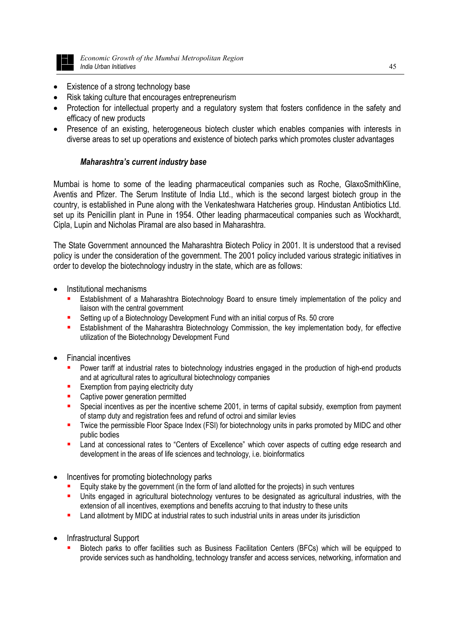

- Existence of a strong technology base
- Risk taking culture that encourages entrepreneurism
- Protection for intellectual property and a regulatory system that fosters confidence in the safety and efficacy of new products
- Presence of an existing, heterogeneous biotech cluster which enables companies with interests in diverse areas to set up operations and existence of biotech parks which promotes cluster advantages

## *Maharashtra's current industry base*

Mumbai is home to some of the leading pharmaceutical companies such as Roche, GlaxoSmithKline, Aventis and Pfizer. The Serum Institute of India Ltd., which is the second largest biotech group in the country, is established in Pune along with the Venkateshwara Hatcheries group. Hindustan Antibiotics Ltd. set up its Penicillin plant in Pune in 1954. Other leading pharmaceutical companies such as Wockhardt, Cipla, Lupin and Nicholas Piramal are also based in Maharashtra.

The State Government announced the Maharashtra Biotech Policy in 2001. It is understood that a revised policy is under the consideration of the government. The 2001 policy included various strategic initiatives in order to develop the biotechnology industry in the state, which are as follows:

- Institutional mechanisms
	- Establishment of a Maharashtra Biotechnology Board to ensure timely implementation of the policy and liaison with the central government
	- Setting up of a Biotechnology Development Fund with an initial corpus of Rs. 50 crore
	- **Establishment of the Maharashtra Biotechnology Commission, the key implementation body, for effective** utilization of the Biotechnology Development Fund
- Financial incentives
	- Power tariff at industrial rates to biotechnology industries engaged in the production of high-end products and at agricultural rates to agricultural biotechnology companies
	- **Exemption from paying electricity duty**
	- **EXEC** Captive power generation permitted
	- **Special incentives as per the incentive scheme 2001, in terms of capital subsidy, exemption from payment** of stamp duty and registration fees and refund of octroi and similar levies
	- **Twice the permissible Floor Space Index (FSI) for biotechnology units in parks promoted by MIDC and other** public bodies
	- **EXCOMM** Excellence" which cover aspects of cutting edge research and development in the areas of life sciences and technology, i.e. bioinformatics
- Incentives for promoting biotechnology parks
	- Equity stake by the government (in the form of land allotted for the projects) in such ventures
	- Units engaged in agricultural biotechnology ventures to be designated as agricultural industries, with the extension of all incentives, exemptions and benefits accruing to that industry to these units
	- **EXECUTE:** Land allotment by MIDC at industrial rates to such industrial units in areas under its jurisdiction
- Infrastructural Support
	- Biotech parks to offer facilities such as Business Facilitation Centers (BFCs) which will be equipped to provide services such as handholding, technology transfer and access services, networking, information and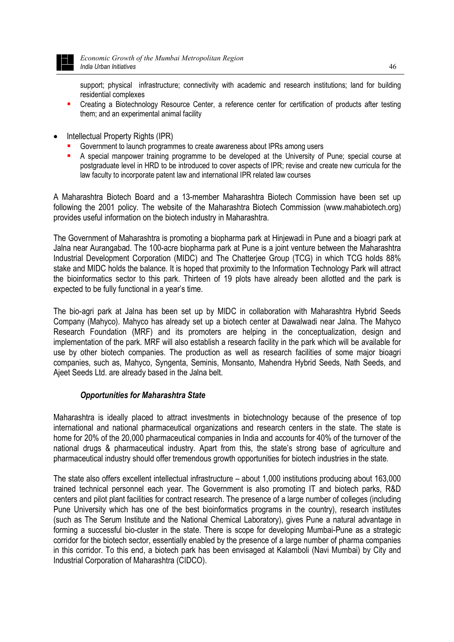

support; physical infrastructure; connectivity with academic and research institutions; land for building residential complexes

- **EXP** Creating a Biotechnology Resource Center, a reference center for certification of products after testing them; and an experimental animal facility
- Intellectual Property Rights (IPR)
	- Government to launch programmes to create awareness about IPRs among users
	- A special manpower training programme to be developed at the University of Pune; special course at postgraduate level in HRD to be introduced to cover aspects of IPR; revise and create new curricula for the law faculty to incorporate patent law and international IPR related law courses

A Maharashtra Biotech Board and a 13-member Maharashtra Biotech Commission have been set up following the 2001 policy. The website of the Maharashtra Biotech Commission (www.mahabiotech.org) provides useful information on the biotech industry in Maharashtra.

The Government of Maharashtra is promoting a biopharma park at Hinjewadi in Pune and a bioagri park at Jalna near Aurangabad. The 100-acre biopharma park at Pune is a joint venture between the Maharashtra Industrial Development Corporation (MIDC) and The Chatterjee Group (TCG) in which TCG holds 88% stake and MIDC holds the balance. It is hoped that proximity to the Information Technology Park will attract the bioinformatics sector to this park. Thirteen of 19 plots have already been allotted and the park is expected to be fully functional in a year's time.

The bio-agri park at Jalna has been set up by MIDC in collaboration with Maharashtra Hybrid Seeds Company (Mahyco). Mahyco has already set up a biotech center at Dawalwadi near Jalna. The Mahyco Research Foundation (MRF) and its promoters are helping in the conceptualization, design and implementation of the park. MRF will also establish a research facility in the park which will be available for use by other biotech companies. The production as well as research facilities of some major bioagri companies, such as, Mahyco, Syngenta, Seminis, Monsanto, Mahendra Hybrid Seeds, Nath Seeds, and Ajeet Seeds Ltd. are already based in the Jalna belt.

# *Opportunities for Maharashtra State*

Maharashtra is ideally placed to attract investments in biotechnology because of the presence of top international and national pharmaceutical organizations and research centers in the state. The state is home for 20% of the 20,000 pharmaceutical companies in India and accounts for 40% of the turnover of the national drugs & pharmaceutical industry. Apart from this, the state's strong base of agriculture and pharmaceutical industry should offer tremendous growth opportunities for biotech industries in the state.

The state also offers excellent intellectual infrastructure – about 1,000 institutions producing about 163,000 trained technical personnel each year. The Government is also promoting IT and biotech parks, R&D centers and pilot plant facilities for contract research. The presence of a large number of colleges (including Pune University which has one of the best bioinformatics programs in the country), research institutes (such as The Serum Institute and the National Chemical Laboratory), gives Pune a natural advantage in forming a successful bio-cluster in the state. There is scope for developing Mumbai-Pune as a strategic corridor for the biotech sector, essentially enabled by the presence of a large number of pharma companies in this corridor. To this end, a biotech park has been envisaged at Kalamboli (Navi Mumbai) by City and Industrial Corporation of Maharashtra (CIDCO).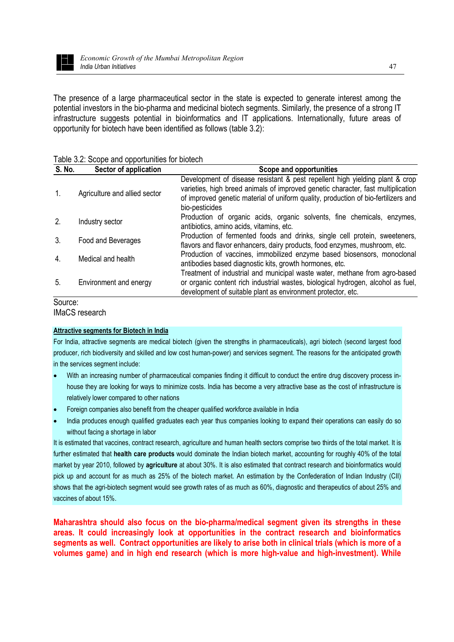

The presence of a large pharmaceutical sector in the state is expected to generate interest among the potential investors in the bio-pharma and medicinal biotech segments. Similarly, the presence of a strong IT infrastructure suggests potential in bioinformatics and IT applications. Internationally, future areas of opportunity for biotech have been identified as follows (table 3.2):

| S. No. | Sector of application         | Scope and opportunities                                                                                                                                                                                                                                                  |
|--------|-------------------------------|--------------------------------------------------------------------------------------------------------------------------------------------------------------------------------------------------------------------------------------------------------------------------|
|        | Agriculture and allied sector | Development of disease resistant & pest repellent high yielding plant & crop<br>varieties, high breed animals of improved genetic character, fast multiplication<br>of improved genetic material of uniform quality, production of bio-fertilizers and<br>bio-pesticides |
|        | Industry sector               | Production of organic acids, organic solvents, fine chemicals, enzymes,<br>antibiotics, amino acids, vitamins, etc.                                                                                                                                                      |
| 3.     | Food and Beverages            | Production of fermented foods and drinks, single cell protein, sweeteners,<br>flavors and flavor enhancers, dairy products, food enzymes, mushroom, etc.                                                                                                                 |
| 4.     | Medical and health            | Production of vaccines, immobilized enzyme based biosensors, monoclonal<br>antibodies based diagnostic kits, growth hormones, etc.                                                                                                                                       |
| 5.     | Environment and energy        | Treatment of industrial and municipal waste water, methane from agro-based<br>or organic content rich industrial wastes, biological hydrogen, alcohol as fuel,<br>development of suitable plant as environment protector, etc.                                           |
|        |                               |                                                                                                                                                                                                                                                                          |

|  | Table 3.2: Scope and opportunities for biotech |  |  |  |
|--|------------------------------------------------|--|--|--|
|--|------------------------------------------------|--|--|--|

# Source:

IMaCS research

#### **Attractive segments for Biotech in India**

For India, attractive segments are medical biotech (given the strengths in pharmaceuticals), agri biotech (second largest food producer, rich biodiversity and skilled and low cost human-power) and services segment. The reasons for the anticipated growth in the services segment include:

- With an increasing number of pharmaceutical companies finding it difficult to conduct the entire drug discovery process inhouse they are looking for ways to minimize costs. India has become a very attractive base as the cost of infrastructure is relatively lower compared to other nations
- Foreign companies also benefit from the cheaper qualified workforce available in India
- India produces enough qualified graduates each year thus companies looking to expand their operations can easily do so without facing a shortage in labor

It is estimated that vaccines, contract research, agriculture and human health sectors comprise two thirds of the total market. It is further estimated that **health care products** would dominate the Indian biotech market, accounting for roughly 40% of the total market by year 2010, followed by **agriculture** at about 30%. It is also estimated that contract research and bioinformatics would pick up and account for as much as 25% of the biotech market. An estimation by the Confederation of Indian Industry (CII) shows that the agri-biotech segment would see growth rates of as much as 60%, diagnostic and therapeutics of about 25% and vaccines of about 15%.

**Maharashtra should also focus on the bio-pharma/medical segment given its strengths in these areas. It could increasingly look at opportunities in the contract research and bioinformatics segments as well. Contract opportunities are likely to arise both in clinical trials (which is more of a volumes game) and in high end research (which is more high-value and high-investment). While**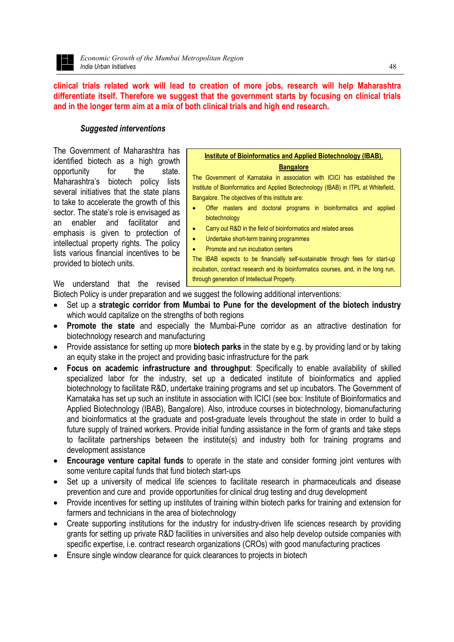

**clinical trials related work will lead to creation of more jobs, research will help Maharashtra differentiate itself. Therefore we suggest that the government starts by focusing on clinical trials and in the longer term aim at a mix of both clinical trials and high end research.** 

## *Suggested interventions*

The Government of Maharashtra has identified biotech as a high growth opportunity for the state. Maharashtra's biotech policy lists several initiatives that the state plans to take to accelerate the growth of this sector. The state's role is envisaged as an enabler and facilitator and emphasis is given to protection of intellectual property rights. The policy lists various financial incentives to be provided to biotech units.

## **Institute of Bioinformatics and Applied Biotechnology (IBAB), Bangalore**

The Government of Karnataka in association with ICICI has established the Institute of Bioinformatics and Applied Biotechnology (IBAB) in ITPL at Whitefield, Bangalore. The objectives of this institute are:

- Offer masters and doctoral programs in bioinformatics and applied biotechnology
- Carry out R&D in the field of bioinformatics and related areas
- Undertake short-term training programmes
- Promote and run incubation centers

The IBAB expects to be financially self-sustainable through fees for start-up incubation, contract research and its bioinformatics courses, and, in the long run, through generation of Intellectual Property.

We understand that the revised

Biotech Policy is under preparation and we suggest the following additional interventions:

- Set up a **strategic corridor from Mumbai to Pune for the development of the biotech industry** which would capitalize on the strengths of both regions
- **Promote the state** and especially the Mumbai-Pune corridor as an attractive destination for biotechnology research and manufacturing
- Provide assistance for setting up more **biotech parks** in the state by e.g. by providing land or by taking an equity stake in the project and providing basic infrastructure for the park
- **Focus on academic infrastructure and throughput**: Specifically to enable availability of skilled specialized labor for the industry, set up a dedicated institute of bioinformatics and applied biotechnology to facilitate R&D, undertake training programs and set up incubators. The Government of Karnataka has set up such an institute in association with ICICI (see box: Institute of Bioinformatics and Applied Biotechnology (IBAB), Bangalore). Also, introduce courses in biotechnology, biomanufacturing and bioinformatics at the graduate and post-graduate levels throughout the state in order to build a future supply of trained workers. Provide initial funding assistance in the form of grants and take steps to facilitate partnerships between the institute(s) and industry both for training programs and development assistance
- **Encourage venture capital funds** to operate in the state and consider forming joint ventures with some venture capital funds that fund biotech start-ups
- Set up a university of medical life sciences to facilitate research in pharmaceuticals and disease prevention and cure and provide opportunities for clinical drug testing and drug development
- Provide incentives for setting up institutes of training within biotech parks for training and extension for farmers and technicians in the area of biotechnology
- Create supporting institutions for the industry for industry-driven life sciences research by providing grants for setting up private R&D facilities in universities and also help develop outside companies with specific expertise, i.e. contract research organizations (CROs) with good manufacturing practices
- Ensure single window clearance for quick clearances to projects in biotech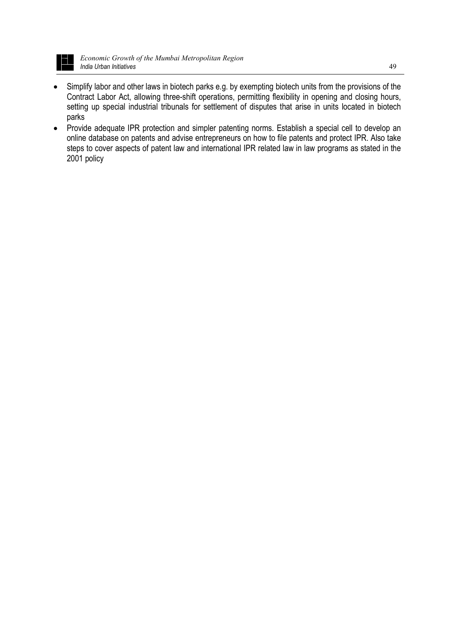

- Simplify labor and other laws in biotech parks e.g. by exempting biotech units from the provisions of the Contract Labor Act, allowing three-shift operations, permitting flexibility in opening and closing hours, setting up special industrial tribunals for settlement of disputes that arise in units located in biotech parks
- Provide adequate IPR protection and simpler patenting norms. Establish a special cell to develop an online database on patents and advise entrepreneurs on how to file patents and protect IPR. Also take steps to cover aspects of patent law and international IPR related law in law programs as stated in the 2001 policy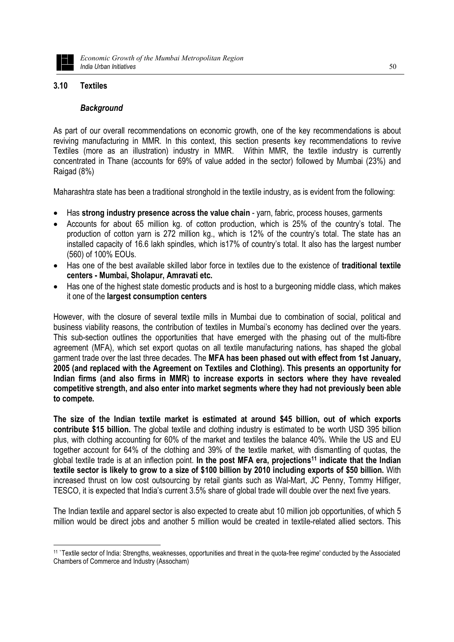

1

# **3.10 Textiles**

## *Background*

As part of our overall recommendations on economic growth, one of the key recommendations is about reviving manufacturing in MMR. In this context, this section presents key recommendations to revive Textiles (more as an illustration) industry in MMR. Within MMR, the textile industry is currently concentrated in Thane (accounts for 69% of value added in the sector) followed by Mumbai (23%) and Raigad (8%)

Maharashtra state has been a traditional stronghold in the textile industry, as is evident from the following:

- Has **strong industry presence across the value chain** yarn, fabric, process houses, garments
- Accounts for about 65 million kg. of cotton production, which is 25% of the country's total. The production of cotton yarn is 272 million kg., which is 12% of the country's total. The state has an installed capacity of 16.6 lakh spindles, which is17% of country's total. It also has the largest number (560) of 100% EOUs.
- Has one of the best available skilled labor force in textiles due to the existence of **traditional textile centers - Mumbai, Sholapur, Amravati etc.**
- Has one of the highest state domestic products and is host to a burgeoning middle class, which makes it one of the **largest consumption centers**

However, with the closure of several textile mills in Mumbai due to combination of social, political and business viability reasons, the contribution of textiles in Mumbai's economy has declined over the years. This sub-section outlines the opportunities that have emerged with the phasing out of the multi-fibre agreement (MFA), which set export quotas on all textile manufacturing nations, has shaped the global garment trade over the last three decades. The **MFA has been phased out with effect from 1st January, 2005 (and replaced with the Agreement on Textiles and Clothing). This presents an opportunity for Indian firms (and also firms in MMR) to increase exports in sectors where they have revealed competitive strength, and also enter into market segments where they had not previously been able to compete.** 

**The size of the Indian textile market is estimated at around \$45 billion, out of which exports contribute \$15 billion.** The global textile and clothing industry is estimated to be worth USD 395 billion plus, with clothing accounting for 60% of the market and textiles the balance 40%. While the US and EU together account for 64% of the clothing and 39% of the textile market, with dismantling of quotas, the global textile trade is at an inflection point. **In the post MFA era, projections11 indicate that the Indian textile sector is likely to grow to a size of \$100 billion by 2010 including exports of \$50 billion.** With increased thrust on low cost outsourcing by retail giants such as Wal-Mart, JC Penny, Tommy Hilfiger, TESCO, it is expected that India's current 3.5% share of global trade will double over the next five years.

The Indian textile and apparel sector is also expected to create abut 10 million job opportunities, of which 5 million would be direct jobs and another 5 million would be created in textile-related allied sectors. This

<sup>11 `</sup>Textile sector of India: Strengths, weaknesses, opportunities and threat in the quota-free regime' conducted by the Associated Chambers of Commerce and Industry (Assocham)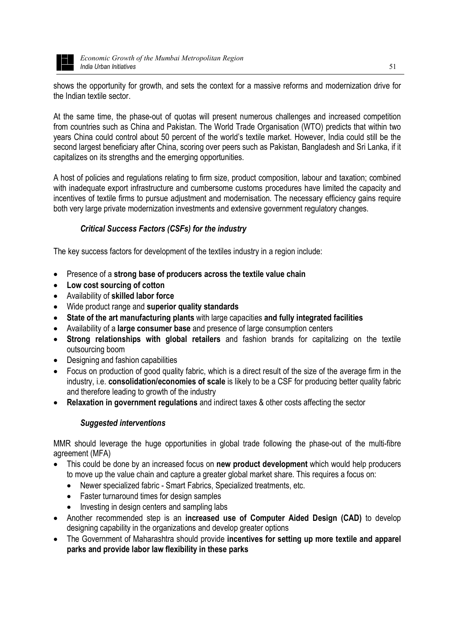

shows the opportunity for growth, and sets the context for a massive reforms and modernization drive for the Indian textile sector.

At the same time, the phase-out of quotas will present numerous challenges and increased competition from countries such as China and Pakistan. The World Trade Organisation (WTO) predicts that within two years China could control about 50 percent of the world's textile market. However, India could still be the second largest beneficiary after China, scoring over peers such as Pakistan, Bangladesh and Sri Lanka, if it capitalizes on its strengths and the emerging opportunities.

A host of policies and regulations relating to firm size, product composition, labour and taxation; combined with inadequate export infrastructure and cumbersome customs procedures have limited the capacity and incentives of textile firms to pursue adjustment and modernisation. The necessary efficiency gains require both very large private modernization investments and extensive government regulatory changes.

# *Critical Success Factors (CSFs) for the industry*

The key success factors for development of the textiles industry in a region include:

- Presence of a **strong base of producers across the textile value chain**
- **Low cost sourcing of cotton**
- Availability of **skilled labor force**
- Wide product range and **superior quality standards**
- **State of the art manufacturing plants** with large capacities **and fully integrated facilities**
- Availability of a **large consumer base** and presence of large consumption centers
- **Strong relationships with global retailers** and fashion brands for capitalizing on the textile outsourcing boom
- Designing and fashion capabilities
- Focus on production of good quality fabric, which is a direct result of the size of the average firm in the industry, i.e. **consolidation/economies of scale** is likely to be a CSF for producing better quality fabric and therefore leading to growth of the industry
- **Relaxation in government regulations** and indirect taxes & other costs affecting the sector

# *Suggested interventions*

MMR should leverage the huge opportunities in global trade following the phase-out of the multi-fibre agreement (MFA)

- This could be done by an increased focus on **new product development** which would help producers to move up the value chain and capture a greater global market share. This requires a focus on:
	- Newer specialized fabric Smart Fabrics, Specialized treatments, etc.
	- Faster turnaround times for design samples
	- Investing in design centers and sampling labs
- Another recommended step is an **increased use of Computer Aided Design (CAD)** to develop designing capability in the organizations and develop greater options
- The Government of Maharashtra should provide **incentives for setting up more textile and apparel parks and provide labor law flexibility in these parks**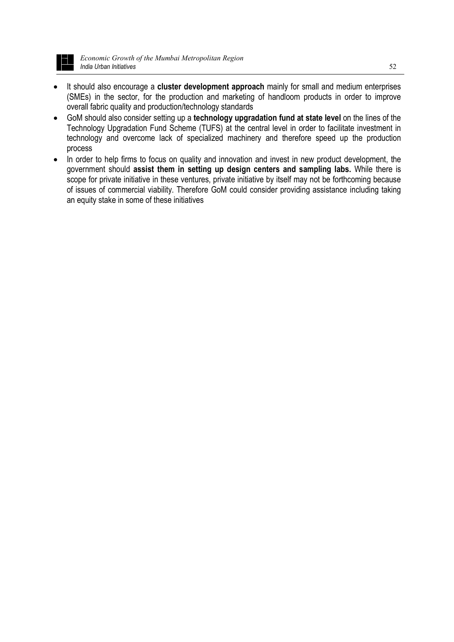

- It should also encourage a **cluster development approach** mainly for small and medium enterprises (SMEs) in the sector, for the production and marketing of handloom products in order to improve overall fabric quality and production/technology standards
- GoM should also consider setting up a **technology upgradation fund at state level** on the lines of the Technology Upgradation Fund Scheme (TUFS) at the central level in order to facilitate investment in technology and overcome lack of specialized machinery and therefore speed up the production process
- In order to help firms to focus on quality and innovation and invest in new product development, the government should **assist them in setting up design centers and sampling labs.** While there is scope for private initiative in these ventures, private initiative by itself may not be forthcoming because of issues of commercial viability. Therefore GoM could consider providing assistance including taking an equity stake in some of these initiatives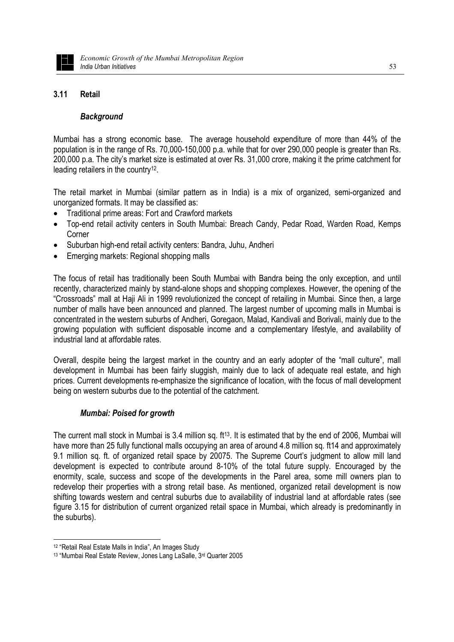

# **3.11 Retail**

## *Background*

Mumbai has a strong economic base. The average household expenditure of more than 44% of the population is in the range of Rs. 70,000-150,000 p.a. while that for over 290,000 people is greater than Rs. 200,000 p.a. The city's market size is estimated at over Rs. 31,000 crore, making it the prime catchment for leading retailers in the country<sup>12</sup>.

The retail market in Mumbai (similar pattern as in India) is a mix of organized, semi-organized and unorganized formats. It may be classified as:

- Traditional prime areas: Fort and Crawford markets
- Top-end retail activity centers in South Mumbai: Breach Candy, Pedar Road, Warden Road, Kemps Corner
- Suburban high-end retail activity centers: Bandra, Juhu, Andheri
- Emerging markets: Regional shopping malls

The focus of retail has traditionally been South Mumbai with Bandra being the only exception, and until recently, characterized mainly by stand-alone shops and shopping complexes. However, the opening of the "Crossroads" mall at Haji Ali in 1999 revolutionized the concept of retailing in Mumbai. Since then, a large number of malls have been announced and planned. The largest number of upcoming malls in Mumbai is concentrated in the western suburbs of Andheri, Goregaon, Malad, Kandivali and Borivali, mainly due to the growing population with sufficient disposable income and a complementary lifestyle, and availability of industrial land at affordable rates.

Overall, despite being the largest market in the country and an early adopter of the "mall culture", mall development in Mumbai has been fairly sluggish, mainly due to lack of adequate real estate, and high prices. Current developments re-emphasize the significance of location, with the focus of mall development being on western suburbs due to the potential of the catchment.

# *Mumbai: Poised for growth*

The current mall stock in Mumbai is 3.4 million sq. ft<sup>13</sup>. It is estimated that by the end of 2006, Mumbai will have more than 25 fully functional malls occupying an area of around 4.8 million sq. ft14 and approximately 9.1 million sq. ft. of organized retail space by 20075. The Supreme Court's judgment to allow mill land development is expected to contribute around 8-10% of the total future supply. Encouraged by the enormity, scale, success and scope of the developments in the Parel area, some mill owners plan to redevelop their properties with a strong retail base. As mentioned, organized retail development is now shifting towards western and central suburbs due to availability of industrial land at affordable rates (see figure 3.15 for distribution of current organized retail space in Mumbai, which already is predominantly in the suburbs).

1

<sup>12 &</sup>quot;Retail Real Estate Malls in India", An Images Study

<sup>13 &</sup>quot;Mumbai Real Estate Review, Jones Lang LaSalle, 3rd Quarter 2005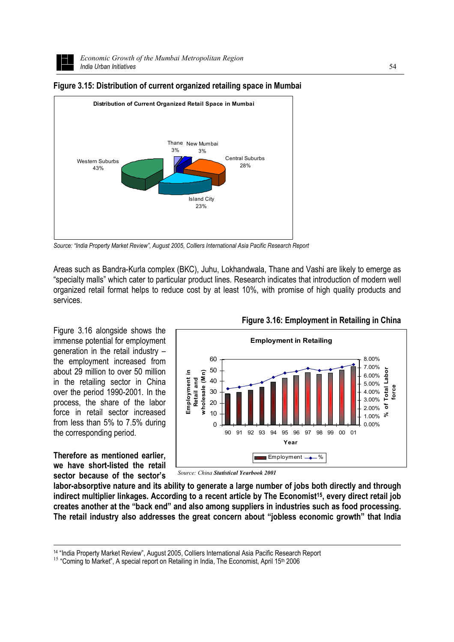





*Source: "India Property Market Review", August 2005, Colliers International Asia Pacific Research Report* 

Areas such as Bandra-Kurla complex (BKC), Juhu, Lokhandwala, Thane and Vashi are likely to emerge as "specialty malls" which cater to particular product lines. Research indicates that introduction of modern well organized retail format helps to reduce cost by at least 10%, with promise of high quality products and services.

Figure 3.16 alongside shows the immense potential for employment generation in the retail industry – the employment increased from about 29 million to over 50 million in the retailing sector in China over the period 1990-2001. In the process, the share of the labor force in retail sector increased from less than 5% to 7.5% during the corresponding period.

**Therefore as mentioned earlier, we have short-listed the retail sector because of the sector's** 

-





**labor-absorptive nature and its ability to generate a large number of jobs both directly and through**  indirect multiplier linkages. According to a recent article by The Economist<sup>15</sup>, every direct retail job **creates another at the "back end" and also among suppliers in industries such as food processing. The retail industry also addresses the great concern about "jobless economic growth" that India** 

*Source: China Statistical Yearbook 2001* 

<sup>14 &</sup>quot;India Property Market Review", August 2005, Colliers International Asia Pacific Research Report

<sup>&</sup>lt;sup>15</sup> "Coming to Market", A special report on Retailing in India, The Economist, April 15<sup>th</sup> 2006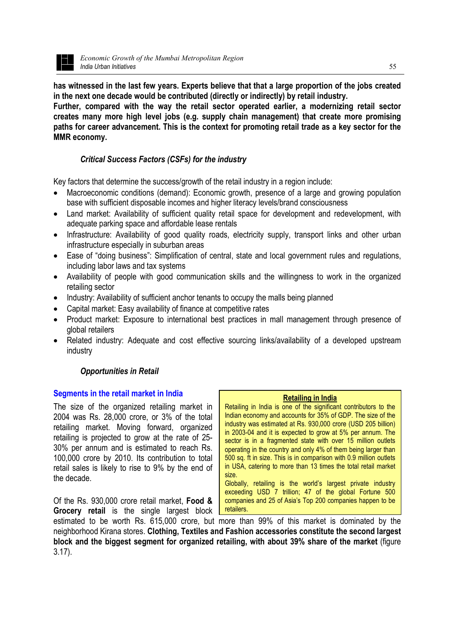

**has witnessed in the last few years. Experts believe that that a large proportion of the jobs created in the next one decade would be contributed (directly or indirectly) by retail industry. Further, compared with the way the retail sector operated earlier, a modernizing retail sector creates many more high level jobs (e.g. supply chain management) that create more promising paths for career advancement. This is the context for promoting retail trade as a key sector for the MMR economy.** 

# *Critical Success Factors (CSFs) for the industry*

Key factors that determine the success/growth of the retail industry in a region include:

- Macroeconomic conditions (demand): Economic growth, presence of a large and growing population base with sufficient disposable incomes and higher literacy levels/brand consciousness
- Land market: Availability of sufficient quality retail space for development and redevelopment, with adequate parking space and affordable lease rentals
- Infrastructure: Availability of good quality roads, electricity supply, transport links and other urban infrastructure especially in suburban areas
- Ease of "doing business": Simplification of central, state and local government rules and regulations, including labor laws and tax systems
- Availability of people with good communication skills and the willingness to work in the organized retailing sector
- Industry: Availability of sufficient anchor tenants to occupy the malls being planned
- Capital market: Easy availability of finance at competitive rates
- Product market: Exposure to international best practices in mall management through presence of global retailers
- Related industry: Adequate and cost effective sourcing links/availability of a developed upstream industry

# *Opportunities in Retail*

#### **Segments in the retail market in India**

The size of the organized retailing market in 2004 was Rs. 28,000 crore, or 3% of the total retailing market. Moving forward, organized retailing is projected to grow at the rate of 25- 30% per annum and is estimated to reach Rs. 100,000 crore by 2010. Its contribution to total retail sales is likely to rise to 9% by the end of the decade.

Of the Rs. 930,000 crore retail market, **Food & Grocery retail** is the single largest block

#### **Retailing in India**

Retailing in India is one of the significant contributors to the Indian economy and accounts for 35% of GDP. The size of the industry was estimated at Rs. 930,000 crore (USD 205 billion) in 2003-04 and it is expected to grow at 5% per annum. The sector is in a fragmented state with over 15 million outlets operating in the country and only 4% of them being larger than 500 sq. ft in size. This is in comparison with 0.9 million outlets in USA, catering to more than 13 times the total retail market size.

Globally, retailing is the world's largest private industry exceeding USD 7 trillion; 47 of the global Fortune 500 companies and 25 of Asia's Top 200 companies happen to be retailers.

estimated to be worth Rs. 615,000 crore, but more than 99% of this market is dominated by the neighborhood Kirana stores. **Clothing, Textiles and Fashion accessories constitute the second largest block and the biggest segment for organized retailing, with about 39% share of the market** (figure 3.17).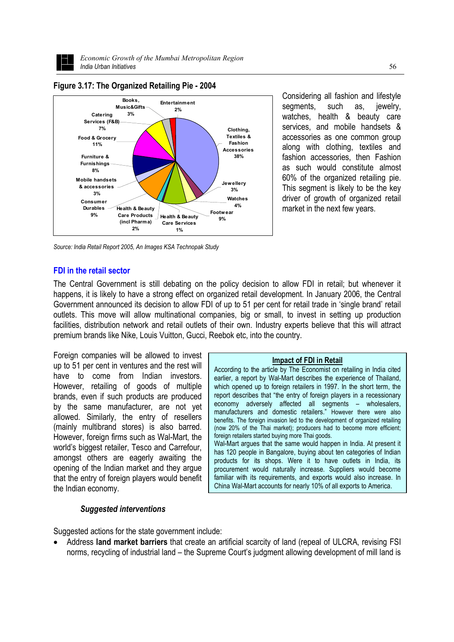





*Source: India Retail Report 2005, An Images KSA Technopak Study* 

Considering all fashion and lifestyle segments, such as, jewelry, watches, health & beauty care services, and mobile handsets & accessories as one common group along with clothing, textiles and fashion accessories, then Fashion as such would constitute almost 60% of the organized retailing pie. This segment is likely to be the key driver of growth of organized retail market in the next few years.

## **FDI in the retail sector**

The Central Government is still debating on the policy decision to allow FDI in retail; but whenever it happens, it is likely to have a strong effect on organized retail development. In January 2006, the Central Government announced its decision to allow FDI of up to 51 per cent for retail trade in 'single brand' retail outlets. This move will allow multinational companies, big or small, to invest in setting up production facilities, distribution network and retail outlets of their own. Industry experts believe that this will attract premium brands like Nike, Louis Vuitton, Gucci, Reebok etc, into the country.

Foreign companies will be allowed to invest up to 51 per cent in ventures and the rest will have to come from Indian investors. However, retailing of goods of multiple brands, even if such products are produced by the same manufacturer, are not yet allowed. Similarly, the entry of resellers (mainly multibrand stores) is also barred. However, foreign firms such as Wal-Mart, the world's biggest retailer, Tesco and Carrefour, amongst others are eagerly awaiting the opening of the Indian market and they argue that the entry of foreign players would benefit the Indian economy.

# *Suggested interventions*

Suggested actions for the state government include:

• Address **land market barriers** that create an artificial scarcity of land (repeal of ULCRA, revising FSI norms, recycling of industrial land – the Supreme Court's judgment allowing development of mill land is

#### **Impact of FDI in Retail**

According to the article by The Economist on retailing in India cited earlier, a report by Wal-Mart describes the experience of Thailand, which opened up to foreign retailers in 1997. In the short term, the report describes that "the entry of foreign players in a recessionary economy adversely affected all segments – wholesalers, manufacturers and domestic retailers." However there were also benefits. The foreign invasion led to the development of organized retailing (now 20% of the Thai market); producers had to become more efficient; foreign retailers started buying more Thai goods. Wal-Mart argues that the same would happen in India. At present it has 120 people in Bangalore, buying about ten categories of Indian products for its shops. Were it to have outlets in India, its procurement would naturally increase. Suppliers would become familiar with its requirements, and exports would also increase. In China Wal-Mart accounts for nearly 10% of all exports to America.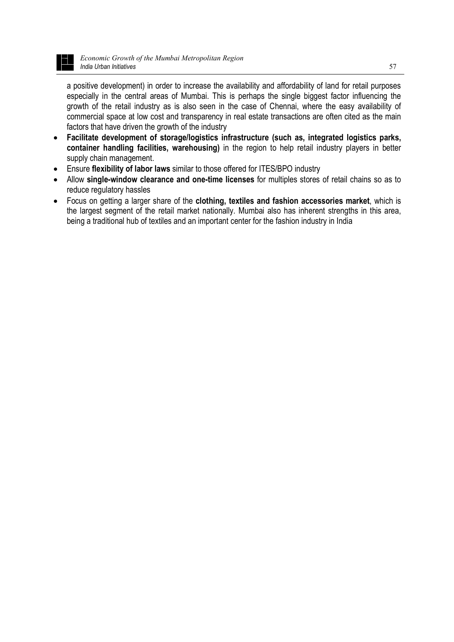

a positive development) in order to increase the availability and affordability of land for retail purposes especially in the central areas of Mumbai. This is perhaps the single biggest factor influencing the growth of the retail industry as is also seen in the case of Chennai, where the easy availability of commercial space at low cost and transparency in real estate transactions are often cited as the main factors that have driven the growth of the industry

- **Facilitate development of storage/logistics infrastructure (such as, integrated logistics parks, container handling facilities, warehousing)** in the region to help retail industry players in better supply chain management.
- Ensure **flexibility of labor laws** similar to those offered for ITES/BPO industry
- Allow **single-window clearance and one-time licenses** for multiples stores of retail chains so as to reduce regulatory hassles
- Focus on getting a larger share of the **clothing, textiles and fashion accessories market**, which is the largest segment of the retail market nationally. Mumbai also has inherent strengths in this area, being a traditional hub of textiles and an important center for the fashion industry in India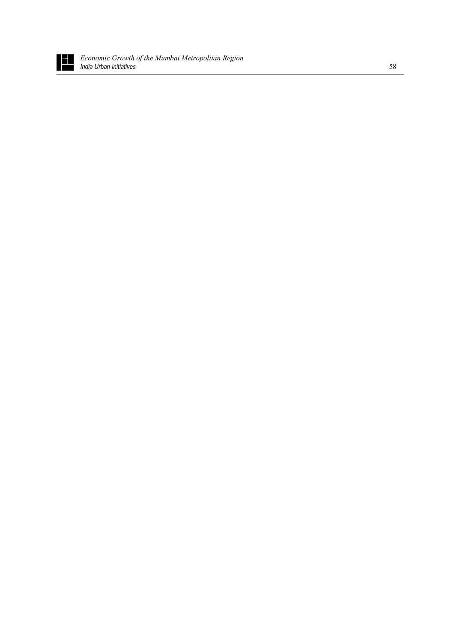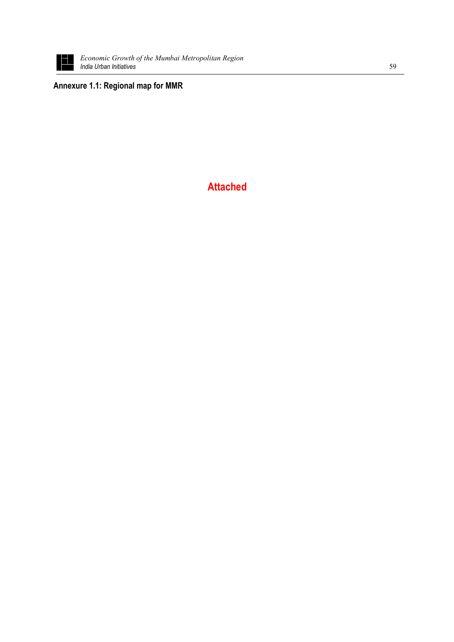

# **Annexure 1.1: Regional map for MMR**

# **Attached**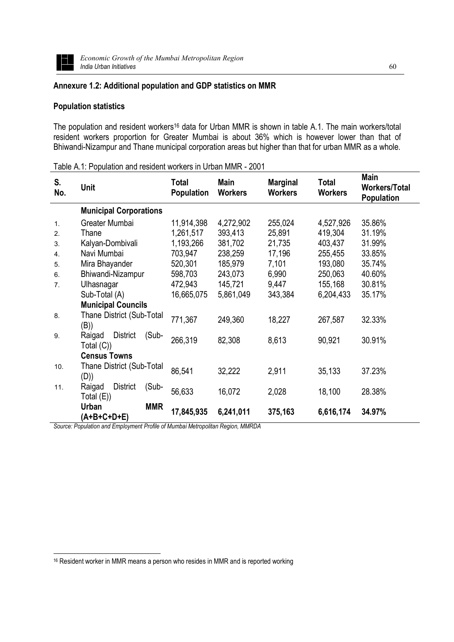

1

# **Annexure 1.2: Additional population and GDP statistics on MMR**

#### **Population statistics**

The population and resident workers<sup>16</sup> data for Urban MMR is shown in table A.1. The main workers/total resident workers proportion for Greater Mumbai is about 36% which is however lower than that of Bhiwandi-Nizampur and Thane municipal corporation areas but higher than that for urban MMR as a whole.

Table A.1: Population and resident workers in Urban MMR - 2001

| S.<br>No.           | <b>Unit</b>                                         | Total<br><b>Population</b> | Main<br><b>Workers</b> | <b>Marginal</b><br><b>Workers</b> | Total<br><b>Workers</b> | <b>Main</b><br><b>Workers/Total</b><br><b>Population</b> |
|---------------------|-----------------------------------------------------|----------------------------|------------------------|-----------------------------------|-------------------------|----------------------------------------------------------|
|                     | <b>Municipal Corporations</b>                       |                            |                        |                                   |                         |                                                          |
| 1.                  | Greater Mumbai                                      | 11,914,398                 | 4,272,902              | 255,024                           | 4,527,926               | 35.86%                                                   |
| 2.                  | Thane                                               | 1,261,517                  | 393,413                | 25,891                            | 419,304                 | 31.19%                                                   |
| 3.                  | Kalyan-Dombivali                                    | 1,193,266                  | 381,702                | 21,735                            | 403,437                 | 31.99%                                                   |
| 4.                  | Navi Mumbai                                         | 703,947                    | 238,259                | 17,196                            | 255,455                 | 33.85%                                                   |
| 5.                  | Mira Bhayander                                      | 520,301                    | 185,979                | 7,101                             | 193,080                 | 35.74%                                                   |
| 6.                  | Bhiwandi-Nizampur                                   | 598,703                    | 243,073                | 6,990                             | 250,063                 | 40.60%                                                   |
| 7.                  | Ulhasnagar                                          | 472,943                    | 145,721                | 9,447                             | 155,168                 | 30.81%                                                   |
|                     | Sub-Total (A)                                       | 16,665,075                 | 5,861,049              | 343,384                           | 6,204,433               | 35.17%                                                   |
|                     | <b>Municipal Councils</b>                           |                            |                        |                                   |                         |                                                          |
| 8.                  | Thane District (Sub-Total<br>(B))                   | 771,367                    | 249,360                | 18,227                            | 267,587                 | 32.33%                                                   |
| 9.                  | <b>District</b><br>(Sub-<br>Raigad<br>Total $(C)$ ) | 266,319                    | 82,308                 | 8,613                             | 90,921                  | 30.91%                                                   |
| <b>Census Towns</b> |                                                     |                            |                        |                                   |                         |                                                          |
| 10.                 | Thane District (Sub-Total<br>(D))                   | 86,541                     | 32,222                 | 2,911                             | 35,133                  | 37.23%                                                   |
| 11.                 | (Sub-<br><b>District</b><br>Raigad<br>Total $(E)$ ) | 56,633                     | 16,072                 | 2,028                             | 18,100                  | 28.38%                                                   |
|                     | <b>MMR</b><br><b>Urban</b><br>(A+B+C+D+E)           | 17,845,935                 | 6,241,011              | 375,163                           | 6,616,174               | 34.97%                                                   |

*Source: Population and Employment Profile of Mumbai Metropolitan Region, MMRDA* 

<sup>16</sup> Resident worker in MMR means a person who resides in MMR and is reported working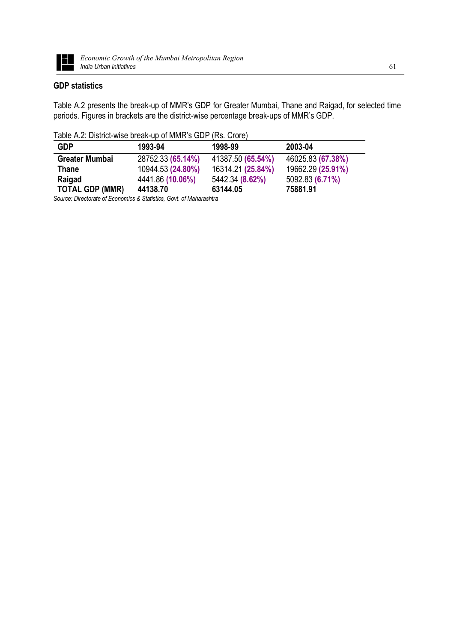

# **GDP statistics**

Table A.2 presents the break-up of MMR's GDP for Greater Mumbai, Thane and Raigad, for selected time periods. Figures in brackets are the district-wise percentage break-ups of MMR's GDP.

| <b>GDP</b>             | 1993-94           | 1998-99           | 2003-04           |
|------------------------|-------------------|-------------------|-------------------|
| <b>Greater Mumbai</b>  | 28752.33 (65.14%) | 41387.50 (65.54%) | 46025.83 (67.38%) |
| <b>Thane</b>           | 10944.53 (24.80%) | 16314.21 (25.84%) | 19662.29 (25.91%) |
| Raigad                 | 4441.86 (10.06%)  | 5442.34 (8.62%)   | 5092.83 (6.71%)   |
| <b>TOTAL GDP (MMR)</b> | 44138.70          | 63144.05          | 75881.91          |

*Source: Directorate of Economics & Statistics, Govt. of Maharashtra*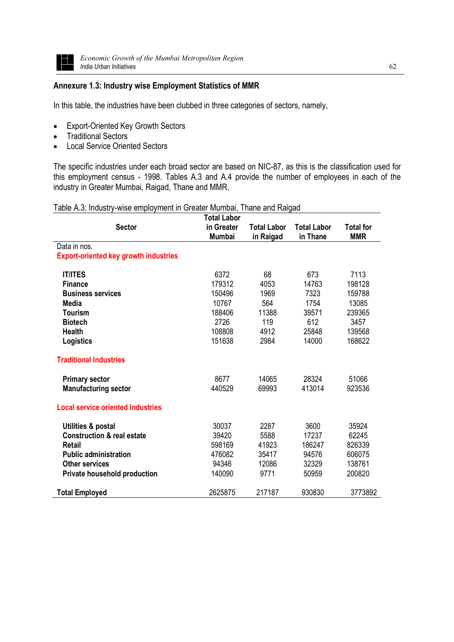

# **Annexure 1.3: Industry wise Employment Statistics of MMR**

In this table, the industries have been clubbed in three categories of sectors, namely,

- Export-Oriented Key Growth Sectors
- Traditional Sectors
- Local Service Oriented Sectors

The specific industries under each broad sector are based on NIC-87, as this is the classification used for this employment census - 1998. Tables A.3 and A.4 provide the number of employees in each of the industry in Greater Mumbai, Raigad, Thane and MMR.

|                                              | <b>Total Labor</b> |                    |                    |                  |
|----------------------------------------------|--------------------|--------------------|--------------------|------------------|
| <b>Sector</b>                                | in Greater         | <b>Total Labor</b> | <b>Total Labor</b> | <b>Total for</b> |
|                                              | <b>Mumbai</b>      | in Raigad          | in Thane           | <b>MMR</b>       |
| Data in nos.                                 |                    |                    |                    |                  |
| <b>Export-oriented key growth industries</b> |                    |                    |                    |                  |
| <b>IT/ITES</b>                               | 6372               | 68                 | 673                | 7113             |
| <b>Finance</b>                               | 179312             | 4053               | 14763              | 198128           |
| <b>Business services</b>                     | 150496             | 1969               | 7323               | 159788           |
| Media                                        | 10767              | 564                | 1754               | 13085            |
| <b>Tourism</b>                               | 188406             | 11388              | 39571              | 239365           |
| <b>Biotech</b>                               | 2726               | 119                | 612                | 3457             |
| <b>Health</b>                                | 108808             | 4912               | 25848              | 139568           |
| Logistics                                    | 151638             | 2984               | 14000              | 168622           |
|                                              |                    |                    |                    |                  |
| <b>Traditional Industries</b>                |                    |                    |                    |                  |
| <b>Primary sector</b>                        | 8677               | 14065              | 28324              | 51066            |
| <b>Manufacturing sector</b>                  | 440529             | 69993              | 413014             | 923536           |
| <b>Local service oriented Industries</b>     |                    |                    |                    |                  |
| <b>Utilities &amp; postal</b>                | 30037              | 2287               | 3600               | 35924            |
| <b>Construction &amp; real estate</b>        | 39420              | 5588               | 17237              | 62245            |
| <b>Retail</b>                                | 598169             | 41923              | 186247             | 826339           |
| <b>Public administration</b>                 | 476082             | 35417              | 94576              | 606075           |
| <b>Other services</b>                        | 94346              | 12086              | 32329              | 138761           |
| Private household production                 | 140090             | 9771               | 50959              | 200820           |
| <b>Total Employed</b>                        | 2625875            | 217187             | 930830             | 3773892          |

#### Table A.3: Industry-wise employment in Greater Mumbai, Thane and Raigad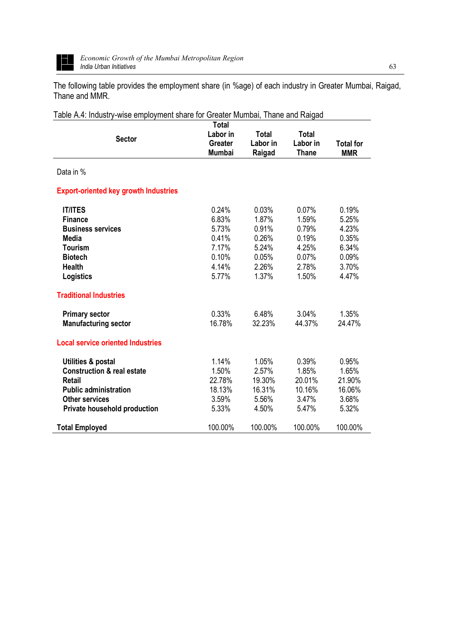

The following table provides the employment share (in %age) of each industry in Greater Mumbai, Raigad, Thane and MMR.

| Table A.4: Industry-wise employment share for Greater Mumbai, Thane and Raigad |                |              |              |                  |  |  |  |
|--------------------------------------------------------------------------------|----------------|--------------|--------------|------------------|--|--|--|
| <b>Total</b>                                                                   |                |              |              |                  |  |  |  |
| <b>Sector</b>                                                                  | Labor in       | <b>Total</b> | <b>Total</b> |                  |  |  |  |
|                                                                                | <b>Greater</b> | Labor in     | Labor in     | <b>Total for</b> |  |  |  |
|                                                                                | <b>Mumbai</b>  | Raigad       | <b>Thane</b> | <b>MMR</b>       |  |  |  |
| Data in %                                                                      |                |              |              |                  |  |  |  |
| <b>Export-oriented key growth Industries</b>                                   |                |              |              |                  |  |  |  |
| <b>IT/ITES</b>                                                                 | 0.24%          | 0.03%        | 0.07%        | 0.19%            |  |  |  |
| <b>Finance</b>                                                                 | 6.83%          | 1.87%        | 1.59%        | 5.25%            |  |  |  |
| <b>Business services</b>                                                       | 5.73%          | 0.91%        | 0.79%        | 4.23%            |  |  |  |
| Media                                                                          | 0.41%          | 0.26%        | 0.19%        | 0.35%            |  |  |  |
| <b>Tourism</b>                                                                 | 7.17%          | 5.24%        | 4.25%        | 6.34%            |  |  |  |
| <b>Biotech</b>                                                                 | 0.10%          | 0.05%        | 0.07%        | 0.09%            |  |  |  |
| <b>Health</b>                                                                  | 4.14%          | 2.26%        | 2.78%        | 3.70%            |  |  |  |
| Logistics                                                                      | 5.77%          | 1.37%        | 1.50%        | 4.47%            |  |  |  |
| <b>Traditional Industries</b>                                                  |                |              |              |                  |  |  |  |
| <b>Primary sector</b>                                                          | 0.33%          | 6.48%        | 3.04%        | 1.35%            |  |  |  |
| <b>Manufacturing sector</b>                                                    | 16.78%         | 32.23%       | 44.37%       | 24.47%           |  |  |  |
| <b>Local service oriented Industries</b>                                       |                |              |              |                  |  |  |  |
| <b>Utilities &amp; postal</b>                                                  | 1.14%          | 1.05%        | 0.39%        | 0.95%            |  |  |  |
| <b>Construction &amp; real estate</b>                                          | 1.50%          | 2.57%        | 1.85%        | 1.65%            |  |  |  |
| <b>Retail</b>                                                                  | 22.78%         | 19.30%       | 20.01%       | 21.90%           |  |  |  |
| <b>Public administration</b>                                                   | 18.13%         | 16.31%       | 10.16%       | 16.06%           |  |  |  |
| <b>Other services</b>                                                          | 3.59%          | 5.56%        | 3.47%        | 3.68%            |  |  |  |
| Private household production                                                   | 5.33%          | 4.50%        | 5.47%        | 5.32%            |  |  |  |
| <b>Total Employed</b>                                                          | 100.00%        | 100.00%      | 100.00%      | 100.00%          |  |  |  |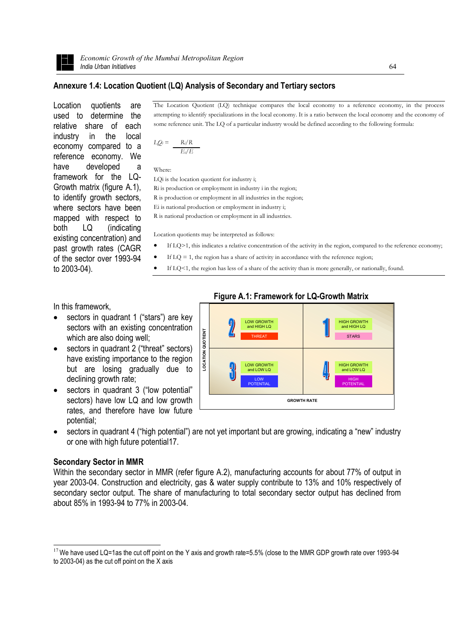

# **Annexure 1.4: Location Quotient (LQ) Analysis of Secondary and Tertiary sectors**

Location quotients are used to determine the relative share of each industry in the local economy compared to a reference economy. We have developed a framework for the LQ-Growth matrix (figure A.1), to identify growth sectors, where sectors have been mapped with respect to both LQ (indicating existing concentration) and past growth rates (CAGR of the sector over 1993-94 to 2003-04).

The Location Quotient (LQ) technique compares the local economy to a reference economy, in the process attempting to identify specializations in the local economy. It is a ratio between the local economy and the economy of some reference unit. The LQ of a particular industry would be defined according to the following formula:

$$
LQ_i = \frac{R_i/R}{E_i/E}
$$

Where:

LQi is the location quotient for industry i; Ri is production or employment in industry i in the region; R is production or employment in all industries in the region; Ei is national production or employment in industry i; R is national production or employment in all industries.

Location quotients may be interpreted as follows:

- If LQ>1, this indicates a relative concentration of the activity in the region, compared to the reference economy;
- If  $LO = 1$ , the region has a share of activity in accordance with the reference region;
	- If LQ<1, the region has less of a share of the activity than is more generally, or nationally, found.

In this framework,

- sectors in quadrant 1 ("stars") are key sectors with an existing concentration which are also doing well;
- sectors in quadrant 2 ("threat" sectors) have existing importance to the region but are losing gradually due to declining growth rate;
- sectors in quadrant 3 ("low potential" sectors) have low LQ and low growth rates, and therefore have low future potential;



• sectors in quadrant 4 ("high potential") are not yet important but are growing, indicating a "new" industry or one with high future potential17.

#### **Secondary Sector in MMR**

-

Within the secondary sector in MMR (refer figure A.2), manufacturing accounts for about 77% of output in year 2003-04. Construction and electricity, gas & water supply contribute to 13% and 10% respectively of secondary sector output. The share of manufacturing to total secondary sector output has declined from about 85% in 1993-94 to 77% in 2003-04.

 $17$  We have used LQ=1as the cut off point on the Y axis and growth rate=5.5% (close to the MMR GDP growth rate over 1993-94 to 2003-04) as the cut off point on the X axis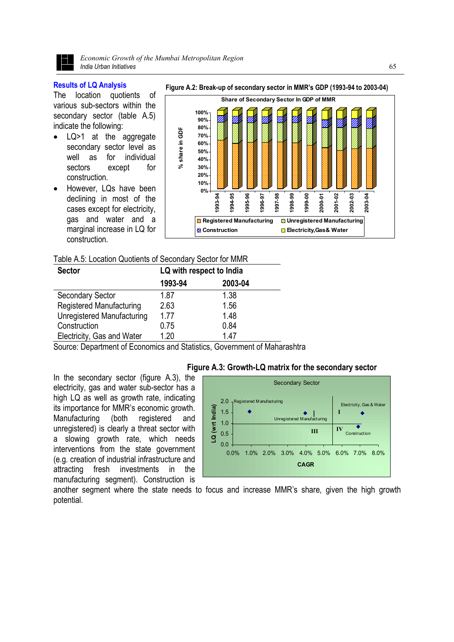

#### **Results of LQ Analysis**

The location quotients of various sub-sectors within the secondary sector (table A.5) indicate the following:

- $LQ>1$  at the aggregate secondary sector level as well as for individual sectors except for construction.
- However, LQs have been declining in most of the cases except for electricity, gas and water and a marginal increase in LQ for construction.



| Table A.5: Location Quotients of Secondary Sector for MMR |  |
|-----------------------------------------------------------|--|
|-----------------------------------------------------------|--|

| <b>Sector</b>                   | LQ with respect to India |         |
|---------------------------------|--------------------------|---------|
|                                 | 1993-94                  | 2003-04 |
| <b>Secondary Sector</b>         | 1.87                     | 1.38    |
| <b>Registered Manufacturing</b> | 2.63                     | 1.56    |
| Unregistered Manufacturing      | 1.77                     | 1.48    |
| Construction                    | 0.75                     | 0.84    |
| Electricity, Gas and Water      | 1.20                     | 1 47    |

Source: Department of Economics and Statistics, Government of Maharashtra

In the secondary sector (figure A.3), the electricity, gas and water sub-sector has a high LQ as well as growth rate, indicating its importance for MMR's economic growth. Manufacturing (both registered and unregistered) is clearly a threat sector with a slowing growth rate, which needs interventions from the state government (e.g. creation of industrial infrastructure and attracting fresh investments in the manufacturing segment). Construction is

#### **Figure A.3: Growth-LQ matrix for the secondary sector**



another segment where the state needs to focus and increase MMR's share, given the high growth potential.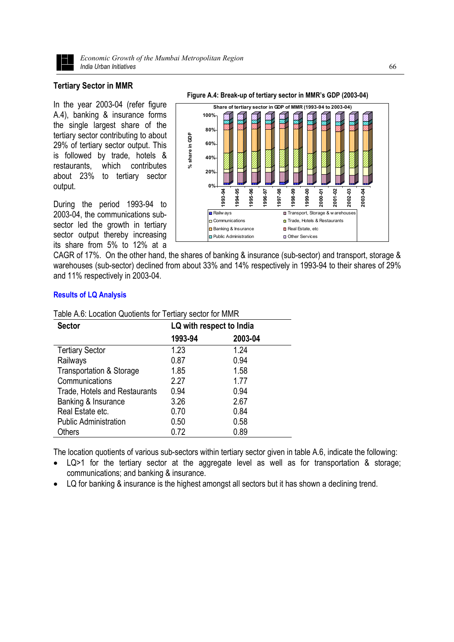

#### **Tertiary Sector in MMR**

In the year 2003-04 (refer figure A.4), banking & insurance forms the single largest share of the tertiary sector contributing to about 29% of tertiary sector output. This is followed by trade, hotels & restaurants, which contributes about 23% to tertiary sector output.

During the period 1993-94 to 2003-04, the communications subsector led the growth in tertiary sector output thereby increasing its share from 5% to 12% at a





CAGR of 17%. On the other hand, the shares of banking & insurance (sub-sector) and transport, storage & warehouses (sub-sector) declined from about 33% and 14% respectively in 1993-94 to their shares of 29% and 11% respectively in 2003-04.

| Table A.6: Location Quotients for Tertiary sector for MMR |                          |         |  |  |
|-----------------------------------------------------------|--------------------------|---------|--|--|
| <b>Sector</b>                                             | LQ with respect to India |         |  |  |
|                                                           | 1993-94                  | 2003-04 |  |  |
| <b>Tertiary Sector</b>                                    | 1.23                     | 1.24    |  |  |
| Railways                                                  | 0.87                     | 0.94    |  |  |
| Transportation & Storage                                  | 1.85                     | 1.58    |  |  |
| Communications                                            | 2.27                     | 1.77    |  |  |
| Trade, Hotels and Restaurants                             | 0.94                     | 0.94    |  |  |
| Banking & Insurance                                       | 3.26                     | 2.67    |  |  |
| Real Estate etc.                                          | 0.70                     | 0.84    |  |  |
| <b>Public Administration</b>                              | 0.50                     | 0.58    |  |  |
| <b>Others</b>                                             | 0.72                     | 0.89    |  |  |

#### **Results of LQ Analysis**

The location quotients of various sub-sectors within tertiary sector given in table A.6, indicate the following:

- LQ>1 for the tertiary sector at the aggregate level as well as for transportation & storage; communications; and banking & insurance.
- LQ for banking & insurance is the highest amongst all sectors but it has shown a declining trend.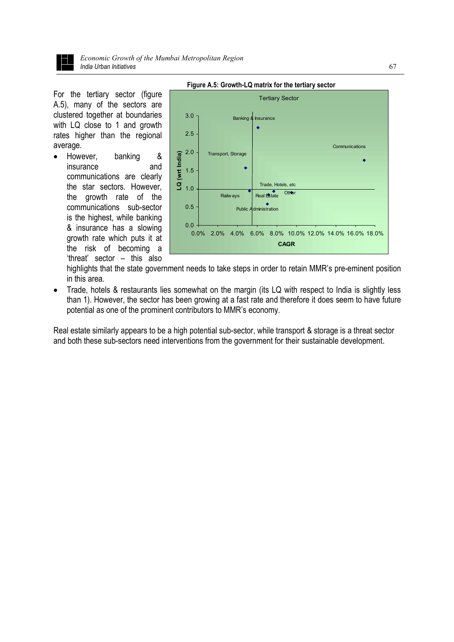

For the tertiary sector (figure A.5), many of the sectors are clustered together at boundaries with LQ close to 1 and growth rates higher than the regional average.

• However, banking & insurance and communications are clearly the star sectors. However, the growth rate of the communications sub-sector is the highest, while banking & insurance has a slowing growth rate which puts it at the risk of becoming a 'threat' sector – this also



 **Figure A.5: Growth-LQ matrix for the tertiary sector** 

highlights that the state government needs to take steps in order to retain MMR's pre-eminent position in this area.

• Trade, hotels & restaurants lies somewhat on the margin (its LQ with respect to India is slightly less than 1). However, the sector has been growing at a fast rate and therefore it does seem to have future potential as one of the prominent contributors to MMR's economy.

Real estate similarly appears to be a high potential sub-sector, while transport & storage is a threat sector and both these sub-sectors need interventions from the government for their sustainable development.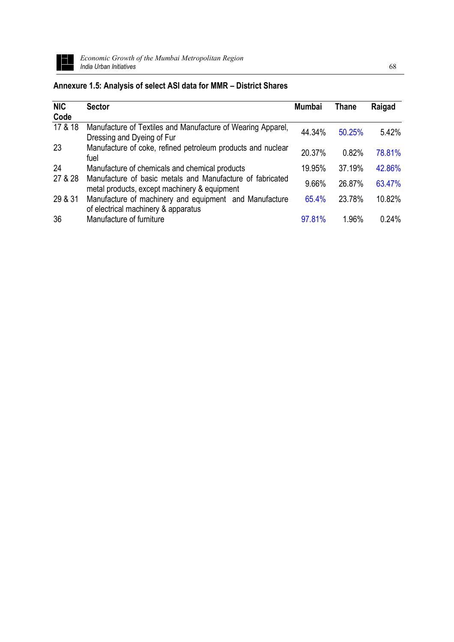

## **Annexure 1.5: Analysis of select ASI data for MMR – District Shares**

| <b>NIC</b><br>Code | <b>Sector</b>                                                                                             | <b>Mumbai</b> | <b>Thane</b> | Raigad |
|--------------------|-----------------------------------------------------------------------------------------------------------|---------------|--------------|--------|
| 17 & 18            | Manufacture of Textiles and Manufacture of Wearing Apparel,<br>Dressing and Dyeing of Fur                 | 44.34%        | 50.25%       | 5.42%  |
| 23                 | Manufacture of coke, refined petroleum products and nuclear<br>fuel                                       | 20.37%        | 0.82%        | 78.81% |
| 24                 | Manufacture of chemicals and chemical products                                                            | 19.95%        | 37.19%       | 42.86% |
| 27 & 28            | Manufacture of basic metals and Manufacture of fabricated<br>metal products, except machinery & equipment | 9.66%         | 26.87%       | 63.47% |
| 29 & 31            | Manufacture of machinery and equipment and Manufacture<br>of electrical machinery & apparatus             | 65.4%         | 23.78%       | 10.82% |
| 36                 | Manufacture of furniture                                                                                  | 97.81%        | 1.96%        | 0.24%  |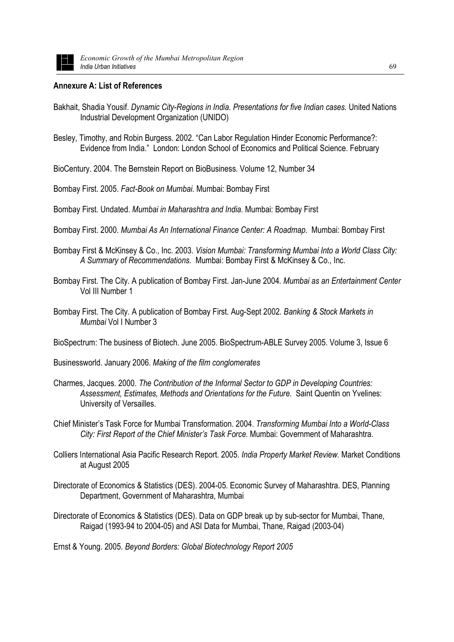

## **Annexure A: List of References**

- Bakhait, Shadia Yousif. *Dynamic City-Regions in India. Presentations for five Indian cases.* United Nations Industrial Development Organization (UNIDO)
- Besley, Timothy, and Robin Burgess. 2002. "Can Labor Regulation Hinder Economic Performance?: Evidence from India." London: London School of Economics and Political Science. February
- BioCentury. 2004. The Bernstein Report on BioBusiness. Volume 12, Number 34
- Bombay First. 2005. *Fact-Book on Mumbai*. Mumbai: Bombay First

Bombay First. Undated. *Mumbai in Maharashtra and India*. Mumbai: Bombay First

- Bombay First. 2000. *Mumbai As An International Finance Center: A Roadmap*. Mumbai: Bombay First
- Bombay First & McKinsey & Co., Inc. 2003. *Vision Mumbai: Transforming Mumbai Into a World Class City: A Summary of Recommendations.* Mumbai: Bombay First & McKinsey & Co., Inc.
- Bombay First. The City. A publication of Bombay First. Jan-June 2004. *Mumbai as an Entertainment Center* Vol III Number 1
- Bombay First. The City. A publication of Bombay First. Aug-Sept 2002. *Banking & Stock Markets in Mumbai* Vol I Number 3

BioSpectrum: The business of Biotech. June 2005. BioSpectrum-ABLE Survey 2005. Volume 3, Issue 6

Businessworld. January 2006. *Making of the film conglomerates*

- Charmes, Jacques. 2000. *The Contribution of the Informal Sector to GDP in Developing Countries: Assessment, Estimates, Methods and Orientations for the Future*. Saint Quentin on Yvelines: University of Versailles.
- Chief Minister's Task Force for Mumbai Transformation. 2004. *Transforming Mumbai Into a World-Class City: First Report of the Chief Minister's Task Force*. Mumbai: Government of Maharashtra.
- Colliers International Asia Pacific Research Report. 2005. *India Property Market Review.* Market Conditions at August 2005
- Directorate of Economics & Statistics (DES). 2004-05. Economic Survey of Maharashtra. DES, Planning Department, Government of Maharashtra, Mumbai
- Directorate of Economics & Statistics (DES). Data on GDP break up by sub-sector for Mumbai, Thane, Raigad (1993-94 to 2004-05) and ASI Data for Mumbai, Thane, Raigad (2003-04)

Ernst & Young. 2005. *Beyond Borders: Global Biotechnology Report 2005*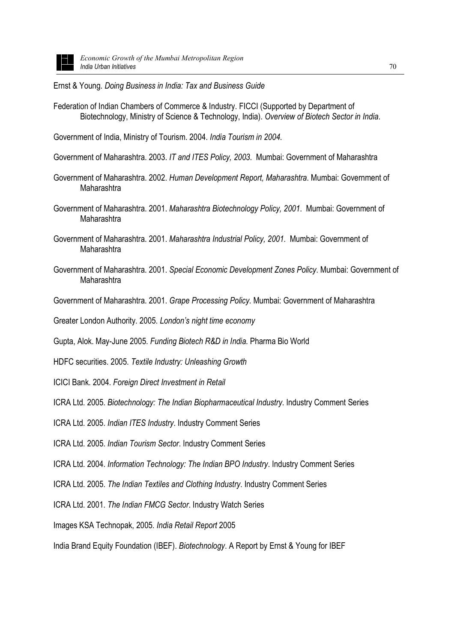

Ernst & Young. *Doing Business in India: Tax and Business Guide*

Federation of Indian Chambers of Commerce & Industry. FICCI (Supported by Department of Biotechnology, Ministry of Science & Technology, India). *Overview of Biotech Sector in India*.

Government of India, Ministry of Tourism. 2004. *India Tourism in 2004*.

Government of Maharashtra. 2003. *IT and ITES Policy, 2003*. Mumbai: Government of Maharashtra

- Government of Maharashtra. 2002. *Human Development Report, Maharashtra*. Mumbai: Government of Maharashtra
- Government of Maharashtra. 2001. *Maharashtra Biotechnology Policy, 2001*. Mumbai: Government of Maharashtra
- Government of Maharashtra. 2001. *Maharashtra Industrial Policy, 2001*. Mumbai: Government of Maharashtra
- Government of Maharashtra. 2001. *Special Economic Development Zones Policy*. Mumbai: Government of Maharashtra
- Government of Maharashtra. 2001. *Grape Processing Policy*. Mumbai: Government of Maharashtra

Greater London Authority. 2005. *London's night time economy*

Gupta, Alok. May-June 2005. *Funding Biotech R&D in India*. Pharma Bio World

HDFC securities. 2005. *Textile Industry: Unleashing Growth*

ICICI Bank. 2004. *Foreign Direct Investment in Retail*

ICRA Ltd. 2005. *Biotechnology: The Indian Biopharmaceutical Industry*. Industry Comment Series

ICRA Ltd. 2005. *Indian ITES Industry*. Industry Comment Series

ICRA Ltd. 2005. *Indian Tourism Sector*. Industry Comment Series

ICRA Ltd. 2004. *Information Technology: The Indian BPO Industry*. Industry Comment Series

ICRA Ltd. 2005. *The Indian Textiles and Clothing Industry*. Industry Comment Series

ICRA Ltd. 2001. *The Indian FMCG Sector*. Industry Watch Series

Images KSA Technopak, 2005. *India Retail Report* 2005

India Brand Equity Foundation (IBEF). *Biotechnology*. A Report by Ernst & Young for IBEF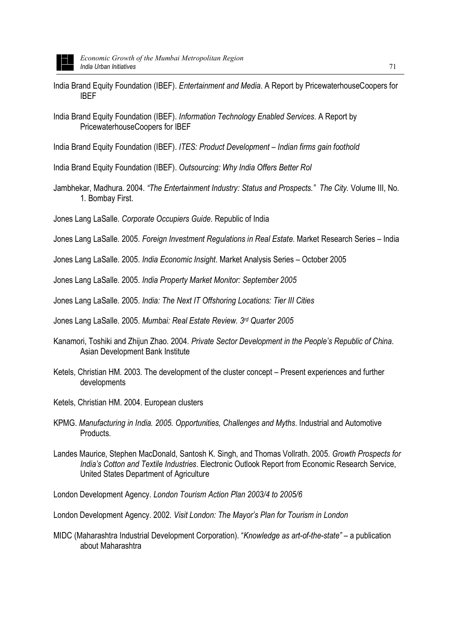

- India Brand Equity Foundation (IBEF). *Entertainment and Media*. A Report by PricewaterhouseCoopers for IBEF
- India Brand Equity Foundation (IBEF). *Information Technology Enabled Services*. A Report by PricewaterhouseCoopers for IBEF
- India Brand Equity Foundation (IBEF). *ITES: Product Development Indian firms gain foothold*
- India Brand Equity Foundation (IBEF). *Outsourcing: Why India Offers Better RoI*
- Jambhekar, Madhura. 2004. *"The Entertainment Industry: Status and Prospects." The City.* Volume III, No. 1*.* Bombay First.
- Jones Lang LaSalle. *Corporate Occupiers Guide*. Republic of India
- Jones Lang LaSalle. 2005. *Foreign Investment Regulations in Real Estate*. Market Research Series India
- Jones Lang LaSalle. 2005. *India Economic Insight*. Market Analysis Series October 2005
- Jones Lang LaSalle. 2005. *India Property Market Monitor: September 2005*
- Jones Lang LaSalle. 2005. *India: The Next IT Offshoring Locations: Tier III Cities*
- Jones Lang LaSalle. 2005. *Mumbai: Real Estate Review. 3rd Quarter 2005*
- Kanamori, Toshiki and Zhijun Zhao. 2004. *Private Sector Development in the People's Republic of China*. Asian Development Bank Institute
- Ketels, Christian HM. 2003. The development of the cluster concept Present experiences and further developments
- Ketels, Christian HM. 2004. European clusters
- KPMG. *Manufacturing in India. 2005. Opportunities, Challenges and Myths*. Industrial and Automotive Products.
- Landes Maurice, Stephen MacDonald, Santosh K. Singh, and Thomas Vollrath. 2005. *Growth Prospects for India's Cotton and Textile Industries*. Electronic Outlook Report from Economic Research Service, United States Department of Agriculture
- London Development Agency. *London Tourism Action Plan 2003/4 to 2005/6*
- London Development Agency. 2002. *Visit London: The Mayor's Plan for Tourism in London*
- MIDC (Maharashtra Industrial Development Corporation). "*Knowledge as art-of-the-state"*  a publication about Maharashtra